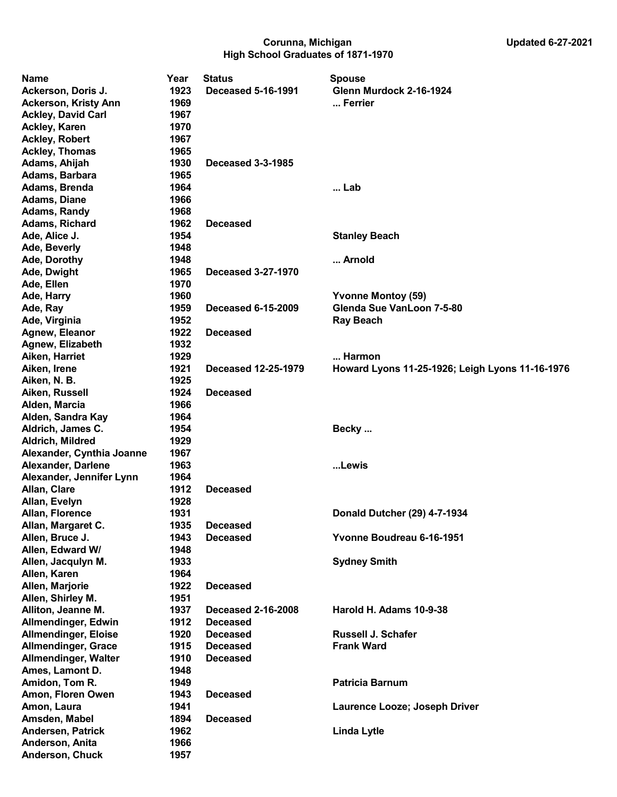## Corunna, Michigan Updated 6-27-2021 High School Graduates of 1871-1970

| Name                        | Year | <b>Status</b>             | <b>Spouse</b>                                   |
|-----------------------------|------|---------------------------|-------------------------------------------------|
| Ackerson, Doris J.          | 1923 | <b>Deceased 5-16-1991</b> | Glenn Murdock 2-16-1924                         |
| <b>Ackerson, Kristy Ann</b> | 1969 |                           | Ferrier                                         |
| <b>Ackley, David Carl</b>   | 1967 |                           |                                                 |
| <b>Ackley, Karen</b>        | 1970 |                           |                                                 |
| <b>Ackley, Robert</b>       | 1967 |                           |                                                 |
| <b>Ackley, Thomas</b>       | 1965 |                           |                                                 |
| Adams, Ahijah               | 1930 | <b>Deceased 3-3-1985</b>  |                                                 |
| Adams, Barbara              | 1965 |                           |                                                 |
| Adams, Brenda               | 1964 |                           | Lab                                             |
| <b>Adams, Diane</b>         | 1966 |                           |                                                 |
| <b>Adams, Randy</b>         | 1968 |                           |                                                 |
| Adams, Richard              | 1962 | <b>Deceased</b>           |                                                 |
| Ade, Alice J.               | 1954 |                           | <b>Stanley Beach</b>                            |
| Ade, Beverly                | 1948 |                           |                                                 |
| Ade, Dorothy                | 1948 |                           | Arnold                                          |
| Ade, Dwight                 | 1965 | Deceased 3-27-1970        |                                                 |
| Ade, Ellen                  | 1970 |                           |                                                 |
| Ade, Harry                  | 1960 |                           | <b>Yvonne Montoy (59)</b>                       |
| Ade, Ray                    | 1959 | <b>Deceased 6-15-2009</b> | Glenda Sue VanLoon 7-5-80                       |
| Ade, Virginia               | 1952 |                           | <b>Ray Beach</b>                                |
| Agnew, Eleanor              | 1922 | <b>Deceased</b>           |                                                 |
| Agnew, Elizabeth            | 1932 |                           |                                                 |
| Aiken, Harriet              | 1929 |                           | Harmon                                          |
| Aiken, Irene                | 1921 | Deceased 12-25-1979       | Howard Lyons 11-25-1926; Leigh Lyons 11-16-1976 |
| Aiken, N. B.                | 1925 |                           |                                                 |
| Aiken, Russell              | 1924 | <b>Deceased</b>           |                                                 |
| Alden, Marcia               | 1966 |                           |                                                 |
| Alden, Sandra Kay           | 1964 |                           |                                                 |
| Aldrich, James C.           | 1954 |                           | Becky                                           |
| Aldrich, Mildred            | 1929 |                           |                                                 |
| Alexander, Cynthia Joanne   | 1967 |                           |                                                 |
| <b>Alexander, Darlene</b>   | 1963 |                           | Lewis                                           |
| Alexander, Jennifer Lynn    | 1964 |                           |                                                 |
| Allan, Clare                | 1912 | <b>Deceased</b>           |                                                 |
| Allan, Evelyn               | 1928 |                           |                                                 |
| Allan, Florence             | 1931 |                           | Donald Dutcher (29) 4-7-1934                    |
| Allan, Margaret C.          | 1935 | <b>Deceased</b>           |                                                 |
| Allen, Bruce J.             | 1943 | <b>Deceased</b>           | Yvonne Boudreau 6-16-1951                       |
| Allen, Edward W/            | 1948 |                           |                                                 |
| Allen, Jacqulyn M.          | 1933 |                           | <b>Sydney Smith</b>                             |
| Allen, Karen                | 1964 |                           |                                                 |
| Allen, Marjorie             | 1922 | <b>Deceased</b>           |                                                 |
| Allen, Shirley M.           | 1951 |                           |                                                 |
| Alliton, Jeanne M.          | 1937 | <b>Deceased 2-16-2008</b> | Harold H. Adams 10-9-38                         |
| <b>Allmendinger, Edwin</b>  | 1912 | <b>Deceased</b>           |                                                 |
| <b>Allmendinger, Eloise</b> | 1920 | <b>Deceased</b>           | <b>Russell J. Schafer</b>                       |
| <b>Allmendinger, Grace</b>  | 1915 | <b>Deceased</b>           | <b>Frank Ward</b>                               |
| <b>Allmendinger, Walter</b> | 1910 | <b>Deceased</b>           |                                                 |
| Ames, Lamont D.             | 1948 |                           |                                                 |
| Amidon, Tom R.              | 1949 |                           | <b>Patricia Barnum</b>                          |
| Amon, Floren Owen           | 1943 | <b>Deceased</b>           |                                                 |
| Amon, Laura                 | 1941 |                           | Laurence Looze; Joseph Driver                   |
| Amsden, Mabel               | 1894 | <b>Deceased</b>           |                                                 |
| <b>Andersen, Patrick</b>    | 1962 |                           | <b>Linda Lytle</b>                              |
| Anderson, Anita             | 1966 |                           |                                                 |
| <b>Anderson, Chuck</b>      | 1957 |                           |                                                 |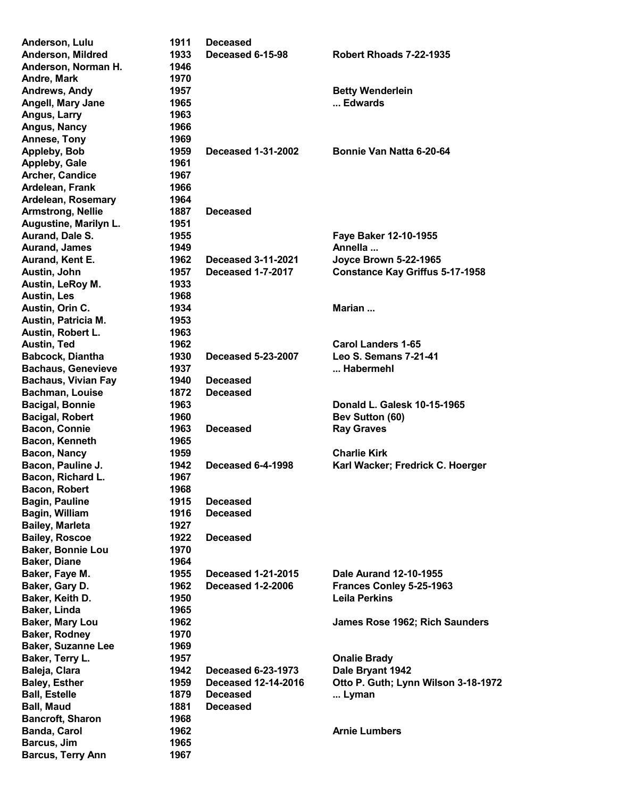| Anderson, Lulu             | 1911 | <b>Deceased</b>            |                                        |
|----------------------------|------|----------------------------|----------------------------------------|
| Anderson, Mildred          | 1933 | Deceased 6-15-98           | Robert Rhoads 7-22-1935                |
| Anderson, Norman H.        | 1946 |                            |                                        |
| Andre, Mark                | 1970 |                            |                                        |
| Andrews, Andy              | 1957 |                            | <b>Betty Wenderlein</b>                |
| <b>Angell, Mary Jane</b>   | 1965 |                            | Edwards                                |
| Angus, Larry               | 1963 |                            |                                        |
| Angus, Nancy               | 1966 |                            |                                        |
| Annese, Tony               | 1969 |                            |                                        |
| Appleby, Bob               | 1959 | <b>Deceased 1-31-2002</b>  | Bonnie Van Natta 6-20-64               |
| Appleby, Gale              | 1961 |                            |                                        |
| Archer, Candice            | 1967 |                            |                                        |
| Ardelean, Frank            | 1966 |                            |                                        |
| Ardelean, Rosemary         | 1964 |                            |                                        |
| <b>Armstrong, Nellie</b>   | 1887 | <b>Deceased</b>            |                                        |
| Augustine, Marilyn L.      | 1951 |                            |                                        |
| Aurand, Dale S.            | 1955 |                            | Faye Baker 12-10-1955                  |
| <b>Aurand, James</b>       | 1949 |                            | Annella                                |
| Aurand, Kent E.            | 1962 | <b>Deceased 3-11-2021</b>  | <b>Joyce Brown 5-22-1965</b>           |
| Austin, John               | 1957 | <b>Deceased 1-7-2017</b>   | <b>Constance Kay Griffus 5-17-1958</b> |
| Austin, LeRoy M.           | 1933 |                            |                                        |
| <b>Austin, Les</b>         | 1968 |                            |                                        |
| Austin, Orin C.            | 1934 |                            | Marian                                 |
|                            |      |                            |                                        |
| Austin, Patricia M.        | 1953 |                            |                                        |
| Austin, Robert L.          | 1963 |                            |                                        |
| Austin, Ted                | 1962 |                            | <b>Carol Landers 1-65</b>              |
| <b>Babcock, Diantha</b>    | 1930 | <b>Deceased 5-23-2007</b>  | <b>Leo S. Semans 7-21-41</b>           |
| <b>Bachaus, Genevieve</b>  | 1937 |                            | Habermehl                              |
| <b>Bachaus, Vivian Fay</b> | 1940 | <b>Deceased</b>            |                                        |
| <b>Bachman, Louise</b>     | 1872 | <b>Deceased</b>            |                                        |
| <b>Bacigal, Bonnie</b>     | 1963 |                            | Donald L. Galesk 10-15-1965            |
| <b>Bacigal, Robert</b>     | 1960 |                            | <b>Bev Sutton (60)</b>                 |
| <b>Bacon, Connie</b>       | 1963 | <b>Deceased</b>            | <b>Ray Graves</b>                      |
| Bacon, Kenneth             | 1965 |                            |                                        |
| Bacon, Nancy               | 1959 |                            | <b>Charlie Kirk</b>                    |
| Bacon, Pauline J.          | 1942 | Deceased 6-4-1998          | Karl Wacker; Fredrick C. Hoerger       |
| Bacon, Richard L.          | 1967 |                            |                                        |
| Bacon, Robert              | 1968 |                            |                                        |
| <b>Bagin, Pauline</b>      | 1915 | <b>Deceased</b>            |                                        |
| Bagin, William             | 1916 | <b>Deceased</b>            |                                        |
| <b>Bailey, Marleta</b>     | 1927 |                            |                                        |
| <b>Bailey, Roscoe</b>      | 1922 | <b>Deceased</b>            |                                        |
| <b>Baker, Bonnie Lou</b>   | 1970 |                            |                                        |
| <b>Baker, Diane</b>        | 1964 |                            |                                        |
| Baker, Faye M.             | 1955 | <b>Deceased 1-21-2015</b>  | Dale Aurand 12-10-1955                 |
| Baker, Gary D.             | 1962 | <b>Deceased 1-2-2006</b>   | Frances Conley 5-25-1963               |
| Baker, Keith D.            | 1950 |                            | <b>Leila Perkins</b>                   |
| Baker, Linda               | 1965 |                            |                                        |
| Baker, Mary Lou            | 1962 |                            | James Rose 1962; Rich Saunders         |
| <b>Baker, Rodney</b>       | 1970 |                            |                                        |
| <b>Baker, Suzanne Lee</b>  | 1969 |                            |                                        |
| Baker, Terry L.            | 1957 |                            | <b>Onalie Brady</b>                    |
| Baleja, Clara              | 1942 | <b>Deceased 6-23-1973</b>  | Dale Bryant 1942                       |
| <b>Baley, Esther</b>       | 1959 | <b>Deceased 12-14-2016</b> | Otto P. Guth; Lynn Wilson 3-18-1972    |
| <b>Ball, Estelle</b>       | 1879 | <b>Deceased</b>            | Lyman                                  |
| <b>Ball, Maud</b>          | 1881 | <b>Deceased</b>            |                                        |
| <b>Bancroft, Sharon</b>    | 1968 |                            |                                        |
| <b>Banda, Carol</b>        | 1962 |                            | <b>Arnie Lumbers</b>                   |
| Barcus, Jim                | 1965 |                            |                                        |
| <b>Barcus, Terry Ann</b>   | 1967 |                            |                                        |
|                            |      |                            |                                        |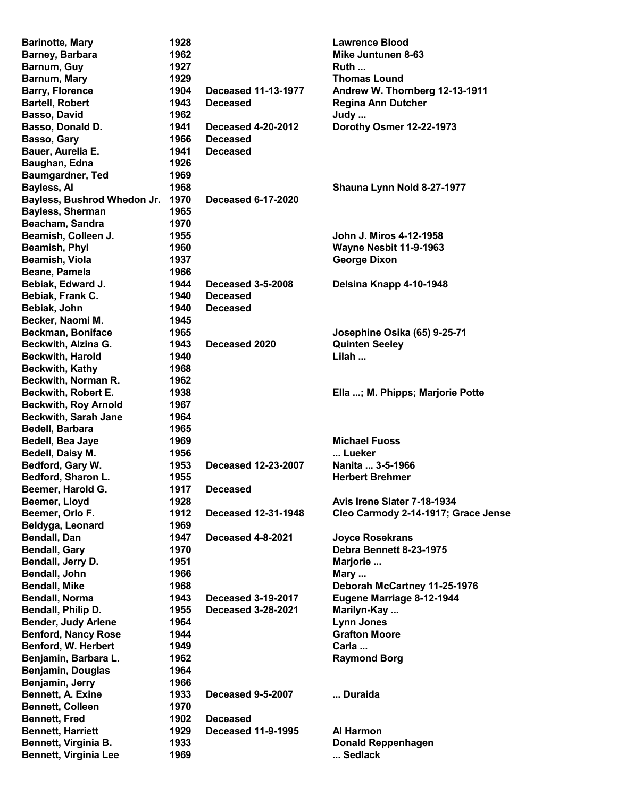| <b>Barinotte, Mary</b>       | 1928 |                            | <b>Lawrence Blood</b>               |
|------------------------------|------|----------------------------|-------------------------------------|
| Barney, Barbara              | 1962 |                            | <b>Mike Juntunen 8-63</b>           |
| Barnum, Guy                  | 1927 |                            | Ruth                                |
| Barnum, Mary                 | 1929 |                            | <b>Thomas Lound</b>                 |
| <b>Barry, Florence</b>       | 1904 | <b>Deceased 11-13-1977</b> | Andrew W. Thornberg 12-13-1911      |
| <b>Bartell, Robert</b>       | 1943 | <b>Deceased</b>            | <b>Regina Ann Dutcher</b>           |
| Basso, David                 | 1962 |                            | Judy                                |
| Basso, Donald D.             | 1941 | <b>Deceased 4-20-2012</b>  | Dorothy Osmer 12-22-1973            |
| Basso, Gary                  | 1966 | <b>Deceased</b>            |                                     |
| Bauer, Aurelia E.            | 1941 | <b>Deceased</b>            |                                     |
| Baughan, Edna                | 1926 |                            |                                     |
| <b>Baumgardner, Ted</b>      | 1969 |                            |                                     |
| Bayless, Al                  | 1968 |                            | Shauna Lynn Nold 8-27-1977          |
| Bayless, Bushrod Whedon Jr.  | 1970 | <b>Deceased 6-17-2020</b>  |                                     |
|                              | 1965 |                            |                                     |
| <b>Bayless, Sherman</b>      |      |                            |                                     |
| Beacham, Sandra              | 1970 |                            |                                     |
| Beamish, Colleen J.          | 1955 |                            | John J. Miros 4-12-1958             |
| Beamish, Phyl                | 1960 |                            | Wayne Nesbit 11-9-1963              |
| Beamish, Viola               | 1937 |                            | <b>George Dixon</b>                 |
| Beane, Pamela                | 1966 |                            |                                     |
| Bebiak, Edward J.            | 1944 | <b>Deceased 3-5-2008</b>   | Delsina Knapp 4-10-1948             |
| Bebiak, Frank C.             | 1940 | <b>Deceased</b>            |                                     |
| Bebiak, John                 | 1940 | <b>Deceased</b>            |                                     |
| Becker, Naomi M.             | 1945 |                            |                                     |
| <b>Beckman, Boniface</b>     | 1965 |                            | Josephine Osika (65) 9-25-71        |
| Beckwith, Alzina G.          | 1943 | Deceased 2020              | <b>Quinten Seeley</b>               |
| <b>Beckwith, Harold</b>      | 1940 |                            | Lilah                               |
| <b>Beckwith, Kathy</b>       | 1968 |                            |                                     |
| Beckwith, Norman R.          | 1962 |                            |                                     |
| Beckwith, Robert E.          | 1938 |                            | Ella ; M. Phipps; Marjorie Potte    |
| <b>Beckwith, Roy Arnold</b>  | 1967 |                            |                                     |
| <b>Beckwith, Sarah Jane</b>  | 1964 |                            |                                     |
| Bedell, Barbara              | 1965 |                            |                                     |
| Bedell, Bea Jaye             | 1969 |                            | <b>Michael Fuoss</b>                |
| Bedell, Daisy M.             | 1956 |                            | Lueker                              |
| Bedford, Gary W.             | 1953 | Deceased 12-23-2007        | Nanita  3-5-1966                    |
| Bedford, Sharon L.           | 1955 |                            | <b>Herbert Brehmer</b>              |
| Beemer, Harold G.            | 1917 | <b>Deceased</b>            |                                     |
| Beemer, Lloyd                | 1928 |                            | Avis Irene Slater 7-18-1934         |
|                              | 1912 | <b>Deceased 12-31-1948</b> |                                     |
| Beemer, Orlo F.              |      |                            | Cleo Carmody 2-14-1917; Grace Jense |
| Beldyga, Leonard             | 1969 |                            |                                     |
| Bendall, Dan                 | 1947 | Deceased 4-8-2021          | <b>Joyce Rosekrans</b>              |
| <b>Bendall, Gary</b>         | 1970 |                            | Debra Bennett 8-23-1975             |
| Bendall, Jerry D.            | 1951 |                            | Marjorie                            |
| Bendall, John                | 1966 |                            | Mary                                |
| <b>Bendall, Mike</b>         | 1968 |                            | Deborah McCartney 11-25-1976        |
| <b>Bendall, Norma</b>        | 1943 | <b>Deceased 3-19-2017</b>  | Eugene Marriage 8-12-1944           |
| Bendall, Philip D.           | 1955 | <b>Deceased 3-28-2021</b>  | Marilyn-Kay                         |
| <b>Bender, Judy Arlene</b>   | 1964 |                            | <b>Lynn Jones</b>                   |
| <b>Benford, Nancy Rose</b>   | 1944 |                            | <b>Grafton Moore</b>                |
| Benford, W. Herbert          | 1949 |                            | Carla                               |
| Benjamin, Barbara L.         | 1962 |                            | <b>Raymond Borg</b>                 |
| <b>Benjamin, Douglas</b>     | 1964 |                            |                                     |
| Benjamin, Jerry              | 1966 |                            |                                     |
| Bennett, A. Exine            | 1933 | Deceased 9-5-2007          | Duraida                             |
| <b>Bennett, Colleen</b>      | 1970 |                            |                                     |
| <b>Bennett, Fred</b>         | 1902 | <b>Deceased</b>            |                                     |
| <b>Bennett, Harriett</b>     | 1929 | <b>Deceased 11-9-1995</b>  | Al Harmon                           |
| Bennett, Virginia B.         | 1933 |                            | <b>Donald Reppenhagen</b>           |
| <b>Bennett, Virginia Lee</b> | 1969 |                            | Sedlack                             |
|                              |      |                            |                                     |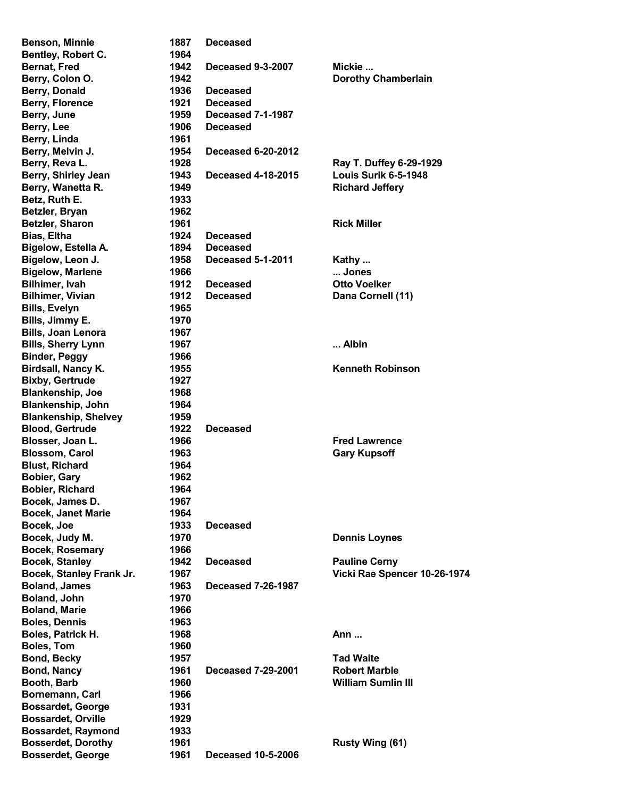| <b>Benson, Minnie</b>       | 1887 | <b>Deceased</b>           |                              |
|-----------------------------|------|---------------------------|------------------------------|
| Bentley, Robert C.          | 1964 |                           |                              |
| <b>Bernat, Fred</b>         | 1942 | <b>Deceased 9-3-2007</b>  | Mickie                       |
| Berry, Colon O.             | 1942 |                           | <b>Dorothy Chamberlain</b>   |
| Berry, Donald               | 1936 | <b>Deceased</b>           |                              |
| Berry, Florence             | 1921 | <b>Deceased</b>           |                              |
| Berry, June                 | 1959 | Deceased 7-1-1987         |                              |
| Berry, Lee                  | 1906 | <b>Deceased</b>           |                              |
| Berry, Linda                | 1961 |                           |                              |
| Berry, Melvin J.            | 1954 | <b>Deceased 6-20-2012</b> |                              |
| Berry, Reva L.              | 1928 |                           | Ray T. Duffey 6-29-1929      |
| Berry, Shirley Jean         | 1943 | <b>Deceased 4-18-2015</b> | Louis Surik 6-5-1948         |
| Berry, Wanetta R.           | 1949 |                           | <b>Richard Jeffery</b>       |
| Betz, Ruth E.               | 1933 |                           |                              |
| Betzler, Bryan              | 1962 |                           |                              |
| Betzler, Sharon             | 1961 |                           | <b>Rick Miller</b>           |
| <b>Bias, Eltha</b>          | 1924 | <b>Deceased</b>           |                              |
| Bigelow, Estella A.         | 1894 | <b>Deceased</b>           |                              |
| Bigelow, Leon J.            | 1958 | <b>Deceased 5-1-2011</b>  | Kathy                        |
| <b>Bigelow, Marlene</b>     | 1966 |                           | Jones                        |
| Bilhimer, Ivah              | 1912 | <b>Deceased</b>           | <b>Otto Voelker</b>          |
| <b>Bilhimer, Vivian</b>     | 1912 | <b>Deceased</b>           | Dana Cornell (11)            |
| <b>Bills, Evelyn</b>        | 1965 |                           |                              |
| Bills, Jimmy E.             | 1970 |                           |                              |
|                             |      |                           |                              |
| <b>Bills, Joan Lenora</b>   | 1967 |                           |                              |
| <b>Bills, Sherry Lynn</b>   | 1967 |                           | Albin                        |
| <b>Binder, Peggy</b>        | 1966 |                           |                              |
| Birdsall, Nancy K.          | 1955 |                           | <b>Kenneth Robinson</b>      |
| <b>Bixby, Gertrude</b>      | 1927 |                           |                              |
| <b>Blankenship, Joe</b>     | 1968 |                           |                              |
| <b>Blankenship, John</b>    | 1964 |                           |                              |
| <b>Blankenship, Shelvey</b> | 1959 |                           |                              |
| <b>Blood, Gertrude</b>      | 1922 | <b>Deceased</b>           |                              |
| Blosser, Joan L.            | 1966 |                           | <b>Fred Lawrence</b>         |
| <b>Blossom, Carol</b>       | 1963 |                           | <b>Gary Kupsoff</b>          |
| <b>Blust, Richard</b>       | 1964 |                           |                              |
| <b>Bobier, Gary</b>         | 1962 |                           |                              |
| Bobier, Richard             | 1964 |                           |                              |
| Bocek, James D.             | 1967 |                           |                              |
| <b>Bocek, Janet Marie</b>   | 1964 |                           |                              |
| Bocek, Joe                  | 1933 | <b>Deceased</b>           |                              |
| Bocek, Judy M.              | 1970 |                           | <b>Dennis Loynes</b>         |
| <b>Bocek, Rosemary</b>      | 1966 |                           |                              |
| <b>Bocek, Stanley</b>       | 1942 | <b>Deceased</b>           | <b>Pauline Cerny</b>         |
| Bocek, Stanley Frank Jr.    | 1967 |                           | Vicki Rae Spencer 10-26-1974 |
| <b>Boland, James</b>        | 1963 | <b>Deceased 7-26-1987</b> |                              |
| Boland, John                | 1970 |                           |                              |
| <b>Boland, Marie</b>        | 1966 |                           |                              |
| <b>Boles, Dennis</b>        | 1963 |                           |                              |
| Boles, Patrick H.           | 1968 |                           | Ann                          |
| <b>Boles, Tom</b>           | 1960 |                           |                              |
| <b>Bond, Becky</b>          | 1957 |                           | <b>Tad Waite</b>             |
| <b>Bond, Nancy</b>          | 1961 | <b>Deceased 7-29-2001</b> | <b>Robert Marble</b>         |
| Booth, Barb                 | 1960 |                           | <b>William Sumlin III</b>    |
| Bornemann, Carl             | 1966 |                           |                              |
| <b>Bossardet, George</b>    | 1931 |                           |                              |
| <b>Bossardet, Orville</b>   | 1929 |                           |                              |
| <b>Bossardet, Raymond</b>   | 1933 |                           |                              |
| <b>Bosserdet, Dorothy</b>   | 1961 |                           | Rusty Wing (61)              |
| Bosserdet, George           | 1961 | <b>Deceased 10-5-2006</b> |                              |
|                             |      |                           |                              |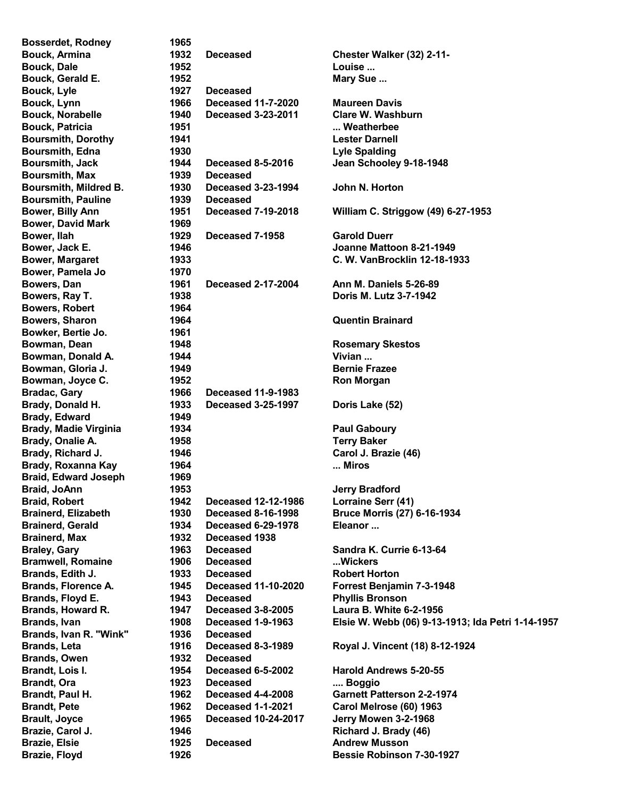| <b>Bosserdet, Rodney</b>     | 1965 |                            |                                                   |
|------------------------------|------|----------------------------|---------------------------------------------------|
| <b>Bouck, Armina</b>         | 1932 | <b>Deceased</b>            | Chester Walker (32) 2-11-                         |
| <b>Bouck, Dale</b>           | 1952 |                            | Louise                                            |
| Bouck, Gerald E.             | 1952 |                            | Mary Sue                                          |
| Bouck, Lyle                  | 1927 | <b>Deceased</b>            |                                                   |
| Bouck, Lynn                  | 1966 | <b>Deceased 11-7-2020</b>  | <b>Maureen Davis</b>                              |
| <b>Bouck, Norabelle</b>      | 1940 | <b>Deceased 3-23-2011</b>  | <b>Clare W. Washburn</b>                          |
| <b>Bouck, Patricia</b>       | 1951 |                            | Weatherbee                                        |
| <b>Boursmith, Dorothy</b>    | 1941 |                            | <b>Lester Darnell</b>                             |
| <b>Boursmith, Edna</b>       | 1930 |                            | <b>Lyle Spalding</b>                              |
| <b>Boursmith, Jack</b>       | 1944 | <b>Deceased 8-5-2016</b>   | Jean Schooley 9-18-1948                           |
| <b>Boursmith, Max</b>        | 1939 | <b>Deceased</b>            |                                                   |
| Boursmith, Mildred B.        | 1930 | <b>Deceased 3-23-1994</b>  | John N. Horton                                    |
| <b>Boursmith, Pauline</b>    | 1939 | <b>Deceased</b>            |                                                   |
| Bower, Billy Ann             | 1951 | <b>Deceased 7-19-2018</b>  | William C. Striggow (49) 6-27-1953                |
| <b>Bower, David Mark</b>     | 1969 |                            |                                                   |
| Bower, Ilah                  | 1929 | Deceased 7-1958            | <b>Garold Duerr</b>                               |
| Bower, Jack E.               | 1946 |                            | Joanne Mattoon 8-21-1949                          |
| <b>Bower, Margaret</b>       | 1933 |                            | C. W. VanBrocklin 12-18-1933                      |
| Bower, Pamela Jo             |      |                            |                                                   |
|                              | 1970 |                            |                                                   |
| Bowers, Dan                  | 1961 | <b>Deceased 2-17-2004</b>  | Ann M. Daniels 5-26-89                            |
| Bowers, Ray T.               | 1938 |                            | Doris M. Lutz 3-7-1942                            |
| <b>Bowers, Robert</b>        | 1964 |                            |                                                   |
| <b>Bowers, Sharon</b>        | 1964 |                            | <b>Quentin Brainard</b>                           |
| Bowker, Bertie Jo.           | 1961 |                            |                                                   |
| Bowman, Dean                 | 1948 |                            | <b>Rosemary Skestos</b>                           |
| Bowman, Donald A.            | 1944 |                            | Vivian                                            |
| Bowman, Gloria J.            | 1949 |                            | <b>Bernie Frazee</b>                              |
| Bowman, Joyce C.             | 1952 |                            | <b>Ron Morgan</b>                                 |
| <b>Bradac, Gary</b>          | 1966 | <b>Deceased 11-9-1983</b>  |                                                   |
| Brady, Donald H.             | 1933 | <b>Deceased 3-25-1997</b>  | Doris Lake (52)                                   |
| <b>Brady, Edward</b>         | 1949 |                            |                                                   |
| <b>Brady, Madie Virginia</b> | 1934 |                            | <b>Paul Gaboury</b>                               |
| Brady, Onalie A.             | 1958 |                            | <b>Terry Baker</b>                                |
| Brady, Richard J.            | 1946 |                            | Carol J. Brazie (46)                              |
| <b>Brady, Roxanna Kay</b>    | 1964 |                            | Miros                                             |
| <b>Braid, Edward Joseph</b>  | 1969 |                            |                                                   |
| Braid, JoAnn                 | 1953 |                            | <b>Jerry Bradford</b>                             |
| <b>Braid, Robert</b>         | 1942 | <b>Deceased 12-12-1986</b> | Lorraine Serr (41)                                |
| <b>Brainerd, Elizabeth</b>   | 1930 | <b>Deceased 8-16-1998</b>  | <b>Bruce Morris (27) 6-16-1934</b>                |
| <b>Brainerd, Gerald</b>      | 1934 | <b>Deceased 6-29-1978</b>  | Eleanor                                           |
| <b>Brainerd, Max</b>         | 1932 | Deceased 1938              |                                                   |
| <b>Braley, Gary</b>          | 1963 | <b>Deceased</b>            | Sandra K. Currie 6-13-64                          |
| <b>Bramwell, Romaine</b>     | 1906 | <b>Deceased</b>            | Wickers                                           |
| Brands, Edith J.             | 1933 | <b>Deceased</b>            | <b>Robert Horton</b>                              |
| <b>Brands, Florence A.</b>   | 1945 | <b>Deceased 11-10-2020</b> | Forrest Benjamin 7-3-1948                         |
| Brands, Floyd E.             | 1943 | <b>Deceased</b>            | <b>Phyllis Bronson</b>                            |
| <b>Brands, Howard R.</b>     | 1947 | <b>Deceased 3-8-2005</b>   | Laura B. White 6-2-1956                           |
| <b>Brands, Ivan</b>          | 1908 | Deceased 1-9-1963          | Elsie W. Webb (06) 9-13-1913; Ida Petri 1-14-1957 |
| Brands, Ivan R. "Wink"       | 1936 | <b>Deceased</b>            |                                                   |
| <b>Brands, Leta</b>          | 1916 | <b>Deceased 8-3-1989</b>   | Royal J. Vincent (18) 8-12-1924                   |
|                              | 1932 |                            |                                                   |
| <b>Brands, Owen</b>          |      | <b>Deceased</b>            |                                                   |
| Brandt, Lois I.              | 1954 | Deceased 6-5-2002          | <b>Harold Andrews 5-20-55</b>                     |
| <b>Brandt, Ora</b>           | 1923 | <b>Deceased</b>            | Boggio                                            |
| Brandt, Paul H.              | 1962 | Deceased 4-4-2008          | <b>Garnett Patterson 2-2-1974</b>                 |
| <b>Brandt, Pete</b>          | 1962 | <b>Deceased 1-1-2021</b>   | Carol Melrose (60) 1963                           |
| <b>Brault, Joyce</b>         | 1965 | <b>Deceased 10-24-2017</b> | Jerry Mowen 3-2-1968                              |
| Brazie, Carol J.             | 1946 |                            | Richard J. Brady (46)                             |
| <b>Brazie, Elsie</b>         | 1925 | <b>Deceased</b>            | <b>Andrew Musson</b>                              |
| Brazie, Floyd                | 1926 |                            | Bessie Robinson 7-30-1927                         |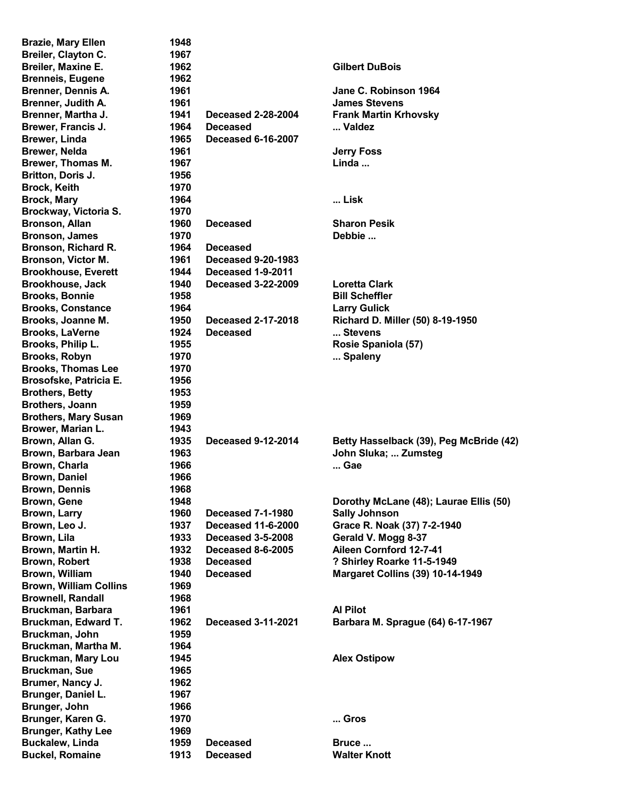| <b>Brazie, Mary Ellen</b>                 | 1948 |                           |                                         |
|-------------------------------------------|------|---------------------------|-----------------------------------------|
| Breiler, Clayton C.                       | 1967 |                           |                                         |
| Breiler, Maxine E.                        | 1962 |                           | <b>Gilbert DuBois</b>                   |
| <b>Brenneis, Eugene</b>                   | 1962 |                           |                                         |
| <b>Brenner, Dennis A.</b>                 | 1961 |                           | Jane C. Robinson 1964                   |
| Brenner, Judith A.                        | 1961 |                           | <b>James Stevens</b>                    |
| Brenner, Martha J.                        | 1941 | <b>Deceased 2-28-2004</b> | <b>Frank Martin Krhovsky</b>            |
| Brewer, Francis J.                        | 1964 | <b>Deceased</b>           | Valdez                                  |
| <b>Brewer, Linda</b>                      | 1965 | <b>Deceased 6-16-2007</b> |                                         |
| <b>Brewer, Nelda</b>                      | 1961 |                           | <b>Jerry Foss</b>                       |
| Brewer, Thomas M.                         | 1967 |                           | Linda                                   |
| Britton, Doris J.                         | 1956 |                           |                                         |
| <b>Brock, Keith</b>                       | 1970 |                           |                                         |
| <b>Brock, Mary</b>                        | 1964 |                           | Lisk                                    |
| Brockway, Victoria S.                     | 1970 |                           |                                         |
| <b>Bronson, Allan</b>                     | 1960 | <b>Deceased</b>           | <b>Sharon Pesik</b>                     |
| <b>Bronson, James</b>                     | 1970 |                           | Debbie                                  |
| Bronson, Richard R.                       | 1964 | <b>Deceased</b>           |                                         |
| <b>Bronson, Victor M.</b>                 | 1961 | <b>Deceased 9-20-1983</b> |                                         |
| <b>Brookhouse, Everett</b>                | 1944 | Deceased 1-9-2011         |                                         |
| <b>Brookhouse, Jack</b>                   | 1940 | <b>Deceased 3-22-2009</b> | <b>Loretta Clark</b>                    |
| <b>Brooks, Bonnie</b>                     | 1958 |                           | <b>Bill Scheffler</b>                   |
| <b>Brooks, Constance</b>                  | 1964 |                           | <b>Larry Gulick</b>                     |
| Brooks, Joanne M.                         | 1950 | Deceased 2-17-2018        | Richard D. Miller (50) 8-19-1950        |
| <b>Brooks, LaVerne</b>                    | 1924 | <b>Deceased</b>           | Stevens                                 |
| Brooks, Philip L.                         | 1955 |                           | Rosie Spaniola (57)                     |
| <b>Brooks, Robyn</b>                      | 1970 |                           | Spaleny                                 |
| <b>Brooks, Thomas Lee</b>                 | 1970 |                           |                                         |
|                                           |      |                           |                                         |
| Brosofske, Patricia E.                    | 1956 |                           |                                         |
| <b>Brothers, Betty</b><br>Brothers, Joann | 1953 |                           |                                         |
|                                           | 1959 |                           |                                         |
| <b>Brothers, Mary Susan</b>               | 1969 |                           |                                         |
| Brower, Marian L.                         | 1943 |                           |                                         |
| Brown, Allan G.<br>Brown, Barbara Jean    | 1935 | <b>Deceased 9-12-2014</b> | Betty Hasselback (39), Peg McBride (42) |
|                                           | 1963 |                           | John Sluka;  Zumsteg                    |
| Brown, Charla                             | 1966 |                           | Gae                                     |
| <b>Brown, Daniel</b>                      | 1966 |                           |                                         |
| <b>Brown, Dennis</b>                      | 1968 |                           |                                         |
| Brown, Gene                               | 1948 |                           | Dorothy McLane (48); Laurae Ellis (50)  |
| Brown, Larry                              | 1960 | <b>Deceased 7-1-1980</b>  | <b>Sally Johnson</b>                    |
| Brown, Leo J.                             | 1937 | <b>Deceased 11-6-2000</b> | Grace R. Noak (37) 7-2-1940             |
| Brown, Lila                               | 1933 | <b>Deceased 3-5-2008</b>  | Gerald V. Mogg 8-37                     |
| Brown, Martin H.                          | 1932 | <b>Deceased 8-6-2005</b>  | Aileen Cornford 12-7-41                 |
| <b>Brown, Robert</b>                      | 1938 | <b>Deceased</b>           | ? Shirley Roarke 11-5-1949              |
| Brown, William                            | 1940 | <b>Deceased</b>           | <b>Margaret Collins (39) 10-14-1949</b> |
| <b>Brown, William Collins</b>             | 1969 |                           |                                         |
| <b>Brownell, Randall</b>                  | 1968 |                           |                                         |
| Bruckman, Barbara                         | 1961 |                           | <b>Al Pilot</b>                         |
| Bruckman, Edward T.                       | 1962 | <b>Deceased 3-11-2021</b> | Barbara M. Sprague (64) 6-17-1967       |
| Bruckman, John                            | 1959 |                           |                                         |
| Bruckman, Martha M.                       | 1964 |                           |                                         |
| <b>Bruckman, Mary Lou</b>                 | 1945 |                           | <b>Alex Ostipow</b>                     |
| <b>Bruckman, Sue</b>                      | 1965 |                           |                                         |
| Brumer, Nancy J.                          | 1962 |                           |                                         |
| Brunger, Daniel L.                        | 1967 |                           |                                         |
| Brunger, John                             | 1966 |                           |                                         |
| Brunger, Karen G.                         | 1970 |                           | Gros                                    |
| <b>Brunger, Kathy Lee</b>                 | 1969 |                           |                                         |
| <b>Buckalew, Linda</b>                    | 1959 | <b>Deceased</b>           | Bruce                                   |
| <b>Buckel, Romaine</b>                    | 1913 | <b>Deceased</b>           | <b>Walter Knott</b>                     |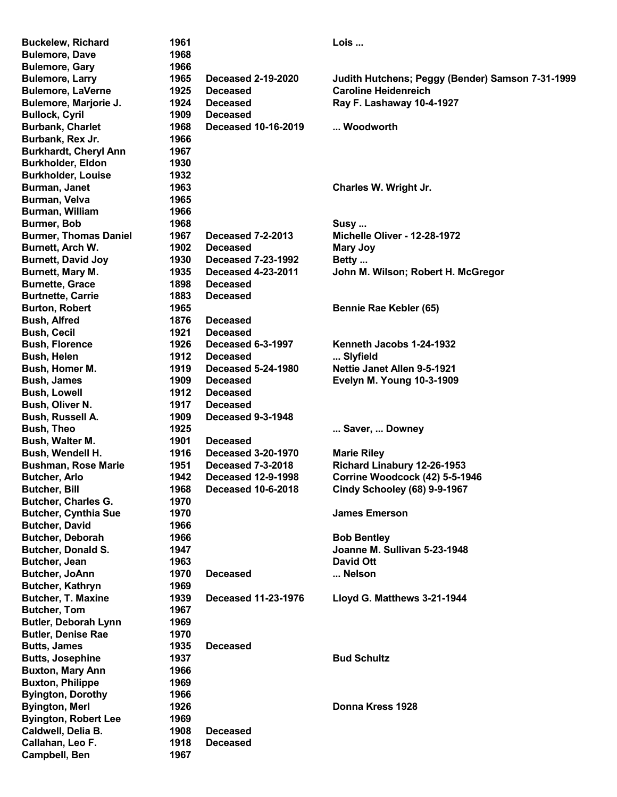Buckelew, Richard **1961 Communist Example 2018** Lois ... Bulemore, Dave 1968 Bulemore, Gary 1966 Bulemore, Larry 1965 Deceased 2-19-2020 Judith Hutchens; Peggy (Bender) Samson 7-31-1999 Bulemore, LaVerne **1925** Deceased Caroline Heidenreich Bulemore, Marjorie J. 1924 Deceased Ray F. Lashaway 10-4-1927 Bullock, Cyril 1909 Deceased Burbank, Charlet 1968 Deceased 10-16-2019 ... Woodworth Burbank, Rex Jr. 1966 Burkhardt, Cheryl Ann 1967 Burkholder, Eldon 1930 Burkholder, Louise 1932 Burman, Janet **1963** Charles W. Wright Jr. Burman, Velva 1965 Burman, William 1966 Burmer, Bob 1968 Susy ... Burmer, Thomas Daniel 1967 Deceased 7-2-2013 Michelle Oliver - 12-28-1972 Burnett, Arch W. 1902 Deceased Mary Joy Burnett, David Joy 1930 Deceased 7-23-1992 Betty ... Burnett, Mary M. 1935 Deceased 4-23-2011 John M. Wilson; Robert H. McGregor Burnette, Grace 1898 Deceased Burtnette, Carrie 1883 Deceased Burton, Robert **1965** Bennie Rae Kebler (65) Bush, Alfred 1876 Deceased Bush, Cecil 1921 Deceased Bush, Florence 1926 Deceased 6-3-1997 Kenneth Jacobs 1-24-1932 Bush, Helen 1912 Deceased ... Slyfield Bush, Homer M. 1919 Deceased 5-24-1980 Nettie Janet Allen 9-5-1921 Bush, James 1909 Deceased Evelyn M. Young 10-3-1909 Bush, Lowell 1912 Deceased Bush, Oliver N. 1917 Deceased Bush, Russell A. 1909 Deceased 9-3-1948 Bush, Theo **1925** ... Saver, ... Downey **Bush, Theo** Bush, Walter M. 1901 Deceased Bush, Wendell H. 1916 Deceased 3-20-1970 Marie Riley Bushman, Rose Marie 1951 Deceased 7-3-2018 Richard Linabury 12-26-1953 Butcher, Arlo 1942 Deceased 12-9-1998 Corrine Woodcock (42) 5-5-1946 Butcher, Bill 1968 Deceased 10-6-2018 Cindy Schooley (68) 9-9-1967 Butcher, Charles G. 1970 Butcher, Cynthia Sue **1970 Container System Strategier Strategier Strategier Strategier Strategier Strategier Strategier Strategier Strategier Strategier Strategier Strategier Strategier Strategier Strategier Strategier** Butcher, David 1966 Butcher, Deborah 1966 **Butcher, Deborah 1966** Bob Bentley Butcher, Donald S. 1947 **1947** Joanne M. Sullivan 5-23-1948 Butcher, Jean 1963 David Ott Butcher, JoAnn 1970 Deceased ... Nelson Butcher, Kathryn 1969 Butcher, T. Maxine 1939 Deceased 11-23-1976 Lloyd G. Matthews 3-21-1944 Butcher, Tom 1967 Butler, Deborah Lynn 1969 Butler, Denise Rae 1970 Butts, James 1935 Deceased Butts, Josephine **1937 Bud Schultz Bud Schultz** Buxton, Mary Ann 1966 Buxton, Philippe 1969 Byington, Dorothy 1966 Byington, Merl 1926 Donna Kress 1928 Byington, Robert Lee 1969 Caldwell, Delia B. 1908 Deceased Callahan, Leo F. 1918 Deceased Campbell, Ben 1967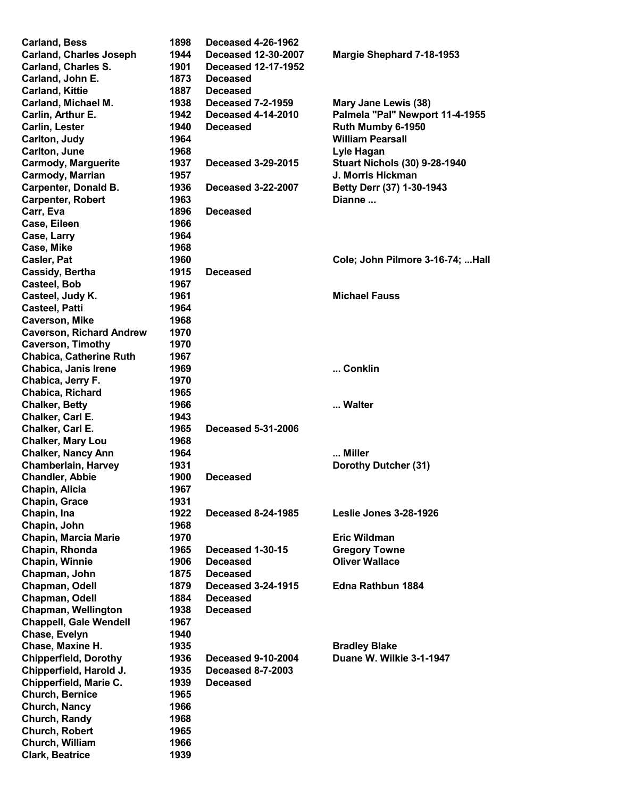| <b>Carland, Bess</b>            | 1898 | <b>Deceased 4-26-1962</b>  |                                      |
|---------------------------------|------|----------------------------|--------------------------------------|
| <b>Carland, Charles Joseph</b>  | 1944 | <b>Deceased 12-30-2007</b> | Margie Shephard 7-18-1953            |
| <b>Carland, Charles S.</b>      | 1901 | <b>Deceased 12-17-1952</b> |                                      |
| Carland, John E.                | 1873 | <b>Deceased</b>            |                                      |
| <b>Carland, Kittie</b>          | 1887 | <b>Deceased</b>            |                                      |
| Carland, Michael M.             | 1938 | <b>Deceased 7-2-1959</b>   | Mary Jane Lewis (38)                 |
| Carlin, Arthur E.               | 1942 | <b>Deceased 4-14-2010</b>  | Palmela "Pal" Newport 11-4-1955      |
|                                 | 1940 | <b>Deceased</b>            |                                      |
| <b>Carlin, Lester</b>           |      |                            | Ruth Mumby 6-1950                    |
| Carlton, Judy                   | 1964 |                            | <b>William Pearsall</b>              |
| Carlton, June                   | 1968 |                            | Lyle Hagan                           |
| <b>Carmody, Marguerite</b>      | 1937 | Deceased 3-29-2015         | <b>Stuart Nichols (30) 9-28-1940</b> |
| Carmody, Marrian                | 1957 |                            | J. Morris Hickman                    |
| <b>Carpenter, Donald B.</b>     | 1936 | <b>Deceased 3-22-2007</b>  | Betty Derr (37) 1-30-1943            |
| <b>Carpenter, Robert</b>        | 1963 |                            | Dianne                               |
| Carr, Eva                       | 1896 | <b>Deceased</b>            |                                      |
| Case, Eileen                    | 1966 |                            |                                      |
| Case, Larry                     | 1964 |                            |                                      |
| Case, Mike                      | 1968 |                            |                                      |
|                                 |      |                            |                                      |
| Casler, Pat                     | 1960 |                            | Cole; John Pilmore 3-16-74;  Hall    |
| Cassidy, Bertha                 | 1915 | <b>Deceased</b>            |                                      |
| <b>Casteel, Bob</b>             | 1967 |                            |                                      |
| Casteel, Judy K.                | 1961 |                            | <b>Michael Fauss</b>                 |
| <b>Casteel, Patti</b>           | 1964 |                            |                                      |
| <b>Caverson, Mike</b>           | 1968 |                            |                                      |
| <b>Caverson, Richard Andrew</b> | 1970 |                            |                                      |
| <b>Caverson, Timothy</b>        | 1970 |                            |                                      |
| <b>Chabica, Catherine Ruth</b>  | 1967 |                            |                                      |
| Chabica, Janis Irene            | 1969 |                            | Conklin                              |
| Chabica, Jerry F.               | 1970 |                            |                                      |
|                                 |      |                            |                                      |
| Chabica, Richard                | 1965 |                            |                                      |
| <b>Chalker, Betty</b>           | 1966 |                            | Walter                               |
| Chalker, Carl E.                | 1943 |                            |                                      |
| Chalker, Carl E.                | 1965 | <b>Deceased 5-31-2006</b>  |                                      |
| <b>Chalker, Mary Lou</b>        | 1968 |                            |                                      |
| <b>Chalker, Nancy Ann</b>       | 1964 |                            | Miller                               |
| <b>Chamberlain, Harvey</b>      | 1931 |                            | Dorothy Dutcher (31)                 |
| <b>Chandler, Abbie</b>          | 1900 | <b>Deceased</b>            |                                      |
| Chapin, Alicia                  | 1967 |                            |                                      |
| Chapin, Grace                   | 1931 |                            |                                      |
| Chapin, Ina                     | 1922 | <b>Deceased 8-24-1985</b>  | <b>Leslie Jones 3-28-1926</b>        |
| Chapin, John                    | 1968 |                            |                                      |
|                                 |      |                            |                                      |
| <b>Chapin, Marcia Marie</b>     | 1970 |                            | <b>Eric Wildman</b>                  |
| Chapin, Rhonda                  | 1965 | Deceased 1-30-15           | <b>Gregory Towne</b>                 |
| Chapin, Winnie                  | 1906 | <b>Deceased</b>            | <b>Oliver Wallace</b>                |
| Chapman, John                   | 1875 | <b>Deceased</b>            |                                      |
| Chapman, Odell                  | 1879 | <b>Deceased 3-24-1915</b>  | Edna Rathbun 1884                    |
| Chapman, Odell                  | 1884 | <b>Deceased</b>            |                                      |
| <b>Chapman, Wellington</b>      | 1938 | <b>Deceased</b>            |                                      |
| <b>Chappell, Gale Wendell</b>   | 1967 |                            |                                      |
| Chase, Evelyn                   | 1940 |                            |                                      |
| Chase, Maxine H.                | 1935 |                            | <b>Bradley Blake</b>                 |
| <b>Chipperfield, Dorothy</b>    | 1936 | <b>Deceased 9-10-2004</b>  | Duane W. Wilkie 3-1-1947             |
| Chipperfield, Harold J.         | 1935 | <b>Deceased 8-7-2003</b>   |                                      |
|                                 | 1939 | <b>Deceased</b>            |                                      |
| Chipperfield, Marie C.          |      |                            |                                      |
| <b>Church, Bernice</b>          | 1965 |                            |                                      |
| Church, Nancy                   | 1966 |                            |                                      |
| Church, Randy                   | 1968 |                            |                                      |
| Church, Robert                  | 1965 |                            |                                      |
| Church, William                 | 1966 |                            |                                      |
| <b>Clark, Beatrice</b>          | 1939 |                            |                                      |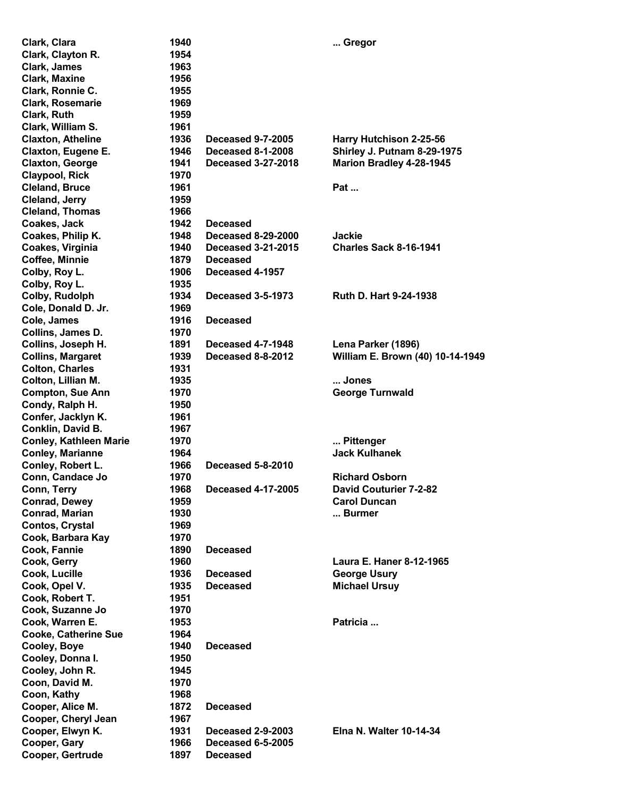| Clark, Clara                  | 1940 |                           | Gregor                            |
|-------------------------------|------|---------------------------|-----------------------------------|
| Clark, Clayton R.             | 1954 |                           |                                   |
| Clark, James                  | 1963 |                           |                                   |
| <b>Clark, Maxine</b>          | 1956 |                           |                                   |
| Clark, Ronnie C.              | 1955 |                           |                                   |
| Clark, Rosemarie              | 1969 |                           |                                   |
| Clark, Ruth                   | 1959 |                           |                                   |
| Clark, William S.             | 1961 |                           |                                   |
| <b>Claxton, Atheline</b>      | 1936 | <b>Deceased 9-7-2005</b>  | Harry Hutchison 2-25-56           |
| Claxton, Eugene E.            | 1946 | <b>Deceased 8-1-2008</b>  | Shirley J. Putnam 8-29-1975       |
| <b>Claxton, George</b>        | 1941 | <b>Deceased 3-27-2018</b> | Marion Bradley 4-28-1945          |
| <b>Claypool, Rick</b>         | 1970 |                           |                                   |
| <b>Cleland, Bruce</b>         | 1961 |                           | Pat                               |
| <b>Cleland, Jerry</b>         | 1959 |                           |                                   |
| <b>Cleland, Thomas</b>        | 1966 |                           |                                   |
| Coakes, Jack                  | 1942 | <b>Deceased</b>           |                                   |
| Coakes, Philip K.             | 1948 | <b>Deceased 8-29-2000</b> | <b>Jackie</b>                     |
| Coakes, Virginia              | 1940 | <b>Deceased 3-21-2015</b> | <b>Charles Sack 8-16-1941</b>     |
| Coffee, Minnie                | 1879 | <b>Deceased</b>           |                                   |
| Colby, Roy L.                 | 1906 | Deceased 4-1957           |                                   |
| Colby, Roy L.                 | 1935 |                           |                                   |
| Colby, Rudolph                | 1934 | <b>Deceased 3-5-1973</b>  | Ruth D. Hart 9-24-1938            |
| Cole, Donald D. Jr.           | 1969 |                           |                                   |
| Cole, James                   | 1916 | <b>Deceased</b>           |                                   |
| Collins, James D.             | 1970 |                           |                                   |
| Collins, Joseph H.            | 1891 | <b>Deceased 4-7-1948</b>  | Lena Parker (1896)                |
| <b>Collins, Margaret</b>      | 1939 | Deceased 8-8-2012         | William E. Brown (40) 10-14-1949  |
| <b>Colton, Charles</b>        | 1931 |                           |                                   |
| Colton, Lillian M.            | 1935 |                           | Jones                             |
| <b>Compton, Sue Ann</b>       | 1970 |                           | <b>George Turnwald</b>            |
| Condy, Ralph H.               | 1950 |                           |                                   |
|                               | 1961 |                           |                                   |
| Confer, Jacklyn K.            |      |                           |                                   |
| Conklin, David B.             | 1967 |                           |                                   |
| <b>Conley, Kathleen Marie</b> | 1970 |                           | Pittenger<br><b>Jack Kulhanek</b> |
| <b>Conley, Marianne</b>       | 1964 |                           |                                   |
| Conley, Robert L.             | 1966 | <b>Deceased 5-8-2010</b>  |                                   |
| Conn, Candace Jo              | 1970 |                           | <b>Richard Osborn</b>             |
| Conn, Terry                   | 1968 | <b>Deceased 4-17-2005</b> | <b>David Couturier 7-2-82</b>     |
| <b>Conrad, Dewey</b>          | 1959 |                           | <b>Carol Duncan</b>               |
| <b>Conrad, Marian</b>         | 1930 |                           | Burmer                            |
| <b>Contos, Crystal</b>        | 1969 |                           |                                   |
| Cook, Barbara Kay             | 1970 |                           |                                   |
| Cook, Fannie                  | 1890 | <b>Deceased</b>           |                                   |
| Cook, Gerry                   | 1960 |                           | Laura E. Haner 8-12-1965          |
| Cook, Lucille                 | 1936 | <b>Deceased</b>           | <b>George Usury</b>               |
| Cook, Opel V.                 | 1935 | <b>Deceased</b>           | <b>Michael Ursuy</b>              |
| Cook, Robert T.               | 1951 |                           |                                   |
| Cook, Suzanne Jo              | 1970 |                           |                                   |
| Cook, Warren E.               | 1953 |                           | Patricia                          |
| <b>Cooke, Catherine Sue</b>   | 1964 |                           |                                   |
| Cooley, Boye                  | 1940 | <b>Deceased</b>           |                                   |
| Cooley, Donna I.              | 1950 |                           |                                   |
| Cooley, John R.               | 1945 |                           |                                   |
| Coon, David M.                | 1970 |                           |                                   |
| Coon, Kathy                   | 1968 |                           |                                   |
| Cooper, Alice M.              | 1872 | <b>Deceased</b>           |                                   |
| Cooper, Cheryl Jean           | 1967 |                           |                                   |
| Cooper, Elwyn K.              | 1931 | <b>Deceased 2-9-2003</b>  | <b>Elna N. Walter 10-14-34</b>    |
| Cooper, Gary                  | 1966 | <b>Deceased 6-5-2005</b>  |                                   |
| Cooper, Gertrude              | 1897 | <b>Deceased</b>           |                                   |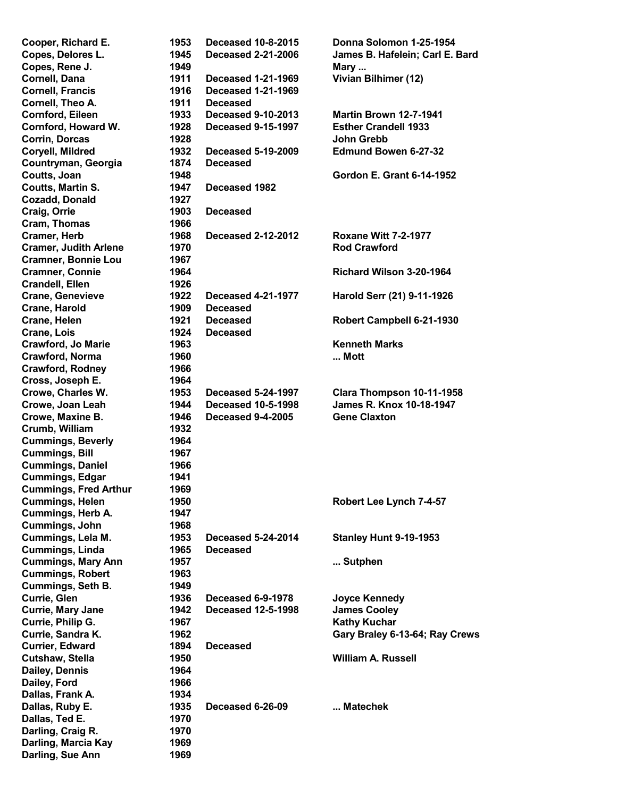| Cooper, Richard E.           | 1953 | <b>Deceased 10-8-2015</b> | Donna Solomon 1-25-1954          |
|------------------------------|------|---------------------------|----------------------------------|
| Copes, Delores L.            | 1945 | <b>Deceased 2-21-2006</b> | James B. Hafelein; Carl E. Bard  |
| Copes, Rene J.               | 1949 |                           | Mary                             |
| Cornell, Dana                | 1911 | <b>Deceased 1-21-1969</b> | Vivian Bilhimer (12)             |
| <b>Cornell, Francis</b>      | 1916 | <b>Deceased 1-21-1969</b> |                                  |
| Cornell, Theo A.             | 1911 | <b>Deceased</b>           |                                  |
| Cornford, Eileen             | 1933 | <b>Deceased 9-10-2013</b> | <b>Martin Brown 12-7-1941</b>    |
| Cornford, Howard W.          | 1928 | <b>Deceased 9-15-1997</b> | <b>Esther Crandell 1933</b>      |
| Corrin, Dorcas               | 1928 |                           | <b>John Grebb</b>                |
| Coryell, Mildred             | 1932 | <b>Deceased 5-19-2009</b> | <b>Edmund Bowen 6-27-32</b>      |
| Countryman, Georgia          | 1874 | <b>Deceased</b>           |                                  |
| Coutts, Joan                 | 1948 |                           | <b>Gordon E. Grant 6-14-1952</b> |
|                              | 1947 | Deceased 1982             |                                  |
| <b>Coutts, Martin S.</b>     |      |                           |                                  |
| <b>Cozadd, Donald</b>        | 1927 |                           |                                  |
| Craig, Orrie                 | 1903 | <b>Deceased</b>           |                                  |
| Cram, Thomas                 | 1966 |                           |                                  |
| <b>Cramer, Herb</b>          | 1968 | <b>Deceased 2-12-2012</b> | <b>Roxane Witt 7-2-1977</b>      |
| <b>Cramer, Judith Arlene</b> | 1970 |                           | <b>Rod Crawford</b>              |
| <b>Cramner, Bonnie Lou</b>   | 1967 |                           |                                  |
| <b>Cramner, Connie</b>       | 1964 |                           | Richard Wilson 3-20-1964         |
| <b>Crandell, Ellen</b>       | 1926 |                           |                                  |
| <b>Crane, Genevieve</b>      | 1922 | <b>Deceased 4-21-1977</b> | Harold Serr (21) 9-11-1926       |
| Crane, Harold                | 1909 | <b>Deceased</b>           |                                  |
| Crane, Helen                 | 1921 | <b>Deceased</b>           | Robert Campbell 6-21-1930        |
| Crane, Lois                  | 1924 | <b>Deceased</b>           |                                  |
| <b>Crawford, Jo Marie</b>    | 1963 |                           | <b>Kenneth Marks</b>             |
| Crawford, Norma              | 1960 |                           | Mott                             |
| <b>Crawford, Rodney</b>      | 1966 |                           |                                  |
| Cross, Joseph E.             | 1964 |                           |                                  |
| Crowe, Charles W.            | 1953 | <b>Deceased 5-24-1997</b> | Clara Thompson 10-11-1958        |
| Crowe, Joan Leah             | 1944 | <b>Deceased 10-5-1998</b> | James R. Knox 10-18-1947         |
| Crowe, Maxine B.             | 1946 | <b>Deceased 9-4-2005</b>  | <b>Gene Claxton</b>              |
| Crumb, William               | 1932 |                           |                                  |
| <b>Cummings, Beverly</b>     | 1964 |                           |                                  |
| <b>Cummings, Bill</b>        | 1967 |                           |                                  |
| <b>Cummings, Daniel</b>      | 1966 |                           |                                  |
| <b>Cummings, Edgar</b>       | 1941 |                           |                                  |
|                              |      |                           |                                  |
| <b>Cummings, Fred Arthur</b> | 1969 |                           |                                  |
| <b>Cummings, Helen</b>       | 1950 |                           | Robert Lee Lynch 7-4-57          |
| Cummings, Herb A.            | 1947 |                           |                                  |
| Cummings, John               | 1968 |                           |                                  |
| Cummings, Lela M.            | 1953 | <b>Deceased 5-24-2014</b> | <b>Stanley Hunt 9-19-1953</b>    |
| Cummings, Linda              | 1965 | <b>Deceased</b>           |                                  |
| <b>Cummings, Mary Ann</b>    | 1957 |                           | Sutphen                          |
| <b>Cummings, Robert</b>      | 1963 |                           |                                  |
| <b>Cummings, Seth B.</b>     | 1949 |                           |                                  |
| Currie, Glen                 | 1936 | <b>Deceased 6-9-1978</b>  | <b>Joyce Kennedy</b>             |
| Currie, Mary Jane            | 1942 | <b>Deceased 12-5-1998</b> | <b>James Cooley</b>              |
| Currie, Philip G.            | 1967 |                           | <b>Kathy Kuchar</b>              |
| Currie, Sandra K.            | 1962 |                           | Gary Braley 6-13-64; Ray Crews   |
| <b>Currier, Edward</b>       | 1894 | <b>Deceased</b>           |                                  |
| Cutshaw, Stella              | 1950 |                           | <b>William A. Russell</b>        |
| Dailey, Dennis               | 1964 |                           |                                  |
| Dailey, Ford                 | 1966 |                           |                                  |
| Dallas, Frank A.             | 1934 |                           |                                  |
| Dallas, Ruby E.              | 1935 | Deceased 6-26-09          | Matechek                         |
| Dallas, Ted E.               | 1970 |                           |                                  |
| Darling, Craig R.            | 1970 |                           |                                  |
| Darling, Marcia Kay          | 1969 |                           |                                  |
| Darling, Sue Ann             | 1969 |                           |                                  |
|                              |      |                           |                                  |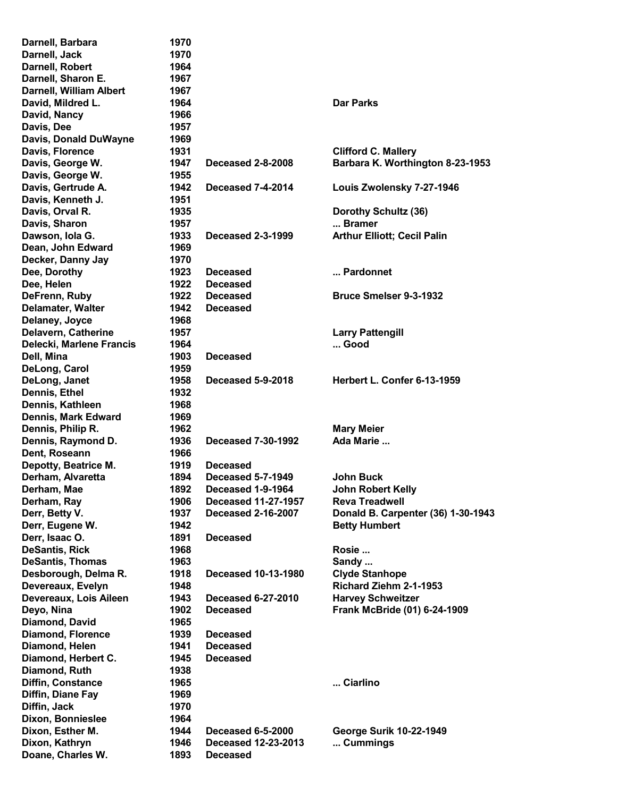| Darnell, Barbara               | 1970 |                            |                                    |
|--------------------------------|------|----------------------------|------------------------------------|
| Darnell, Jack                  | 1970 |                            |                                    |
| Darnell, Robert                | 1964 |                            |                                    |
| Darnell, Sharon E.             | 1967 |                            |                                    |
| <b>Darnell, William Albert</b> | 1967 |                            |                                    |
| David, Mildred L.              | 1964 |                            | <b>Dar Parks</b>                   |
| David, Nancy                   | 1966 |                            |                                    |
| Davis, Dee                     | 1957 |                            |                                    |
| Davis, Donald DuWayne          | 1969 |                            |                                    |
| Davis, Florence                | 1931 |                            | <b>Clifford C. Mallery</b>         |
| Davis, George W.               | 1947 | <b>Deceased 2-8-2008</b>   | Barbara K. Worthington 8-23-1953   |
| Davis, George W.               | 1955 |                            |                                    |
| Davis, Gertrude A.             | 1942 | <b>Deceased 7-4-2014</b>   | Louis Zwolensky 7-27-1946          |
| Davis, Kenneth J.              | 1951 |                            |                                    |
| Davis, Orval R.                | 1935 |                            | Dorothy Schultz (36)               |
| Davis, Sharon                  | 1957 |                            | Bramer                             |
| Dawson, Iola G.                | 1933 | <b>Deceased 2-3-1999</b>   | <b>Arthur Elliott; Cecil Palin</b> |
| Dean, John Edward              | 1969 |                            |                                    |
| Decker, Danny Jay              | 1970 |                            |                                    |
| Dee, Dorothy                   | 1923 | <b>Deceased</b>            | Pardonnet                          |
| Dee, Helen                     | 1922 | <b>Deceased</b>            |                                    |
| DeFrenn, Ruby                  | 1922 | <b>Deceased</b>            | <b>Bruce Smelser 9-3-1932</b>      |
| Delamater, Walter              | 1942 | <b>Deceased</b>            |                                    |
| Delaney, Joyce                 | 1968 |                            |                                    |
| Delavern, Catherine            | 1957 |                            | <b>Larry Pattengill</b>            |
| Delecki, Marlene Francis       | 1964 |                            | Good                               |
| Dell, Mina                     | 1903 | <b>Deceased</b>            |                                    |
| DeLong, Carol                  | 1959 |                            |                                    |
| DeLong, Janet                  | 1958 | <b>Deceased 5-9-2018</b>   | Herbert L. Confer 6-13-1959        |
| Dennis, Ethel                  | 1932 |                            |                                    |
| Dennis, Kathleen               | 1968 |                            |                                    |
| Dennis, Mark Edward            | 1969 |                            |                                    |
| Dennis, Philip R.              | 1962 |                            | <b>Mary Meier</b>                  |
| Dennis, Raymond D.             | 1936 | <b>Deceased 7-30-1992</b>  | Ada Marie                          |
| Dent, Roseann                  | 1966 |                            |                                    |
| Depotty, Beatrice M.           | 1919 | <b>Deceased</b>            |                                    |
| Derham, Alvaretta              | 1894 | <b>Deceased 5-7-1949</b>   | John Buck                          |
| Derham, Mae                    | 1892 |                            |                                    |
|                                |      | Deceased 1-9-1964          | John Robert Kelly                  |
| Derham, Ray                    | 1906 | <b>Deceased 11-27-1957</b> | <b>Reva Treadwell</b>              |
| Derr, Betty V.                 | 1937 | <b>Deceased 2-16-2007</b>  | Donald B. Carpenter (36) 1-30-1943 |
| Derr, Eugene W.                | 1942 |                            | <b>Betty Humbert</b>               |
| Derr, Isaac O.                 | 1891 | <b>Deceased</b>            |                                    |
| <b>DeSantis, Rick</b>          | 1968 |                            | Rosie                              |
| <b>DeSantis, Thomas</b>        | 1963 |                            | Sandy                              |
| Desborough, Delma R.           | 1918 | <b>Deceased 10-13-1980</b> | <b>Clyde Stanhope</b>              |
| Devereaux, Evelyn              | 1948 |                            | Richard Ziehm 2-1-1953             |
| Devereaux, Lois Aileen         | 1943 | <b>Deceased 6-27-2010</b>  | <b>Harvey Schweitzer</b>           |
| Deyo, Nina                     | 1902 | <b>Deceased</b>            | Frank McBride (01) 6-24-1909       |
| Diamond, David                 | 1965 |                            |                                    |
| <b>Diamond, Florence</b>       | 1939 | <b>Deceased</b>            |                                    |
| Diamond, Helen                 | 1941 | <b>Deceased</b>            |                                    |
| Diamond, Herbert C.            | 1945 | <b>Deceased</b>            |                                    |
| Diamond, Ruth                  | 1938 |                            |                                    |
| Diffin, Constance              | 1965 |                            | Ciarlino                           |
| Diffin, Diane Fay              | 1969 |                            |                                    |
| Diffin, Jack                   | 1970 |                            |                                    |
| Dixon, Bonnieslee              | 1964 |                            |                                    |
| Dixon, Esther M.               | 1944 | <b>Deceased 6-5-2000</b>   | <b>George Surik 10-22-1949</b>     |
| Dixon, Kathryn                 | 1946 | <b>Deceased 12-23-2013</b> | Cummings                           |
| Doane, Charles W.              | 1893 | <b>Deceased</b>            |                                    |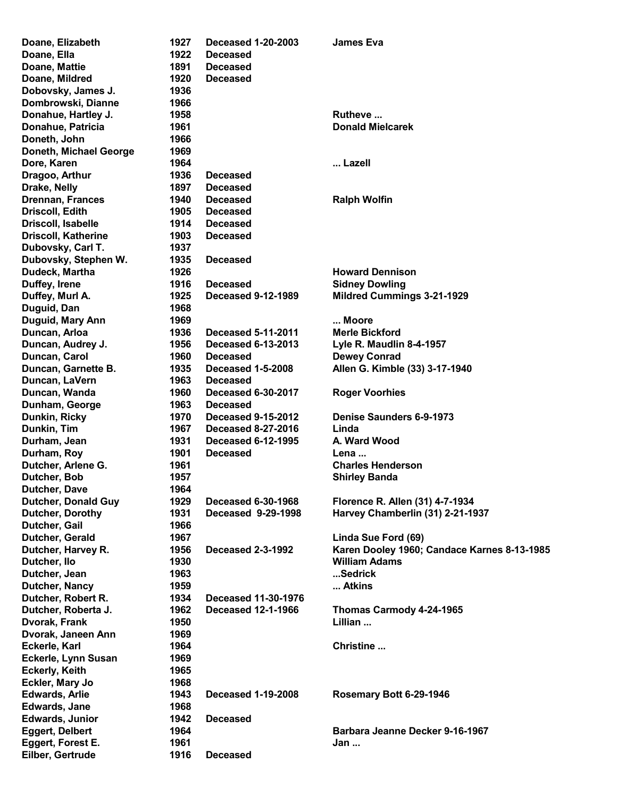| Doane, Elizabeth                          | 1927         | <b>Deceased 1-20-2003</b>                               | <b>James Eva</b>                            |
|-------------------------------------------|--------------|---------------------------------------------------------|---------------------------------------------|
| Doane, Ella                               | 1922         | <b>Deceased</b>                                         |                                             |
| Doane, Mattie                             | 1891         | <b>Deceased</b>                                         |                                             |
| Doane, Mildred                            | 1920         | <b>Deceased</b>                                         |                                             |
| Dobovsky, James J.                        | 1936         |                                                         |                                             |
| Dombrowski, Dianne                        | 1966         |                                                         |                                             |
| Donahue, Hartley J.                       | 1958         |                                                         | Rutheve                                     |
| Donahue, Patricia                         | 1961         |                                                         | <b>Donald Mielcarek</b>                     |
| Doneth, John                              | 1966         |                                                         |                                             |
| Doneth, Michael George                    | 1969         |                                                         |                                             |
| Dore, Karen                               | 1964         |                                                         | Lazell                                      |
| Dragoo, Arthur                            | 1936         | <b>Deceased</b>                                         |                                             |
| Drake, Nelly                              | 1897         | <b>Deceased</b>                                         |                                             |
| <b>Drennan, Frances</b>                   | 1940         | <b>Deceased</b>                                         | <b>Ralph Wolfin</b>                         |
| Driscoll, Edith                           | 1905         | <b>Deceased</b>                                         |                                             |
| Driscoll, Isabelle                        | 1914         | <b>Deceased</b>                                         |                                             |
| <b>Driscoll, Katherine</b>                | 1903         | <b>Deceased</b>                                         |                                             |
| Dubovsky, Carl T.                         | 1937         |                                                         |                                             |
| Dubovsky, Stephen W.                      | 1935         | <b>Deceased</b>                                         |                                             |
| Dudeck, Martha                            | 1926         |                                                         | <b>Howard Dennison</b>                      |
| Duffey, Irene                             | 1916         | <b>Deceased</b>                                         | <b>Sidney Dowling</b>                       |
| Duffey, Murl A.                           | 1925         | <b>Deceased 9-12-1989</b>                               | <b>Mildred Cummings 3-21-1929</b>           |
| Duguid, Dan                               | 1968         |                                                         |                                             |
| Duguid, Mary Ann                          | 1969         |                                                         | Moore                                       |
| Duncan, Arloa                             | 1936         | <b>Deceased 5-11-2011</b>                               | <b>Merle Bickford</b>                       |
| Duncan, Audrey J.                         | 1956         | <b>Deceased 6-13-2013</b>                               | Lyle R. Maudlin 8-4-1957                    |
| Duncan, Carol                             | 1960         | <b>Deceased</b>                                         | <b>Dewey Conrad</b>                         |
| Duncan, Garnette B.                       | 1935         | Deceased 1-5-2008                                       | Allen G. Kimble (33) 3-17-1940              |
| Duncan, LaVern                            | 1963         | <b>Deceased</b>                                         |                                             |
| Duncan, Wanda                             | 1960         | <b>Deceased 6-30-2017</b>                               | <b>Roger Voorhies</b>                       |
| Dunham, George                            | 1963         | <b>Deceased</b>                                         |                                             |
| Dunkin, Ricky                             | 1970         | <b>Deceased 9-15-2012</b>                               | <b>Denise Saunders 6-9-1973</b>             |
| Dunkin, Tim                               | 1967         | <b>Deceased 8-27-2016</b>                               | Linda                                       |
| Durham, Jean                              | 1931         | <b>Deceased 6-12-1995</b>                               | A. Ward Wood                                |
| Durham, Roy                               | 1901         | <b>Deceased</b>                                         | Lena                                        |
| Dutcher, Arlene G.                        | 1961         |                                                         | <b>Charles Henderson</b>                    |
| Dutcher, Bob                              | 1957         |                                                         | <b>Shirley Banda</b>                        |
| Dutcher, Dave                             | 1964         |                                                         |                                             |
| <b>Dutcher, Donald Guy</b>                | 1929         | <b>Deceased 6-30-1968</b>                               | Florence R. Allen (31) 4-7-1934             |
| Dutcher, Dorothy                          | 1931         | <b>Deceased 9-29-1998</b>                               | Harvey Chamberlin (31) 2-21-1937            |
| Dutcher, Gail                             | 1966         |                                                         |                                             |
| Dutcher, Gerald                           | 1967         |                                                         | Linda Sue Ford (69)                         |
| Dutcher, Harvey R.                        | 1956         | <b>Deceased 2-3-1992</b>                                | Karen Dooley 1960; Candace Karnes 8-13-1985 |
| Dutcher, Ilo                              | 1930         |                                                         | <b>William Adams</b>                        |
| Dutcher, Jean                             | 1963         |                                                         | Sedrick                                     |
| Dutcher, Nancy                            | 1959         |                                                         | Atkins                                      |
| Dutcher, Robert R.<br>Dutcher, Roberta J. | 1934<br>1962 | <b>Deceased 11-30-1976</b><br><b>Deceased 12-1-1966</b> |                                             |
| Dvorak, Frank                             | 1950         |                                                         | Thomas Carmody 4-24-1965<br>Lillian         |
| Dvorak, Janeen Ann                        | 1969         |                                                         |                                             |
| Eckerle, Karl                             | 1964         |                                                         | Christine                                   |
| Eckerle, Lynn Susan                       | 1969         |                                                         |                                             |
| <b>Eckerly, Keith</b>                     | 1965         |                                                         |                                             |
| Eckler, Mary Jo                           | 1968         |                                                         |                                             |
| <b>Edwards, Arlie</b>                     | 1943         | <b>Deceased 1-19-2008</b>                               | Rosemary Bott 6-29-1946                     |
| Edwards, Jane                             | 1968         |                                                         |                                             |
| <b>Edwards, Junior</b>                    | 1942         | <b>Deceased</b>                                         |                                             |
| <b>Eggert, Delbert</b>                    | 1964         |                                                         | Barbara Jeanne Decker 9-16-1967             |
| Eggert, Forest E.                         | 1961         |                                                         | Jan                                         |
| Eilber, Gertrude                          | 1916         | <b>Deceased</b>                                         |                                             |
|                                           |              |                                                         |                                             |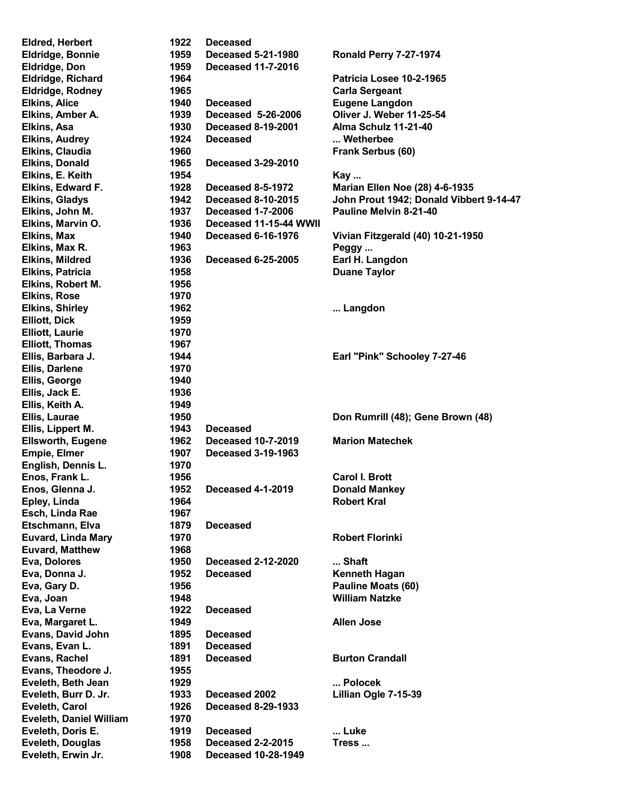| <b>Eldred, Herbert</b>         | 1922 | <b>Deceased</b>            |                                         |
|--------------------------------|------|----------------------------|-----------------------------------------|
| <b>Eldridge, Bonnie</b>        | 1959 | <b>Deceased 5-21-1980</b>  | <b>Ronald Perry 7-27-1974</b>           |
| <b>Eldridge, Don</b>           | 1959 | <b>Deceased 11-7-2016</b>  |                                         |
| Eldridge, Richard              | 1964 |                            | Patricia Losee 10-2-1965                |
| Eldridge, Rodney               | 1965 |                            | <b>Carla Sergeant</b>                   |
| <b>Elkins, Alice</b>           | 1940 | <b>Deceased</b>            | <b>Eugene Langdon</b>                   |
| Elkins, Amber A.               | 1939 | Deceased 5-26-2006         | Oliver J. Weber 11-25-54                |
| Elkins, Asa                    | 1930 | <b>Deceased 8-19-2001</b>  | Alma Schulz 11-21-40                    |
| <b>Elkins, Audrey</b>          | 1924 | <b>Deceased</b>            | Wetherbee                               |
| <b>Elkins, Claudia</b>         | 1960 |                            | Frank Serbus (60)                       |
| <b>Elkins, Donald</b>          | 1965 | <b>Deceased 3-29-2010</b>  |                                         |
| Elkins, E. Keith               | 1954 |                            | Kay                                     |
|                                | 1928 | <b>Deceased 8-5-1972</b>   |                                         |
| Elkins, Edward F.              |      |                            | <b>Marian Ellen Noe (28) 4-6-1935</b>   |
| <b>Elkins, Gladys</b>          | 1942 | <b>Deceased 8-10-2015</b>  | John Prout 1942; Donald Vibbert 9-14-47 |
| Elkins, John M.                | 1937 | <b>Deceased 1-7-2006</b>   | Pauline Melvin 8-21-40                  |
| Elkins, Marvin O.              | 1936 | Deceased 11-15-44 WWII     |                                         |
| Elkins, Max                    | 1940 | <b>Deceased 6-16-1976</b>  | Vivian Fitzgerald (40) 10-21-1950       |
| Elkins, Max R.                 | 1963 |                            | Peggy                                   |
| <b>Elkins, Mildred</b>         | 1936 | <b>Deceased 6-25-2005</b>  | Earl H. Langdon                         |
| <b>Elkins, Patricia</b>        | 1958 |                            | <b>Duane Taylor</b>                     |
| Elkins, Robert M.              | 1956 |                            |                                         |
| <b>Elkins, Rose</b>            | 1970 |                            |                                         |
| <b>Elkins, Shirley</b>         | 1962 |                            | Langdon                                 |
| <b>Elliott, Dick</b>           | 1959 |                            |                                         |
| <b>Elliott, Laurie</b>         | 1970 |                            |                                         |
| <b>Elliott, Thomas</b>         | 1967 |                            |                                         |
| Ellis, Barbara J.              | 1944 |                            | Earl "Pink" Schooley 7-27-46            |
| Ellis, Darlene                 | 1970 |                            |                                         |
| Ellis, George                  | 1940 |                            |                                         |
| Ellis, Jack E.                 | 1936 |                            |                                         |
| Ellis, Keith A.                | 1949 |                            |                                         |
|                                | 1950 |                            |                                         |
| Ellis, Laurae                  |      |                            | Don Rumrill (48); Gene Brown (48)       |
| Ellis, Lippert M.              | 1943 | <b>Deceased</b>            |                                         |
| Ellsworth, Eugene              | 1962 | <b>Deceased 10-7-2019</b>  | <b>Marion Matechek</b>                  |
| <b>Empie, Elmer</b>            | 1907 | <b>Deceased 3-19-1963</b>  |                                         |
| English, Dennis L.             | 1970 |                            |                                         |
| Enos, Frank L.                 | 1956 |                            | <b>Carol I. Brott</b>                   |
| Enos, Glenna J.                | 1952 | <b>Deceased 4-1-2019</b>   | <b>Donald Mankey</b>                    |
| Epley, Linda                   | 1964 |                            | <b>Robert Kral</b>                      |
| Esch, Linda Rae                | 1967 |                            |                                         |
| Etschmann, Elva                | 1879 | <b>Deceased</b>            |                                         |
| <b>Euvard, Linda Mary</b>      | 1970 |                            | <b>Robert Florinki</b>                  |
| <b>Euvard, Matthew</b>         | 1968 |                            |                                         |
| Eva, Dolores                   | 1950 | <b>Deceased 2-12-2020</b>  | Shaft                                   |
| Eva, Donna J.                  | 1952 | <b>Deceased</b>            | <b>Kenneth Hagan</b>                    |
| Eva, Gary D.                   | 1956 |                            | Pauline Moats (60)                      |
| Eva, Joan                      | 1948 |                            | <b>William Natzke</b>                   |
| Eva, La Verne                  | 1922 | <b>Deceased</b>            |                                         |
| Eva, Margaret L.               | 1949 |                            | <b>Allen Jose</b>                       |
| <b>Evans, David John</b>       | 1895 | <b>Deceased</b>            |                                         |
| Evans, Evan L.                 | 1891 | <b>Deceased</b>            |                                         |
| Evans, Rachel                  | 1891 | <b>Deceased</b>            | <b>Burton Crandall</b>                  |
|                                | 1955 |                            |                                         |
| Evans, Theodore J.             |      |                            |                                         |
| Eveleth, Beth Jean             | 1929 |                            | Polocek                                 |
| Eveleth, Burr D. Jr.           | 1933 | Deceased 2002              | Lillian Ogle 7-15-39                    |
| Eveleth, Carol                 | 1926 | <b>Deceased 8-29-1933</b>  |                                         |
| <b>Eveleth, Daniel William</b> | 1970 |                            |                                         |
| Eveleth, Doris E.              | 1919 | <b>Deceased</b>            | Luke                                    |
| <b>Eveleth, Douglas</b>        | 1958 | <b>Deceased 2-2-2015</b>   | Tress                                   |
| Eveleth, Erwin Jr.             | 1908 | <b>Deceased 10-28-1949</b> |                                         |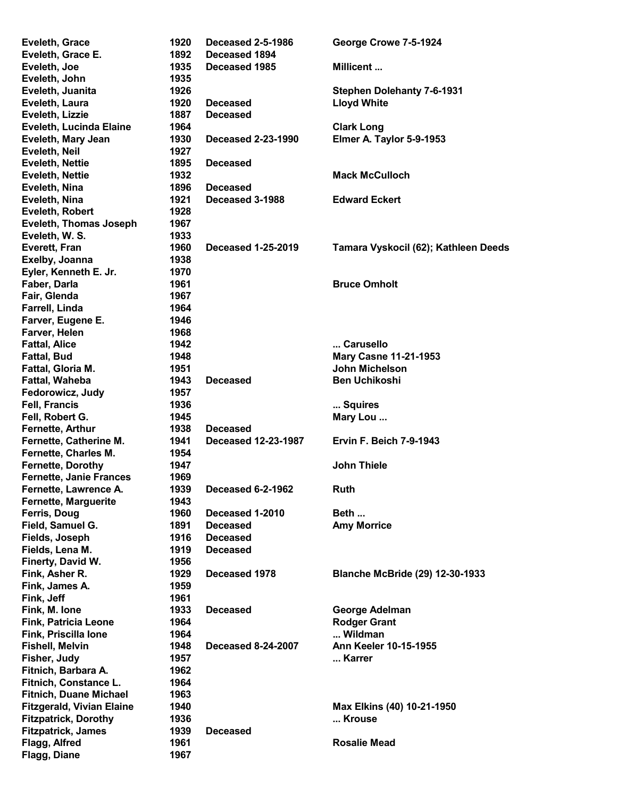| Eveleth, Grace                   | 1920 | <b>Deceased 2-5-1986</b>   | George Crowe 7-5-1924                  |
|----------------------------------|------|----------------------------|----------------------------------------|
| Eveleth, Grace E.                | 1892 | Deceased 1894              |                                        |
| Eveleth, Joe                     | 1935 | Deceased 1985              | Millicent                              |
| Eveleth, John                    | 1935 |                            |                                        |
| Eveleth, Juanita                 | 1926 |                            | <b>Stephen Dolehanty 7-6-1931</b>      |
| Eveleth, Laura                   | 1920 | <b>Deceased</b>            | <b>Lloyd White</b>                     |
| Eveleth, Lizzie                  | 1887 | <b>Deceased</b>            |                                        |
| Eveleth, Lucinda Elaine          | 1964 |                            | <b>Clark Long</b>                      |
| Eveleth, Mary Jean               | 1930 | <b>Deceased 2-23-1990</b>  | Elmer A. Taylor 5-9-1953               |
| Eveleth, Neil                    | 1927 |                            |                                        |
| <b>Eveleth, Nettie</b>           | 1895 | <b>Deceased</b>            |                                        |
| <b>Eveleth, Nettie</b>           | 1932 |                            | <b>Mack McCulloch</b>                  |
| Eveleth, Nina                    | 1896 | <b>Deceased</b>            |                                        |
|                                  | 1921 | Deceased 3-1988            | <b>Edward Eckert</b>                   |
| Eveleth, Nina                    |      |                            |                                        |
| <b>Eveleth, Robert</b>           | 1928 |                            |                                        |
| <b>Eveleth, Thomas Joseph</b>    | 1967 |                            |                                        |
| Eveleth, W. S.                   | 1933 |                            |                                        |
| Everett, Fran                    | 1960 | <b>Deceased 1-25-2019</b>  | Tamara Vyskocil (62); Kathleen Deeds   |
| Exelby, Joanna                   | 1938 |                            |                                        |
| Eyler, Kenneth E. Jr.            | 1970 |                            |                                        |
| Faber, Darla                     | 1961 |                            | <b>Bruce Omholt</b>                    |
| Fair, Glenda                     | 1967 |                            |                                        |
| Farrell, Linda                   | 1964 |                            |                                        |
| Farver, Eugene E.                | 1946 |                            |                                        |
| Farver, Helen                    | 1968 |                            |                                        |
| <b>Fattal, Alice</b>             | 1942 |                            | Carusello                              |
| <b>Fattal, Bud</b>               | 1948 |                            | <b>Mary Casne 11-21-1953</b>           |
| Fattal, Gloria M.                | 1951 |                            | <b>John Michelson</b>                  |
| Fattal, Waheba                   | 1943 | <b>Deceased</b>            | <b>Ben Uchikoshi</b>                   |
| Fedorowicz, Judy                 | 1957 |                            |                                        |
| <b>Fell, Francis</b>             | 1936 |                            | Squires                                |
| Fell, Robert G.                  | 1945 |                            | Mary Lou                               |
| Fernette, Arthur                 | 1938 | <b>Deceased</b>            |                                        |
| Fernette, Catherine M.           | 1941 | <b>Deceased 12-23-1987</b> | <b>Ervin F. Beich 7-9-1943</b>         |
| Fernette, Charles M.             | 1954 |                            |                                        |
| <b>Fernette, Dorothy</b>         | 1947 |                            |                                        |
|                                  |      |                            | <b>John Thiele</b>                     |
| <b>Fernette, Janie Frances</b>   | 1969 |                            |                                        |
| Fernette, Lawrence A.            | 1939 | Deceased 6-2-1962          | <b>Ruth</b>                            |
| <b>Fernette, Marguerite</b>      | 1943 |                            |                                        |
| Ferris, Doug                     | 1960 | Deceased 1-2010            | Beth                                   |
| Field, Samuel G.                 | 1891 | <b>Deceased</b>            | <b>Amy Morrice</b>                     |
| Fields, Joseph                   | 1916 | <b>Deceased</b>            |                                        |
| Fields, Lena M.                  | 1919 | <b>Deceased</b>            |                                        |
| Finerty, David W.                | 1956 |                            |                                        |
| Fink, Asher R.                   | 1929 | Deceased 1978              | <b>Blanche McBride (29) 12-30-1933</b> |
| Fink, James A.                   | 1959 |                            |                                        |
| Fink, Jeff                       | 1961 |                            |                                        |
| Fink, M. Ione                    | 1933 | <b>Deceased</b>            | <b>George Adelman</b>                  |
| <b>Fink, Patricia Leone</b>      | 1964 |                            | <b>Rodger Grant</b>                    |
| Fink, Priscilla Ione             | 1964 |                            | Wildman                                |
| <b>Fishell, Melvin</b>           | 1948 | <b>Deceased 8-24-2007</b>  | <b>Ann Keeler 10-15-1955</b>           |
| Fisher, Judy                     | 1957 |                            | Karrer                                 |
| Fitnich, Barbara A.              | 1962 |                            |                                        |
| Fitnich, Constance L.            | 1964 |                            |                                        |
| <b>Fitnich, Duane Michael</b>    | 1963 |                            |                                        |
| <b>Fitzgerald, Vivian Elaine</b> | 1940 |                            | Max Elkins (40) 10-21-1950             |
| <b>Fitzpatrick, Dorothy</b>      | 1936 |                            | Krouse                                 |
| <b>Fitzpatrick, James</b>        | 1939 | <b>Deceased</b>            |                                        |
| Flagg, Alfred                    | 1961 |                            | <b>Rosalie Mead</b>                    |
|                                  | 1967 |                            |                                        |
| Flagg, Diane                     |      |                            |                                        |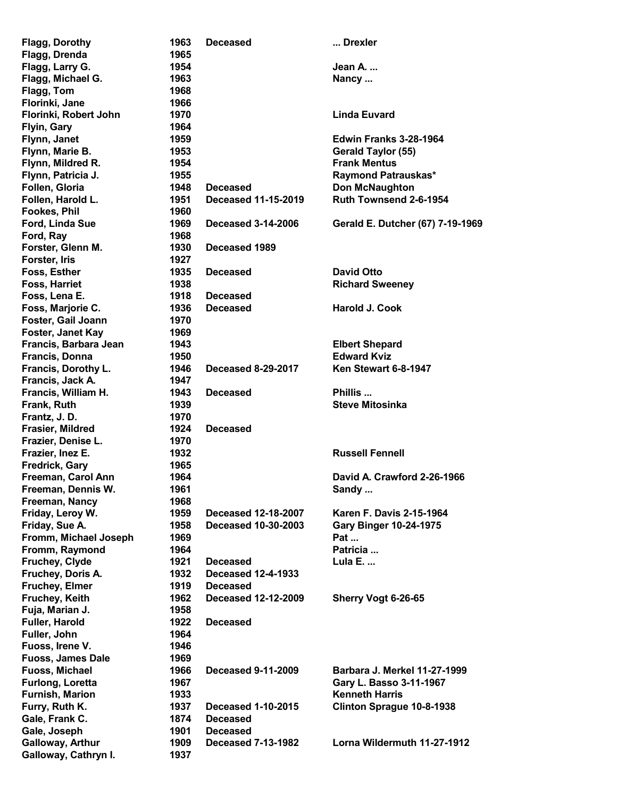| <b>Flagg, Dorothy</b>    | 1963 | <b>Deceased</b>            | Drexler                          |
|--------------------------|------|----------------------------|----------------------------------|
| Flagg, Drenda            | 1965 |                            |                                  |
| Flagg, Larry G.          | 1954 |                            | Jean A.                          |
| Flagg, Michael G.        | 1963 |                            | Nancy                            |
| Flagg, Tom               | 1968 |                            |                                  |
| Florinki, Jane           | 1966 |                            |                                  |
| Florinki, Robert John    | 1970 |                            | <b>Linda Euvard</b>              |
| Flyin, Gary              | 1964 |                            |                                  |
| Flynn, Janet             | 1959 |                            | <b>Edwin Franks 3-28-1964</b>    |
| Flynn, Marie B.          | 1953 |                            | Gerald Taylor (55)               |
| Flynn, Mildred R.        | 1954 |                            | <b>Frank Mentus</b>              |
| Flynn, Patricia J.       | 1955 |                            | <b>Raymond Patrauskas*</b>       |
| Follen, Gloria           | 1948 | <b>Deceased</b>            | <b>Don McNaughton</b>            |
| Follen, Harold L.        | 1951 | <b>Deceased 11-15-2019</b> | Ruth Townsend 2-6-1954           |
| <b>Fookes, Phil</b>      | 1960 |                            |                                  |
| Ford, Linda Sue          | 1969 | <b>Deceased 3-14-2006</b>  | Gerald E. Dutcher (67) 7-19-1969 |
| Ford, Ray                | 1968 |                            |                                  |
| Forster, Glenn M.        | 1930 | Deceased 1989              |                                  |
| Forster, Iris            | 1927 |                            |                                  |
| Foss, Esther             | 1935 | <b>Deceased</b>            | <b>David Otto</b>                |
| <b>Foss, Harriet</b>     | 1938 |                            | <b>Richard Sweeney</b>           |
| Foss, Lena E.            | 1918 | <b>Deceased</b>            |                                  |
| Foss, Marjorie C.        | 1936 | <b>Deceased</b>            | <b>Harold J. Cook</b>            |
| Foster, Gail Joann       | 1970 |                            |                                  |
| Foster, Janet Kay        | 1969 |                            |                                  |
| Francis, Barbara Jean    | 1943 |                            | <b>Elbert Shepard</b>            |
| Francis, Donna           | 1950 |                            | <b>Edward Kviz</b>               |
| Francis, Dorothy L.      | 1946 | <b>Deceased 8-29-2017</b>  | Ken Stewart 6-8-1947             |
| Francis, Jack A.         | 1947 |                            |                                  |
| Francis, William H.      | 1943 | <b>Deceased</b>            | Phillis                          |
| Frank, Ruth              | 1939 |                            | <b>Steve Mitosinka</b>           |
| Frantz, J.D.             | 1970 |                            |                                  |
| Frasier, Mildred         | 1924 | <b>Deceased</b>            |                                  |
| Frazier, Denise L.       | 1970 |                            |                                  |
| Frazier, Inez E.         | 1932 |                            | <b>Russell Fennell</b>           |
| <b>Fredrick, Gary</b>    | 1965 |                            |                                  |
| Freeman, Carol Ann       | 1964 |                            | David A. Crawford 2-26-1966      |
| Freeman, Dennis W.       | 1961 |                            | Sandy                            |
| Freeman, Nancy           | 1968 |                            |                                  |
| Friday, Leroy W.         | 1959 | Deceased 12-18-2007        | <b>Karen F. Davis 2-15-1964</b>  |
| Friday, Sue A.           | 1958 | <b>Deceased 10-30-2003</b> | <b>Gary Binger 10-24-1975</b>    |
| Fromm, Michael Joseph    | 1969 |                            | Pat                              |
| Fromm, Raymond           | 1964 |                            | Patricia                         |
| Fruchey, Clyde           | 1921 | <b>Deceased</b>            | Lula E.                          |
| Fruchey, Doris A.        | 1932 | <b>Deceased 12-4-1933</b>  |                                  |
| <b>Fruchey, Elmer</b>    | 1919 | <b>Deceased</b>            |                                  |
| Fruchey, Keith           | 1962 | <b>Deceased 12-12-2009</b> | Sherry Vogt 6-26-65              |
| Fuja, Marian J.          | 1958 |                            |                                  |
| Fuller, Harold           | 1922 | <b>Deceased</b>            |                                  |
| Fuller, John             | 1964 |                            |                                  |
| Fuoss, Irene V.          | 1946 |                            |                                  |
| <b>Fuoss, James Dale</b> | 1969 |                            |                                  |
| <b>Fuoss, Michael</b>    | 1966 | <b>Deceased 9-11-2009</b>  | Barbara J. Merkel 11-27-1999     |
| <b>Furlong, Loretta</b>  | 1967 |                            | Gary L. Basso 3-11-1967          |
| <b>Furnish, Marion</b>   | 1933 |                            | <b>Kenneth Harris</b>            |
| Furry, Ruth K.           | 1937 | <b>Deceased 1-10-2015</b>  | Clinton Sprague 10-8-1938        |
| Gale, Frank C.           | 1874 | <b>Deceased</b>            |                                  |
| Gale, Joseph             | 1901 | <b>Deceased</b>            |                                  |
| Galloway, Arthur         | 1909 | <b>Deceased 7-13-1982</b>  | Lorna Wildermuth 11-27-1912      |
| Galloway, Cathryn I.     | 1937 |                            |                                  |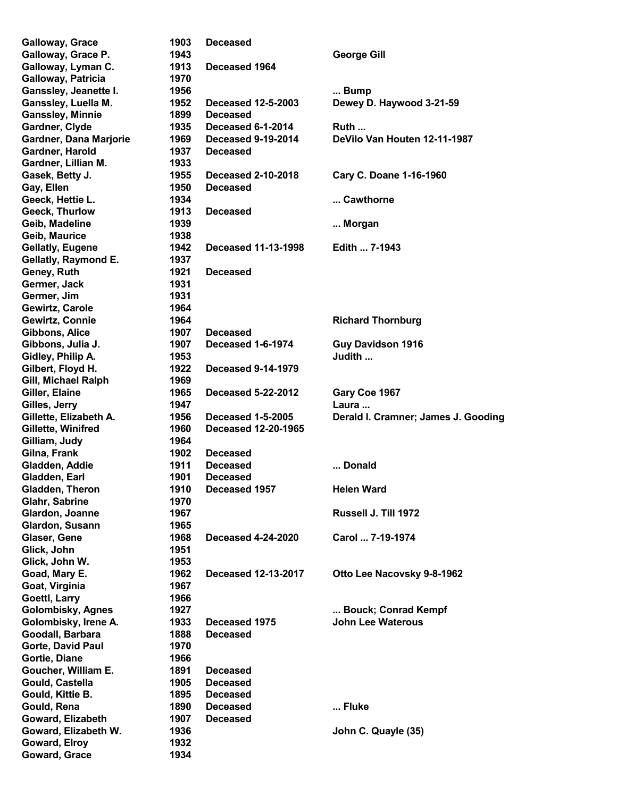| <b>Galloway, Grace</b>         | 1903         | <b>Deceased</b>            |                                     |
|--------------------------------|--------------|----------------------------|-------------------------------------|
| Galloway, Grace P.             | 1943         |                            | <b>George Gill</b>                  |
| Galloway, Lyman C.             | 1913         | Deceased 1964              |                                     |
| Galloway, Patricia             | 1970         |                            |                                     |
| Ganssley, Jeanette I.          | 1956         |                            | Bump                                |
| Ganssley, Luella M.            | 1952         | <b>Deceased 12-5-2003</b>  | Dewey D. Haywood 3-21-59            |
| <b>Ganssley, Minnie</b>        | 1899         | <b>Deceased</b>            |                                     |
| Gardner, Clyde                 | 1935         | Deceased 6-1-2014          | Ruth                                |
| Gardner, Dana Marjorie         | 1969         | <b>Deceased 9-19-2014</b>  | DeVilo Van Houten 12-11-1987        |
| Gardner, Harold                | 1937         | <b>Deceased</b>            |                                     |
| Gardner, Lillian M.            | 1933         |                            |                                     |
| Gasek, Betty J.                | 1955         | <b>Deceased 2-10-2018</b>  | Cary C. Doane 1-16-1960             |
| Gay, Ellen                     | 1950         | <b>Deceased</b>            |                                     |
| Geeck, Hettie L.               | 1934         |                            | Cawthorne                           |
| Geeck, Thurlow                 | 1913         | <b>Deceased</b>            |                                     |
| Geib, Madeline                 | 1939         |                            | Morgan                              |
| Geib, Maurice                  | 1938         |                            |                                     |
| <b>Gellatly, Eugene</b>        | 1942         | <b>Deceased 11-13-1998</b> | Edith  7-1943                       |
| Gellatly, Raymond E.           | 1937         |                            |                                     |
| Geney, Ruth                    | 1921         | <b>Deceased</b>            |                                     |
| Germer, Jack                   | 1931         |                            |                                     |
| Germer, Jim                    | 1931         |                            |                                     |
| Gewirtz, Carole                | 1964         |                            |                                     |
| Gewirtz, Connie                | 1964         |                            | <b>Richard Thornburg</b>            |
| Gibbons, Alice                 | 1907         | <b>Deceased</b>            |                                     |
| Gibbons, Julia J.              | 1907         | <b>Deceased 1-6-1974</b>   | <b>Guy Davidson 1916</b>            |
| Gidley, Philip A.              | 1953         |                            | Judith                              |
| Gilbert, Floyd H.              | 1922         | <b>Deceased 9-14-1979</b>  |                                     |
| Gill, Michael Ralph            | 1969         |                            |                                     |
| Giller, Elaine                 | 1965         | <b>Deceased 5-22-2012</b>  | Gary Coe 1967                       |
| Gilles, Jerry                  | 1947         |                            | Laura                               |
| Gillette, Elizabeth A.         | 1956         | <b>Deceased 1-5-2005</b>   | Derald I. Cramner; James J. Gooding |
|                                |              |                            |                                     |
| Gillette, Winifred             | 1960         | <b>Deceased 12-20-1965</b> |                                     |
| Gilliam, Judy                  | 1964         |                            |                                     |
| Gilna, Frank                   | 1902         | <b>Deceased</b>            |                                     |
| Gladden, Addie                 | 1911         | <b>Deceased</b>            | Donald                              |
| Gladden, Earl                  | 1901         | <b>Deceased</b>            |                                     |
| Gladden, Theron                | 1910         | Deceased 1957              | <b>Helen Ward</b>                   |
| Glahr, Sabrine                 | 1970         |                            |                                     |
| Glardon, Joanne                | 1967         |                            | Russell J. Till 1972                |
| Glardon, Susann                | 1965         |                            |                                     |
| Glaser, Gene                   | 1968         | <b>Deceased 4-24-2020</b>  | Carol  7-19-1974                    |
| Glick, John                    | 1951         |                            |                                     |
| Glick, John W.                 | 1953         |                            |                                     |
| Goad, Mary E.                  | 1962         | <b>Deceased 12-13-2017</b> | Otto Lee Nacovsky 9-8-1962          |
| Goat, Virginia                 | 1967         |                            |                                     |
| Goettl, Larry                  | 1966         |                            |                                     |
| <b>Golombisky, Agnes</b>       | 1927         |                            | Bouck; Conrad Kempf                 |
| Golombisky, Irene A.           | 1933         | Deceased 1975              | <b>John Lee Waterous</b>            |
| Goodall, Barbara               | 1888         | <b>Deceased</b>            |                                     |
| Gorte, David Paul              | 1970         |                            |                                     |
| Gortie, Diane                  | 1966         |                            |                                     |
| Goucher, William E.            | 1891         | <b>Deceased</b>            |                                     |
| Gould, Castella                | 1905         | <b>Deceased</b>            |                                     |
| Gould, Kittie B.               | 1895         | <b>Deceased</b>            |                                     |
| Gould, Rena                    | 1890         | <b>Deceased</b>            | Fluke                               |
| Goward, Elizabeth              | 1907         | <b>Deceased</b>            |                                     |
| Goward, Elizabeth W.           | 1936         |                            | John C. Quayle (35)                 |
| Goward, Elroy<br>Goward, Grace | 1932<br>1934 |                            |                                     |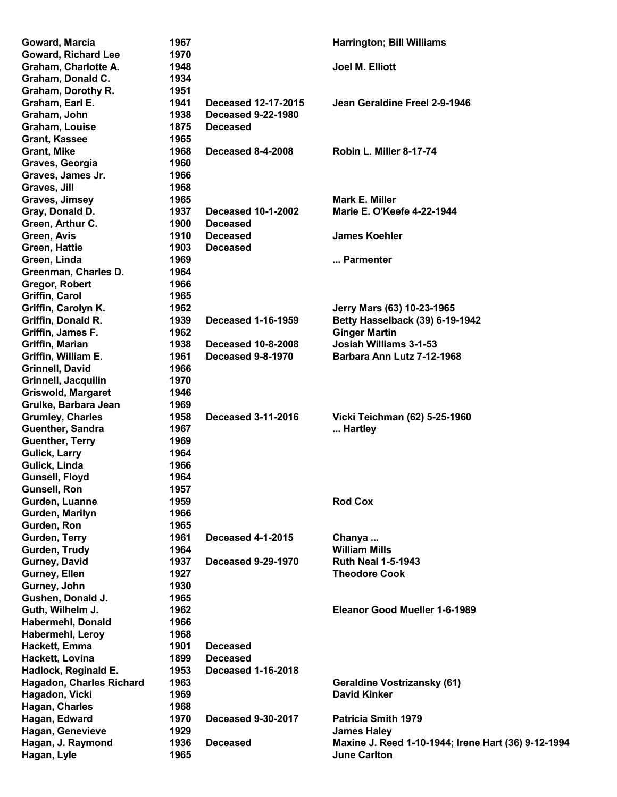| Goward, Marcia                  | 1967 |                            | <b>Harrington; Bill Williams</b>                                          |
|---------------------------------|------|----------------------------|---------------------------------------------------------------------------|
| <b>Goward, Richard Lee</b>      | 1970 |                            |                                                                           |
| Graham, Charlotte A.            | 1948 |                            | Joel M. Elliott                                                           |
| Graham, Donald C.               | 1934 |                            |                                                                           |
| Graham, Dorothy R.              | 1951 |                            |                                                                           |
| Graham, Earl E.                 | 1941 | <b>Deceased 12-17-2015</b> | Jean Geraldine Freel 2-9-1946                                             |
| Graham, John                    | 1938 | <b>Deceased 9-22-1980</b>  |                                                                           |
| Graham, Louise                  | 1875 | <b>Deceased</b>            |                                                                           |
| <b>Grant, Kassee</b>            | 1965 |                            |                                                                           |
| <b>Grant, Mike</b>              | 1968 | <b>Deceased 8-4-2008</b>   | Robin L. Miller 8-17-74                                                   |
| Graves, Georgia                 | 1960 |                            |                                                                           |
| Graves, James Jr.               | 1966 |                            |                                                                           |
| Graves, Jill                    | 1968 |                            |                                                                           |
| Graves, Jimsey                  | 1965 |                            | Mark E. Miller                                                            |
| Gray, Donald D.                 | 1937 | <b>Deceased 10-1-2002</b>  | <b>Marie E. O'Keefe 4-22-1944</b>                                         |
| Green, Arthur C.                | 1900 | <b>Deceased</b>            |                                                                           |
| Green, Avis                     | 1910 | <b>Deceased</b>            | <b>James Koehler</b>                                                      |
| <b>Green, Hattie</b>            | 1903 | <b>Deceased</b>            |                                                                           |
| Green, Linda                    | 1969 |                            | Parmenter                                                                 |
|                                 | 1964 |                            |                                                                           |
| Greenman, Charles D.            |      |                            |                                                                           |
| Gregor, Robert                  | 1966 |                            |                                                                           |
| Griffin, Carol                  | 1965 |                            |                                                                           |
| Griffin, Carolyn K.             | 1962 |                            | Jerry Mars (63) 10-23-1965                                                |
| Griffin, Donald R.              | 1939 | <b>Deceased 1-16-1959</b>  | Betty Hasselback (39) 6-19-1942                                           |
| Griffin, James F.               | 1962 |                            | <b>Ginger Martin</b>                                                      |
| Griffin, Marian                 | 1938 | <b>Deceased 10-8-2008</b>  | Josiah Williams 3-1-53                                                    |
| Griffin, William E.             | 1961 | <b>Deceased 9-8-1970</b>   | Barbara Ann Lutz 7-12-1968                                                |
| Grinnell, David                 | 1966 |                            |                                                                           |
| Grinnell, Jacquilin             | 1970 |                            |                                                                           |
| <b>Griswold, Margaret</b>       | 1946 |                            |                                                                           |
| Grulke, Barbara Jean            | 1969 |                            |                                                                           |
| <b>Grumley, Charles</b>         | 1958 | <b>Deceased 3-11-2016</b>  | Vicki Teichman (62) 5-25-1960                                             |
| Guenther, Sandra                | 1967 |                            | Hartley                                                                   |
| <b>Guenther, Terry</b>          | 1969 |                            |                                                                           |
| <b>Gulick, Larry</b>            | 1964 |                            |                                                                           |
| Gulick, Linda                   | 1966 |                            |                                                                           |
| Gunsell, Floyd                  | 1964 |                            |                                                                           |
| <b>Gunsell, Ron</b>             | 1957 |                            |                                                                           |
| Gurden, Luanne                  | 1959 |                            | <b>Rod Cox</b>                                                            |
| Gurden, Marilyn                 | 1966 |                            |                                                                           |
| Gurden, Ron                     | 1965 |                            |                                                                           |
| Gurden, Terry                   | 1961 | <b>Deceased 4-1-2015</b>   | Chanya                                                                    |
| Gurden, Trudy                   | 1964 |                            | <b>William Mills</b>                                                      |
| Gurney, David                   | 1937 | <b>Deceased 9-29-1970</b>  | <b>Ruth Neal 1-5-1943</b>                                                 |
| Gurney, Ellen                   | 1927 |                            | <b>Theodore Cook</b>                                                      |
| Gurney, John                    | 1930 |                            |                                                                           |
| Gushen, Donald J.               | 1965 |                            |                                                                           |
| Guth, Wilhelm J.                | 1962 |                            | Eleanor Good Mueller 1-6-1989                                             |
| <b>Habermehl, Donald</b>        | 1966 |                            |                                                                           |
| Habermehl, Leroy                | 1968 |                            |                                                                           |
| Hackett, Emma                   | 1901 | <b>Deceased</b>            |                                                                           |
| Hackett, Lovina                 | 1899 | <b>Deceased</b>            |                                                                           |
| Hadlock, Reginald E.            | 1953 | <b>Deceased 1-16-2018</b>  |                                                                           |
| <b>Hagadon, Charles Richard</b> | 1963 |                            | <b>Geraldine Vostrizansky (61)</b>                                        |
| Hagadon, Vicki                  | 1969 |                            | <b>David Kinker</b>                                                       |
| Hagan, Charles                  | 1968 |                            |                                                                           |
| Hagan, Edward                   | 1970 | <b>Deceased 9-30-2017</b>  | <b>Patricia Smith 1979</b>                                                |
| Hagan, Genevieve                | 1929 |                            |                                                                           |
|                                 | 1936 |                            | <b>James Haley</b><br>Maxine J. Reed 1-10-1944; Irene Hart (36) 9-12-1994 |
| Hagan, J. Raymond               |      | <b>Deceased</b>            | <b>June Carlton</b>                                                       |
| Hagan, Lyle                     | 1965 |                            |                                                                           |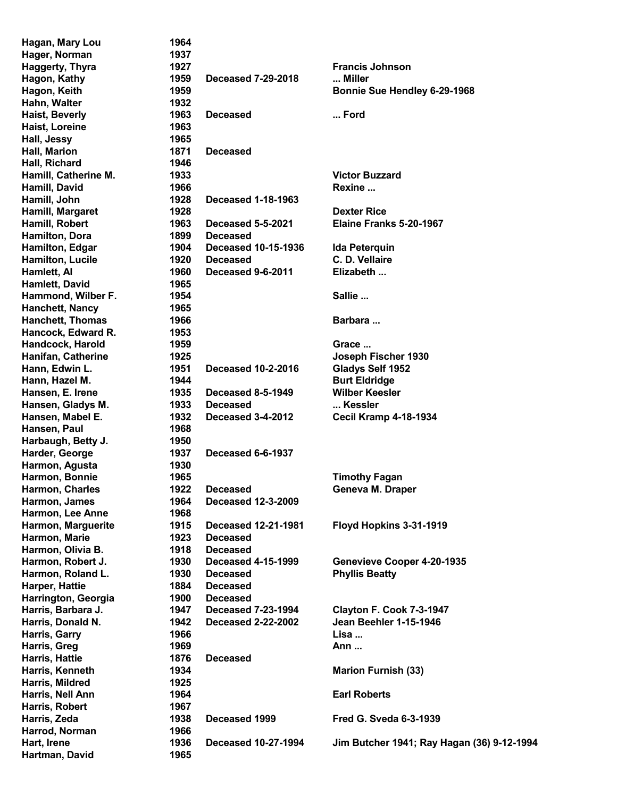| Hagan, Mary Lou         | 1964 |                            |                                            |
|-------------------------|------|----------------------------|--------------------------------------------|
| Hager, Norman           | 1937 |                            |                                            |
| <b>Haggerty, Thyra</b>  | 1927 |                            | <b>Francis Johnson</b>                     |
| Hagon, Kathy            | 1959 | <b>Deceased 7-29-2018</b>  | Miller                                     |
| Hagon, Keith            | 1959 |                            | Bonnie Sue Hendley 6-29-1968               |
| Hahn, Walter            | 1932 |                            |                                            |
| Haist, Beverly          | 1963 | <b>Deceased</b>            | Ford                                       |
| Haist, Loreine          | 1963 |                            |                                            |
| Hall, Jessy             | 1965 |                            |                                            |
| Hall, Marion            | 1871 | <b>Deceased</b>            |                                            |
| Hall, Richard           | 1946 |                            |                                            |
| Hamill, Catherine M.    | 1933 |                            | <b>Victor Buzzard</b>                      |
| Hamill, David           | 1966 |                            | Rexine                                     |
|                         | 1928 | <b>Deceased 1-18-1963</b>  |                                            |
| Hamill, John            |      |                            |                                            |
| Hamill, Margaret        | 1928 |                            | <b>Dexter Rice</b>                         |
| Hamill, Robert          | 1963 | <b>Deceased 5-5-2021</b>   | Elaine Franks 5-20-1967                    |
| Hamilton, Dora          | 1899 | <b>Deceased</b>            |                                            |
| Hamilton, Edgar         | 1904 | <b>Deceased 10-15-1936</b> | <b>Ida Peterquin</b>                       |
| <b>Hamilton, Lucile</b> | 1920 | <b>Deceased</b>            | C. D. Vellaire                             |
| Hamlett, Al             | 1960 | Deceased 9-6-2011          | Elizabeth                                  |
| Hamlett, David          | 1965 |                            |                                            |
| Hammond, Wilber F.      | 1954 |                            | Sallie                                     |
| Hanchett, Nancy         | 1965 |                            |                                            |
| <b>Hanchett, Thomas</b> | 1966 |                            | Barbara                                    |
| Hancock, Edward R.      | 1953 |                            |                                            |
| Handcock, Harold        | 1959 |                            | Grace                                      |
| Hanifan, Catherine      | 1925 |                            | Joseph Fischer 1930                        |
| Hann, Edwin L.          | 1951 | <b>Deceased 10-2-2016</b>  | Gladys Self 1952                           |
| Hann, Hazel M.          | 1944 |                            | <b>Burt Eldridge</b>                       |
| Hansen, E. Irene        | 1935 | Deceased 8-5-1949          | <b>Wilber Keesler</b>                      |
| Hansen, Gladys M.       | 1933 | <b>Deceased</b>            | Kessler                                    |
| Hansen, Mabel E.        | 1932 | Deceased 3-4-2012          | <b>Cecil Kramp 4-18-1934</b>               |
| Hansen, Paul            | 1968 |                            |                                            |
| Harbaugh, Betty J.      | 1950 |                            |                                            |
| Harder, George          | 1937 | Deceased 6-6-1937          |                                            |
| Harmon, Agusta          | 1930 |                            |                                            |
| Harmon, Bonnie          | 1965 |                            | <b>Timothy Fagan</b>                       |
| Harmon, Charles         | 1922 | <b>Deceased</b>            | Geneva M. Draper                           |
| Harmon, James           | 1964 | <b>Deceased 12-3-2009</b>  |                                            |
| Harmon, Lee Anne        | 1968 |                            |                                            |
| Harmon, Marguerite      | 1915 | <b>Deceased 12-21-1981</b> | Floyd Hopkins 3-31-1919                    |
| Harmon, Marie           | 1923 | <b>Deceased</b>            |                                            |
|                         |      |                            |                                            |
| Harmon, Olivia B.       | 1918 | <b>Deceased</b>            |                                            |
| Harmon, Robert J.       | 1930 | <b>Deceased 4-15-1999</b>  | Genevieve Cooper 4-20-1935                 |
| Harmon, Roland L.       | 1930 | <b>Deceased</b>            | <b>Phyllis Beatty</b>                      |
| Harper, Hattie          | 1884 | <b>Deceased</b>            |                                            |
| Harrington, Georgia     | 1900 | <b>Deceased</b>            |                                            |
| Harris, Barbara J.      | 1947 | <b>Deceased 7-23-1994</b>  | Clayton F. Cook 7-3-1947                   |
| Harris, Donald N.       | 1942 | <b>Deceased 2-22-2002</b>  | Jean Beehler 1-15-1946                     |
| Harris, Garry           | 1966 |                            | Lisa                                       |
| Harris, Greg            | 1969 |                            | Ann                                        |
| Harris, Hattie          | 1876 | <b>Deceased</b>            |                                            |
| Harris, Kenneth         | 1934 |                            | <b>Marion Furnish (33)</b>                 |
| Harris, Mildred         | 1925 |                            |                                            |
| Harris, Nell Ann        | 1964 |                            | <b>Earl Roberts</b>                        |
| Harris, Robert          | 1967 |                            |                                            |
| Harris, Zeda            | 1938 | Deceased 1999              | <b>Fred G. Sveda 6-3-1939</b>              |
| Harrod, Norman          | 1966 |                            |                                            |
| Hart, Irene             | 1936 | <b>Deceased 10-27-1994</b> | Jim Butcher 1941; Ray Hagan (36) 9-12-1994 |
| Hartman, David          | 1965 |                            |                                            |
|                         |      |                            |                                            |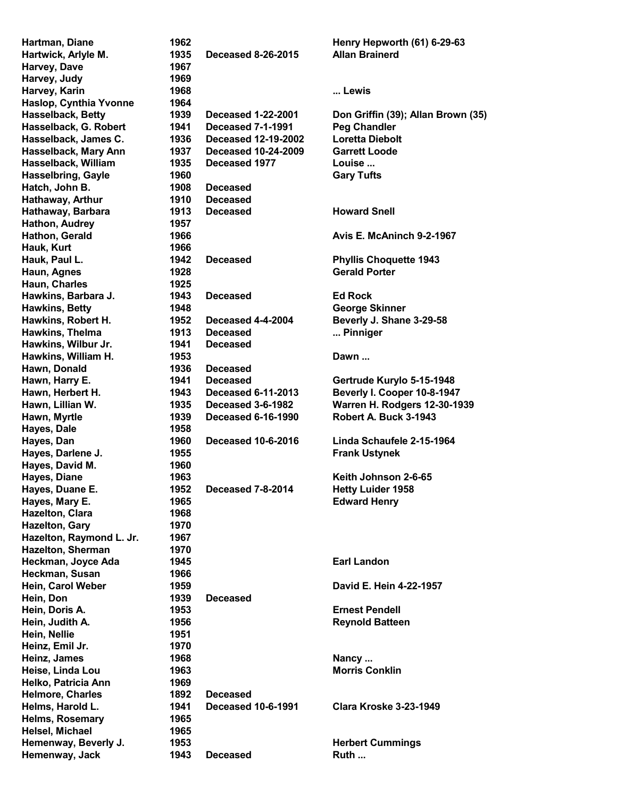| Hartman, Diane            | 1962 |                            | Henry Hepworth (61) 6-29-63        |
|---------------------------|------|----------------------------|------------------------------------|
| Hartwick, Arlyle M.       | 1935 | <b>Deceased 8-26-2015</b>  | <b>Allan Brainerd</b>              |
| Harvey, Dave              | 1967 |                            |                                    |
| Harvey, Judy              | 1969 |                            |                                    |
| Harvey, Karin             | 1968 |                            | Lewis                              |
| Haslop, Cynthia Yvonne    | 1964 |                            |                                    |
| Hasselback, Betty         | 1939 | <b>Deceased 1-22-2001</b>  | Don Griffin (39); Allan Brown (35) |
| Hasselback, G. Robert     | 1941 | <b>Deceased 7-1-1991</b>   | <b>Peg Chandler</b>                |
| Hasselback, James C.      | 1936 | Deceased 12-19-2002        | <b>Loretta Diebolt</b>             |
| Hasselback, Mary Ann      | 1937 | <b>Deceased 10-24-2009</b> | <b>Garrett Loode</b>               |
|                           |      |                            |                                    |
| Hasselback, William       | 1935 | Deceased 1977              | Louise                             |
| <b>Hasselbring, Gayle</b> | 1960 |                            | <b>Gary Tufts</b>                  |
| Hatch, John B.            | 1908 | <b>Deceased</b>            |                                    |
| Hathaway, Arthur          | 1910 | <b>Deceased</b>            |                                    |
| Hathaway, Barbara         | 1913 | <b>Deceased</b>            | <b>Howard Snell</b>                |
| Hathon, Audrey            | 1957 |                            |                                    |
| Hathon, Gerald            | 1966 |                            | Avis E. McAninch 9-2-1967          |
| Hauk, Kurt                | 1966 |                            |                                    |
| Hauk, Paul L.             | 1942 | <b>Deceased</b>            | <b>Phyllis Choquette 1943</b>      |
| Haun, Agnes               | 1928 |                            | <b>Gerald Porter</b>               |
| Haun, Charles             | 1925 |                            |                                    |
| Hawkins, Barbara J.       | 1943 | <b>Deceased</b>            | <b>Ed Rock</b>                     |
| <b>Hawkins, Betty</b>     | 1948 |                            | <b>George Skinner</b>              |
| Hawkins, Robert H.        | 1952 | Deceased 4-4-2004          | Beverly J. Shane 3-29-58           |
| Hawkins, Thelma           | 1913 | <b>Deceased</b>            | Pinniger                           |
|                           |      |                            |                                    |
| Hawkins, Wilbur Jr.       | 1941 | <b>Deceased</b>            |                                    |
| Hawkins, William H.       | 1953 |                            | Dawn                               |
| Hawn, Donald              | 1936 | <b>Deceased</b>            |                                    |
| Hawn, Harry E.            | 1941 | Deceased                   | Gertrude Kurylo 5-15-1948          |
| Hawn, Herbert H.          | 1943 | <b>Deceased 6-11-2013</b>  | Beverly I. Cooper 10-8-1947        |
| Hawn, Lillian W.          | 1935 | Deceased 3-6-1982          | Warren H. Rodgers 12-30-1939       |
| Hawn, Myrtle              | 1939 | <b>Deceased 6-16-1990</b>  | Robert A. Buck 3-1943              |
| Hayes, Dale               | 1958 |                            |                                    |
| Hayes, Dan                | 1960 | <b>Deceased 10-6-2016</b>  | Linda Schaufele 2-15-1964          |
| Hayes, Darlene J.         | 1955 |                            | <b>Frank Ustynek</b>               |
| Hayes, David M.           | 1960 |                            |                                    |
| Hayes, Diane              | 1963 |                            | Keith Johnson 2-6-65               |
| Hayes, Duane E.           | 1952 | Deceased 7-8-2014          | <b>Hetty Luider 1958</b>           |
| Hayes, Mary E.            | 1965 |                            | <b>Edward Henry</b>                |
| Hazelton, Clara           | 1968 |                            |                                    |
|                           |      |                            |                                    |
| Hazelton, Gary            | 1970 |                            |                                    |
| Hazelton, Raymond L. Jr.  | 1967 |                            |                                    |
| <b>Hazelton, Sherman</b>  | 1970 |                            |                                    |
| Heckman, Joyce Ada        | 1945 |                            | <b>Earl Landon</b>                 |
| Heckman, Susan            | 1966 |                            |                                    |
| Hein, Carol Weber         | 1959 |                            | David E. Hein 4-22-1957            |
| Hein, Don                 | 1939 | <b>Deceased</b>            |                                    |
| Hein, Doris A.            | 1953 |                            | <b>Ernest Pendell</b>              |
| Hein, Judith A.           | 1956 |                            | <b>Reynold Batteen</b>             |
| Hein, Nellie              | 1951 |                            |                                    |
| Heinz, Emil Jr.           | 1970 |                            |                                    |
| Heinz, James              | 1968 |                            | Nancy                              |
| Heise, Linda Lou          | 1963 |                            | <b>Morris Conklin</b>              |
| Helko, Patricia Ann       | 1969 |                            |                                    |
|                           |      |                            |                                    |
| <b>Helmore, Charles</b>   | 1892 | <b>Deceased</b>            |                                    |
| Helms, Harold L.          | 1941 | <b>Deceased 10-6-1991</b>  | <b>Clara Kroske 3-23-1949</b>      |
| <b>Helms, Rosemary</b>    | 1965 |                            |                                    |
| Helsel, Michael           | 1965 |                            |                                    |
| Hemenway, Beverly J.      | 1953 |                            | <b>Herbert Cummings</b>            |
| Hemenway, Jack            | 1943 | <b>Deceased</b>            | Ruth                               |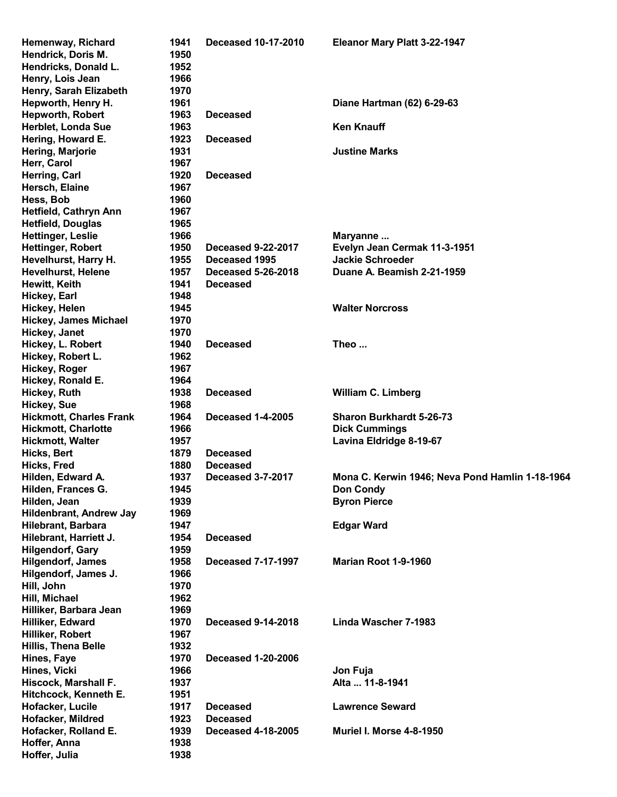| Hemenway, Richard              | 1941 | <b>Deceased 10-17-2010</b> | Eleanor Mary Platt 3-22-1947                    |
|--------------------------------|------|----------------------------|-------------------------------------------------|
| Hendrick, Doris M.             | 1950 |                            |                                                 |
|                                |      |                            |                                                 |
| Hendricks, Donald L.           | 1952 |                            |                                                 |
| Henry, Lois Jean               | 1966 |                            |                                                 |
| Henry, Sarah Elizabeth         | 1970 |                            |                                                 |
| Hepworth, Henry H.             | 1961 |                            | Diane Hartman (62) 6-29-63                      |
| <b>Hepworth, Robert</b>        | 1963 | <b>Deceased</b>            |                                                 |
| Herblet, Londa Sue             | 1963 |                            | <b>Ken Knauff</b>                               |
| Hering, Howard E.              | 1923 | <b>Deceased</b>            |                                                 |
| Hering, Marjorie               | 1931 |                            | <b>Justine Marks</b>                            |
| Herr, Carol                    | 1967 |                            |                                                 |
| Herring, Carl                  | 1920 | <b>Deceased</b>            |                                                 |
| Hersch, Elaine                 | 1967 |                            |                                                 |
| Hess, Bob                      | 1960 |                            |                                                 |
| Hetfield, Cathryn Ann          | 1967 |                            |                                                 |
| <b>Hetfield, Douglas</b>       | 1965 |                            |                                                 |
| <b>Hettinger, Leslie</b>       | 1966 |                            |                                                 |
|                                |      |                            | Maryanne                                        |
| <b>Hettinger, Robert</b>       | 1950 | <b>Deceased 9-22-2017</b>  | Evelyn Jean Cermak 11-3-1951                    |
| Hevelhurst, Harry H.           | 1955 | Deceased 1995              | <b>Jackie Schroeder</b>                         |
| <b>Hevelhurst, Helene</b>      | 1957 | <b>Deceased 5-26-2018</b>  | Duane A. Beamish 2-21-1959                      |
| Hewitt, Keith                  | 1941 | <b>Deceased</b>            |                                                 |
| Hickey, Earl                   | 1948 |                            |                                                 |
| Hickey, Helen                  | 1945 |                            | <b>Walter Norcross</b>                          |
| <b>Hickey, James Michael</b>   | 1970 |                            |                                                 |
| Hickey, Janet                  | 1970 |                            |                                                 |
| Hickey, L. Robert              | 1940 | <b>Deceased</b>            | Theo                                            |
| Hickey, Robert L.              | 1962 |                            |                                                 |
| Hickey, Roger                  | 1967 |                            |                                                 |
| Hickey, Ronald E.              | 1964 |                            |                                                 |
| Hickey, Ruth                   | 1938 | <b>Deceased</b>            | <b>William C. Limberg</b>                       |
| <b>Hickey, Sue</b>             | 1968 |                            |                                                 |
| <b>Hickmott, Charles Frank</b> | 1964 | <b>Deceased 1-4-2005</b>   | <b>Sharon Burkhardt 5-26-73</b>                 |
| <b>Hickmott, Charlotte</b>     | 1966 |                            | <b>Dick Cummings</b>                            |
| <b>Hickmott, Walter</b>        | 1957 |                            | Lavina Eldridge 8-19-67                         |
| <b>Hicks, Bert</b>             | 1879 | <b>Deceased</b>            |                                                 |
| Hicks, Fred                    | 1880 | <b>Deceased</b>            |                                                 |
|                                |      |                            |                                                 |
| Hilden, Edward A.              | 1937 | <b>Deceased 3-7-2017</b>   | Mona C. Kerwin 1946; Neva Pond Hamlin 1-18-1964 |
| Hilden, Frances G.             | 1945 |                            | <b>Don Condy</b>                                |
| Hilden, Jean                   | 1939 |                            | <b>Byron Pierce</b>                             |
| Hildenbrant, Andrew Jay        | 1969 |                            |                                                 |
| Hilebrant, Barbara             | 1947 |                            | <b>Edgar Ward</b>                               |
| Hilebrant, Harriett J.         | 1954 | <b>Deceased</b>            |                                                 |
| <b>Hilgendorf, Gary</b>        | 1959 |                            |                                                 |
| <b>Hilgendorf, James</b>       | 1958 | <b>Deceased 7-17-1997</b>  | Marian Root 1-9-1960                            |
| Hilgendorf, James J.           | 1966 |                            |                                                 |
| Hill, John                     | 1970 |                            |                                                 |
| Hill, Michael                  | 1962 |                            |                                                 |
| Hilliker, Barbara Jean         | 1969 |                            |                                                 |
| Hilliker, Edward               | 1970 | <b>Deceased 9-14-2018</b>  | Linda Wascher 7-1983                            |
| Hilliker, Robert               | 1967 |                            |                                                 |
| <b>Hillis, Thena Belle</b>     | 1932 |                            |                                                 |
| Hines, Faye                    | 1970 | <b>Deceased 1-20-2006</b>  |                                                 |
| Hines, Vicki                   | 1966 |                            | Jon Fuja                                        |
| Hiscock, Marshall F.           | 1937 |                            | Alta  11-8-1941                                 |
| Hitchcock, Kenneth E.          | 1951 |                            |                                                 |
|                                | 1917 |                            | <b>Lawrence Seward</b>                          |
| Hofacker, Lucile               |      | <b>Deceased</b>            |                                                 |
| Hofacker, Mildred              | 1923 | <b>Deceased</b>            |                                                 |
| Hofacker, Rolland E.           | 1939 | <b>Deceased 4-18-2005</b>  | <b>Muriel I. Morse 4-8-1950</b>                 |
| Hoffer, Anna                   | 1938 |                            |                                                 |
| Hoffer, Julia                  | 1938 |                            |                                                 |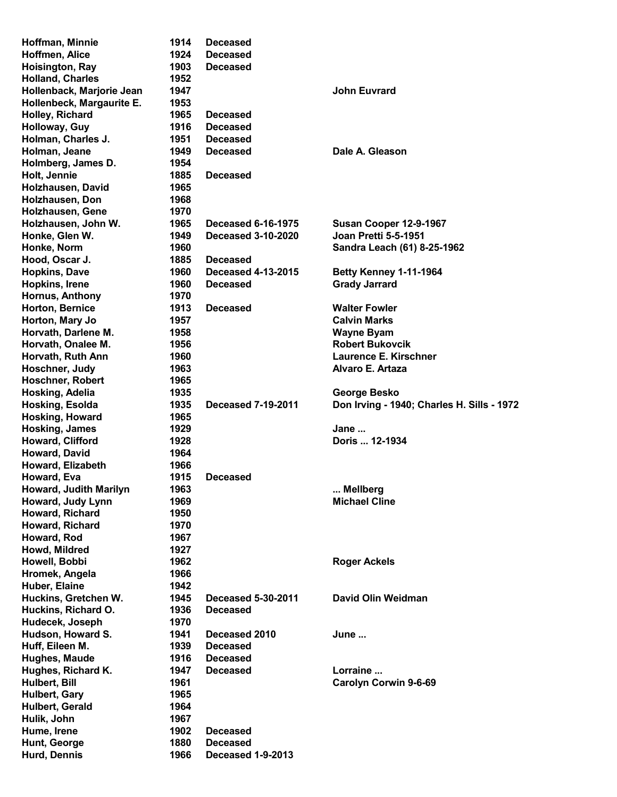| Hoffman, Minnie              | 1914         | <b>Deceased</b>                      |                                            |
|------------------------------|--------------|--------------------------------------|--------------------------------------------|
| Hoffmen, Alice               | 1924         | <b>Deceased</b>                      |                                            |
| Hoisington, Ray              | 1903         | <b>Deceased</b>                      |                                            |
| <b>Holland, Charles</b>      | 1952         |                                      |                                            |
| Hollenback, Marjorie Jean    | 1947         |                                      | <b>John Euvrard</b>                        |
| Hollenbeck, Margaurite E.    | 1953         |                                      |                                            |
| Holley, Richard              | 1965         | <b>Deceased</b>                      |                                            |
| Holloway, Guy                | 1916         | <b>Deceased</b>                      |                                            |
| Holman, Charles J.           | 1951         | <b>Deceased</b>                      |                                            |
| Holman, Jeane                | 1949         | <b>Deceased</b>                      | Dale A. Gleason                            |
| Holmberg, James D.           | 1954         |                                      |                                            |
| Holt, Jennie                 | 1885         | <b>Deceased</b>                      |                                            |
|                              | 1965         |                                      |                                            |
| Holzhausen, David            |              |                                      |                                            |
| Holzhausen, Don              | 1968         |                                      |                                            |
| Holzhausen, Gene             | 1970         |                                      |                                            |
| Holzhausen, John W.          | 1965         | <b>Deceased 6-16-1975</b>            | Susan Cooper 12-9-1967                     |
| Honke, Glen W.               | 1949         | <b>Deceased 3-10-2020</b>            | <b>Joan Pretti 5-5-1951</b>                |
| Honke, Norm                  | 1960         |                                      | Sandra Leach (61) 8-25-1962                |
| Hood, Oscar J.               | 1885         | <b>Deceased</b>                      |                                            |
| <b>Hopkins, Dave</b>         | 1960         | <b>Deceased 4-13-2015</b>            | <b>Betty Kenney 1-11-1964</b>              |
| Hopkins, Irene               | 1960         | <b>Deceased</b>                      | <b>Grady Jarrard</b>                       |
| Hornus, Anthony              | 1970         |                                      |                                            |
| Horton, Bernice              | 1913         | <b>Deceased</b>                      | <b>Walter Fowler</b>                       |
| Horton, Mary Jo              | 1957         |                                      | <b>Calvin Marks</b>                        |
| Horvath, Darlene M.          | 1958         |                                      | <b>Wayne Byam</b>                          |
| Horvath, Onalee M.           | 1956         |                                      | <b>Robert Bukovcik</b>                     |
| Horvath, Ruth Ann            | 1960         |                                      | Laurence E. Kirschner                      |
| Hoschner, Judy               | 1963         |                                      | Alvaro E. Artaza                           |
| Hoschner, Robert             | 1965         |                                      |                                            |
| Hosking, Adelia              | 1935         |                                      | George Besko                               |
| Hosking, Esolda              | 1935         | <b>Deceased 7-19-2011</b>            | Don Irving - 1940; Charles H. Sills - 1972 |
|                              |              |                                      |                                            |
|                              |              |                                      |                                            |
| Hosking, Howard              | 1965         |                                      |                                            |
| <b>Hosking, James</b>        | 1929         |                                      | Jane                                       |
| Howard, Clifford             | 1928         |                                      | Doris  12-1934                             |
| Howard, David                | 1964         |                                      |                                            |
| Howard, Elizabeth            | 1966         |                                      |                                            |
| Howard, Eva                  | 1915         | <b>Deceased</b>                      |                                            |
| Howard, Judith Marilyn       | 1963         |                                      | Mellberg                                   |
| Howard, Judy Lynn            | 1969         |                                      | <b>Michael Cline</b>                       |
| Howard, Richard              | 1950         |                                      |                                            |
| Howard, Richard              | 1970         |                                      |                                            |
| Howard, Rod                  | 1967         |                                      |                                            |
| Howd, Mildred                | 1927         |                                      |                                            |
| Howell, Bobbi                | 1962         |                                      | <b>Roger Ackels</b>                        |
| Hromek, Angela               | 1966         |                                      |                                            |
| Huber, Elaine                | 1942         |                                      |                                            |
| Huckins, Gretchen W.         | 1945         | <b>Deceased 5-30-2011</b>            | David Olin Weidman                         |
| Huckins, Richard O.          | 1936         | <b>Deceased</b>                      |                                            |
| Hudecek, Joseph              | 1970         |                                      |                                            |
| Hudson, Howard S.            | 1941         | Deceased 2010                        | June                                       |
|                              | 1939         | <b>Deceased</b>                      |                                            |
| Huff, Eileen M.              | 1916         | <b>Deceased</b>                      |                                            |
| Hughes, Maude                | 1947         | <b>Deceased</b>                      | Lorraine                                   |
| Hughes, Richard K.           |              |                                      |                                            |
| Hulbert, Bill                | 1961         |                                      | Carolyn Corwin 9-6-69                      |
| Hulbert, Gary                | 1965         |                                      |                                            |
| Hulbert, Gerald              | 1964         |                                      |                                            |
| Hulik, John                  | 1967         |                                      |                                            |
| Hume, Irene                  | 1902         | <b>Deceased</b>                      |                                            |
| Hunt, George<br>Hurd, Dennis | 1880<br>1966 | <b>Deceased</b><br>Deceased 1-9-2013 |                                            |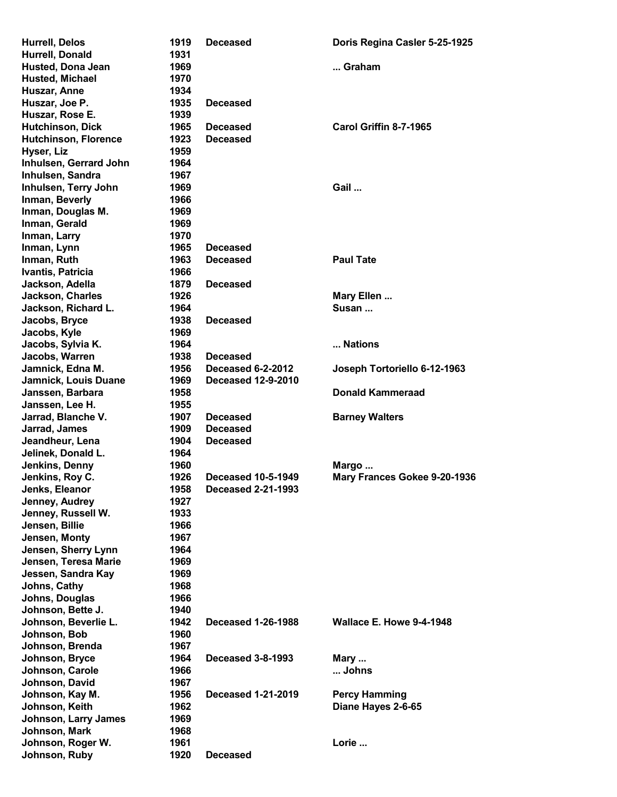| <b>Hurrell, Delos</b>                      | 1919         | Deceased                                               | Doris Regina Casler 5-25-1925   |
|--------------------------------------------|--------------|--------------------------------------------------------|---------------------------------|
| Hurrell, Donald                            | 1931         |                                                        |                                 |
| <b>Husted, Dona Jean</b>                   | 1969         |                                                        | Graham                          |
| <b>Husted, Michael</b>                     | 1970         |                                                        |                                 |
| Huszar, Anne                               | 1934         |                                                        |                                 |
| Huszar, Joe P.                             | 1935         | <b>Deceased</b>                                        |                                 |
| Huszar, Rose E.                            | 1939         |                                                        |                                 |
| <b>Hutchinson, Dick</b>                    | 1965         | <b>Deceased</b>                                        | Carol Griffin 8-7-1965          |
| <b>Hutchinson, Florence</b>                | 1923         | <b>Deceased</b>                                        |                                 |
| Hyser, Liz                                 | 1959<br>1964 |                                                        |                                 |
| Inhulsen, Gerrard John<br>Inhulsen, Sandra | 1967         |                                                        |                                 |
| Inhulsen, Terry John                       | 1969         |                                                        | Gail                            |
| Inman, Beverly                             | 1966         |                                                        |                                 |
| Inman, Douglas M.                          | 1969         |                                                        |                                 |
| Inman, Gerald                              | 1969         |                                                        |                                 |
| Inman, Larry                               | 1970         |                                                        |                                 |
| Inman, Lynn                                | 1965         | <b>Deceased</b>                                        |                                 |
| Inman, Ruth                                | 1963         | <b>Deceased</b>                                        | <b>Paul Tate</b>                |
| Ivantis, Patricia                          | 1966         |                                                        |                                 |
| Jackson, Adella                            | 1879         | <b>Deceased</b>                                        |                                 |
| Jackson, Charles                           | 1926         |                                                        | Mary Ellen                      |
| Jackson, Richard L.                        | 1964         |                                                        | Susan                           |
| Jacobs, Bryce                              | 1938         | <b>Deceased</b>                                        |                                 |
| Jacobs, Kyle                               | 1969         |                                                        |                                 |
| Jacobs, Sylvia K.                          | 1964         |                                                        | Nations                         |
| Jacobs, Warren                             | 1938         | <b>Deceased</b>                                        |                                 |
| Jamnick, Edna M.                           | 1956         | Deceased 6-2-2012                                      | Joseph Tortoriello 6-12-1963    |
| Jamnick, Louis Duane                       | 1969         | <b>Deceased 12-9-2010</b>                              |                                 |
| Janssen, Barbara                           | 1958         |                                                        | <b>Donald Kammeraad</b>         |
| Janssen, Lee H.                            | 1955         |                                                        |                                 |
| Jarrad, Blanche V.                         | 1907         | <b>Deceased</b>                                        | <b>Barney Walters</b>           |
| Jarrad, James                              | 1909         | <b>Deceased</b>                                        |                                 |
| Jeandheur, Lena                            | 1904         | Deceased                                               |                                 |
| Jelinek, Donald L.                         | 1964         |                                                        |                                 |
| Jenkins, Denny                             | 1960         |                                                        | Margo                           |
| Jenkins, Roy C.                            | 1926<br>1958 | <b>Deceased 10-5-1949</b><br><b>Deceased 2-21-1993</b> | Mary Frances Gokee 9-20-1936    |
| Jenks, Eleanor<br>Jenney, Audrey           | 1927         |                                                        |                                 |
| Jenney, Russell W.                         | 1933         |                                                        |                                 |
| Jensen, Billie                             | 1966         |                                                        |                                 |
| Jensen, Monty                              | 1967         |                                                        |                                 |
| Jensen, Sherry Lynn                        | 1964         |                                                        |                                 |
| Jensen, Teresa Marie                       | 1969         |                                                        |                                 |
| Jessen, Sandra Kay                         | 1969         |                                                        |                                 |
| Johns, Cathy                               | 1968         |                                                        |                                 |
| Johns, Douglas                             | 1966         |                                                        |                                 |
| Johnson, Bette J.                          | 1940         |                                                        |                                 |
| Johnson, Beverlie L.                       | 1942         | <b>Deceased 1-26-1988</b>                              | <b>Wallace E. Howe 9-4-1948</b> |
| Johnson, Bob                               | 1960         |                                                        |                                 |
| Johnson, Brenda                            | 1967         |                                                        |                                 |
| Johnson, Bryce                             | 1964         | <b>Deceased 3-8-1993</b>                               | Mary                            |
| Johnson, Carole                            | 1966         |                                                        | Johns                           |
| Johnson, David                             | 1967         |                                                        |                                 |
| Johnson, Kay M.                            | 1956         | <b>Deceased 1-21-2019</b>                              | <b>Percy Hamming</b>            |
| Johnson, Keith                             | 1962         |                                                        | Diane Hayes 2-6-65              |
| Johnson, Larry James                       | 1969         |                                                        |                                 |
| Johnson, Mark                              | 1968         |                                                        |                                 |
| Johnson, Roger W.                          | 1961         |                                                        | Lorie                           |
| Johnson, Ruby                              | 1920         | <b>Deceased</b>                                        |                                 |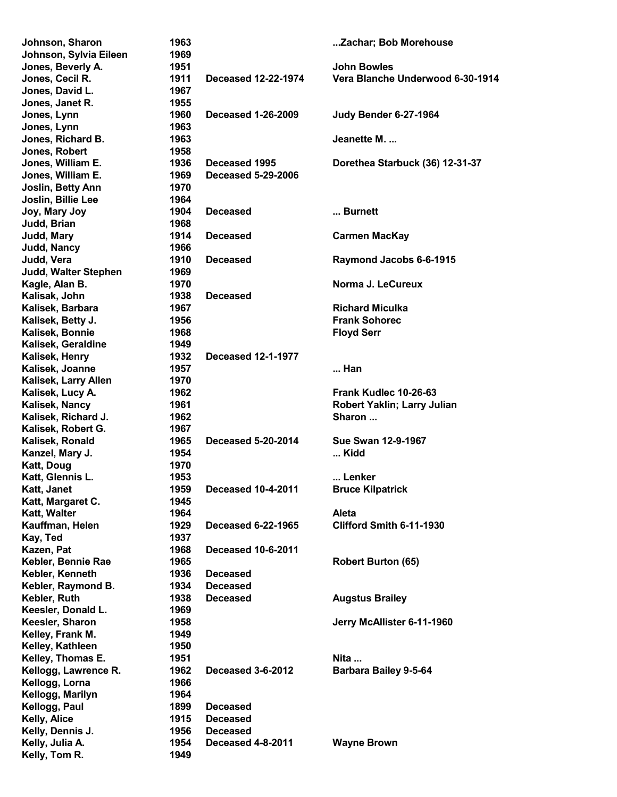| Johnson, Sharon        | 1963 |                            | Zachar; Bob Morehouse            |
|------------------------|------|----------------------------|----------------------------------|
| Johnson, Sylvia Eileen | 1969 |                            |                                  |
| Jones, Beverly A.      | 1951 |                            | <b>John Bowles</b>               |
| Jones, Cecil R.        | 1911 | <b>Deceased 12-22-1974</b> | Vera Blanche Underwood 6-30-1914 |
| Jones, David L.        | 1967 |                            |                                  |
| Jones, Janet R.        | 1955 |                            |                                  |
| Jones, Lynn            | 1960 | <b>Deceased 1-26-2009</b>  | Judy Bender 6-27-1964            |
| Jones, Lynn            | 1963 |                            |                                  |
| Jones, Richard B.      | 1963 |                            | Jeanette M.                      |
| Jones, Robert          | 1958 |                            |                                  |
| Jones, William E.      | 1936 | Deceased 1995              | Dorethea Starbuck (36) 12-31-37  |
| Jones, William E.      | 1969 | <b>Deceased 5-29-2006</b>  |                                  |
| Joslin, Betty Ann      | 1970 |                            |                                  |
|                        |      |                            |                                  |
| Joslin, Billie Lee     | 1964 |                            |                                  |
| Joy, Mary Joy          | 1904 | <b>Deceased</b>            | Burnett                          |
| Judd, Brian            | 1968 |                            |                                  |
| Judd, Mary             | 1914 | <b>Deceased</b>            | <b>Carmen MacKay</b>             |
| <b>Judd, Nancy</b>     | 1966 |                            |                                  |
| Judd, Vera             | 1910 | <b>Deceased</b>            | Raymond Jacobs 6-6-1915          |
| Judd, Walter Stephen   | 1969 |                            |                                  |
| Kagle, Alan B.         | 1970 |                            | Norma J. LeCureux                |
| Kalisak, John          | 1938 | <b>Deceased</b>            |                                  |
| Kalisek, Barbara       | 1967 |                            | <b>Richard Miculka</b>           |
| Kalisek, Betty J.      | 1956 |                            | <b>Frank Sohorec</b>             |
| Kalisek, Bonnie        | 1968 |                            | <b>Floyd Serr</b>                |
| Kalisek, Geraldine     | 1949 |                            |                                  |
| Kalisek, Henry         | 1932 | <b>Deceased 12-1-1977</b>  |                                  |
| Kalisek, Joanne        | 1957 |                            | Han                              |
| Kalisek, Larry Allen   | 1970 |                            |                                  |
| Kalisek, Lucy A.       | 1962 |                            | Frank Kudlec 10-26-63            |
| Kalisek, Nancy         | 1961 |                            | Robert Yaklin; Larry Julian      |
|                        |      |                            | Sharon                           |
| Kalisek, Richard J.    | 1962 |                            |                                  |
| Kalisek, Robert G.     | 1967 |                            |                                  |
| Kalisek, Ronald        | 1965 | <b>Deceased 5-20-2014</b>  | <b>Sue Swan 12-9-1967</b>        |
| Kanzel, Mary J.        | 1954 |                            | Kidd                             |
| Katt, Doug             | 1970 |                            |                                  |
| Katt, Glennis L.       | 1953 |                            | Lenker                           |
| Katt, Janet            | 1959 | <b>Deceased 10-4-2011</b>  | <b>Bruce Kilpatrick</b>          |
| Katt, Margaret C.      | 1945 |                            |                                  |
| Katt, Walter           | 1964 |                            | Aleta                            |
| Kauffman, Helen        | 1929 | <b>Deceased 6-22-1965</b>  | Clifford Smith 6-11-1930         |
| Kay, Ted               | 1937 |                            |                                  |
| Kazen, Pat             | 1968 | <b>Deceased 10-6-2011</b>  |                                  |
| Kebler, Bennie Rae     | 1965 |                            | <b>Robert Burton (65)</b>        |
| Kebler, Kenneth        | 1936 | <b>Deceased</b>            |                                  |
| Kebler, Raymond B.     | 1934 | <b>Deceased</b>            |                                  |
| Kebler, Ruth           | 1938 | <b>Deceased</b>            | <b>Augstus Brailey</b>           |
| Keesler, Donald L.     | 1969 |                            |                                  |
| Keesler, Sharon        | 1958 |                            | Jerry McAllister 6-11-1960       |
| Kelley, Frank M.       | 1949 |                            |                                  |
|                        | 1950 |                            |                                  |
| Kelley, Kathleen       |      |                            |                                  |
| Kelley, Thomas E.      | 1951 |                            | Nita                             |
| Kellogg, Lawrence R.   | 1962 | <b>Deceased 3-6-2012</b>   | <b>Barbara Bailey 9-5-64</b>     |
| Kellogg, Lorna         | 1966 |                            |                                  |
| Kellogg, Marilyn       | 1964 |                            |                                  |
| Kellogg, Paul          | 1899 | <b>Deceased</b>            |                                  |
| <b>Kelly, Alice</b>    | 1915 | <b>Deceased</b>            |                                  |
| Kelly, Dennis J.       | 1956 | <b>Deceased</b>            |                                  |
| Kelly, Julia A.        | 1954 | Deceased 4-8-2011          | <b>Wayne Brown</b>               |
| Kelly, Tom R.          | 1949 |                            |                                  |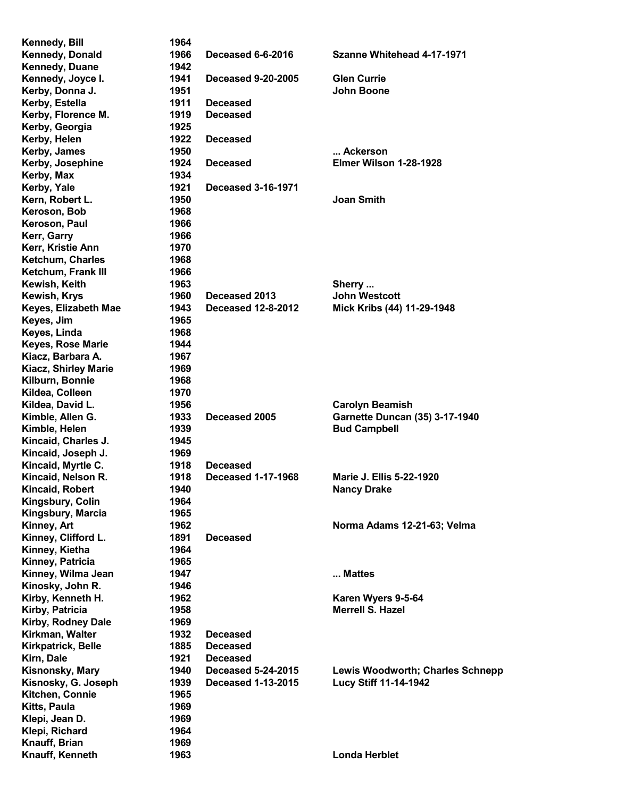| Kennedy, Bill               | 1964 |                           |                                         |
|-----------------------------|------|---------------------------|-----------------------------------------|
| Kennedy, Donald             | 1966 | Deceased 6-6-2016         | Szanne Whitehead 4-17-1971              |
| Kennedy, Duane              | 1942 |                           |                                         |
| Kennedy, Joyce I.           | 1941 | <b>Deceased 9-20-2005</b> | <b>Glen Currie</b>                      |
| Kerby, Donna J.             | 1951 |                           | John Boone                              |
| Kerby, Estella              | 1911 | <b>Deceased</b>           |                                         |
| Kerby, Florence M.          | 1919 | <b>Deceased</b>           |                                         |
| Kerby, Georgia              | 1925 |                           |                                         |
| Kerby, Helen                | 1922 | <b>Deceased</b>           |                                         |
| Kerby, James                | 1950 |                           | Ackerson                                |
| Kerby, Josephine            | 1924 | <b>Deceased</b>           | Elmer Wilson 1-28-1928                  |
| Kerby, Max                  | 1934 |                           |                                         |
| Kerby, Yale                 | 1921 | <b>Deceased 3-16-1971</b> |                                         |
| Kern, Robert L.             | 1950 |                           | <b>Joan Smith</b>                       |
| Keroson, Bob                | 1968 |                           |                                         |
| Keroson, Paul               | 1966 |                           |                                         |
| Kerr, Garry                 | 1966 |                           |                                         |
| Kerr, Kristie Ann           | 1970 |                           |                                         |
| <b>Ketchum, Charles</b>     | 1968 |                           |                                         |
| Ketchum, Frank III          | 1966 |                           |                                         |
| Kewish, Keith               | 1963 |                           | Sherry                                  |
| Kewish, Krys                | 1960 | Deceased 2013             | <b>John Westcott</b>                    |
| Keyes, Elizabeth Mae        | 1943 | <b>Deceased 12-8-2012</b> | Mick Kribs (44) 11-29-1948              |
| Keyes, Jim                  | 1965 |                           |                                         |
| Keyes, Linda                | 1968 |                           |                                         |
| <b>Keyes, Rose Marie</b>    | 1944 |                           |                                         |
| Kiacz, Barbara A.           | 1967 |                           |                                         |
| <b>Kiacz, Shirley Marie</b> | 1969 |                           |                                         |
| Kilburn, Bonnie             | 1968 |                           |                                         |
| Kildea, Colleen             | 1970 |                           |                                         |
| Kildea, David L.            | 1956 |                           | <b>Carolyn Beamish</b>                  |
| Kimble, Allen G.            | 1933 | Deceased 2005             | <b>Garnette Duncan (35) 3-17-1940</b>   |
| Kimble, Helen               | 1939 |                           | <b>Bud Campbell</b>                     |
| Kincaid, Charles J.         | 1945 |                           |                                         |
| Kincaid, Joseph J.          | 1969 |                           |                                         |
| Kincaid, Myrtle C.          | 1918 | <b>Deceased</b>           |                                         |
| Kincaid, Nelson R.          | 1918 | <b>Deceased 1-17-1968</b> | <b>Marie J. Ellis 5-22-1920</b>         |
| Kincaid, Robert             | 1940 |                           | <b>Nancy Drake</b>                      |
| Kingsbury, Colin            | 1964 |                           |                                         |
| Kingsbury, Marcia           | 1965 |                           |                                         |
| Kinney, Art                 | 1962 |                           | Norma Adams 12-21-63; Velma             |
| Kinney, Clifford L.         | 1891 | <b>Deceased</b>           |                                         |
| Kinney, Kietha              | 1964 |                           |                                         |
| Kinney, Patricia            | 1965 |                           |                                         |
| Kinney, Wilma Jean          | 1947 |                           | Mattes                                  |
| Kinosky, John R.            | 1946 |                           |                                         |
| Kirby, Kenneth H.           | 1962 |                           | Karen Wyers 9-5-64                      |
| Kirby, Patricia             | 1958 |                           | <b>Merrell S. Hazel</b>                 |
| Kirby, Rodney Dale          | 1969 |                           |                                         |
| Kirkman, Walter             | 1932 | <b>Deceased</b>           |                                         |
| Kirkpatrick, Belle          | 1885 | <b>Deceased</b>           |                                         |
| Kirn, Dale                  | 1921 | <b>Deceased</b>           |                                         |
| Kisnonsky, Mary             | 1940 | <b>Deceased 5-24-2015</b> | <b>Lewis Woodworth; Charles Schnepp</b> |
| Kisnosky, G. Joseph         | 1939 | <b>Deceased 1-13-2015</b> | Lucy Stiff 11-14-1942                   |
| Kitchen, Connie             | 1965 |                           |                                         |
| Kitts, Paula                | 1969 |                           |                                         |
| Klepi, Jean D.              | 1969 |                           |                                         |
| Klepi, Richard              | 1964 |                           |                                         |
| Knauff, Brian               | 1969 |                           |                                         |
| Knauff, Kenneth             | 1963 |                           | <b>Londa Herblet</b>                    |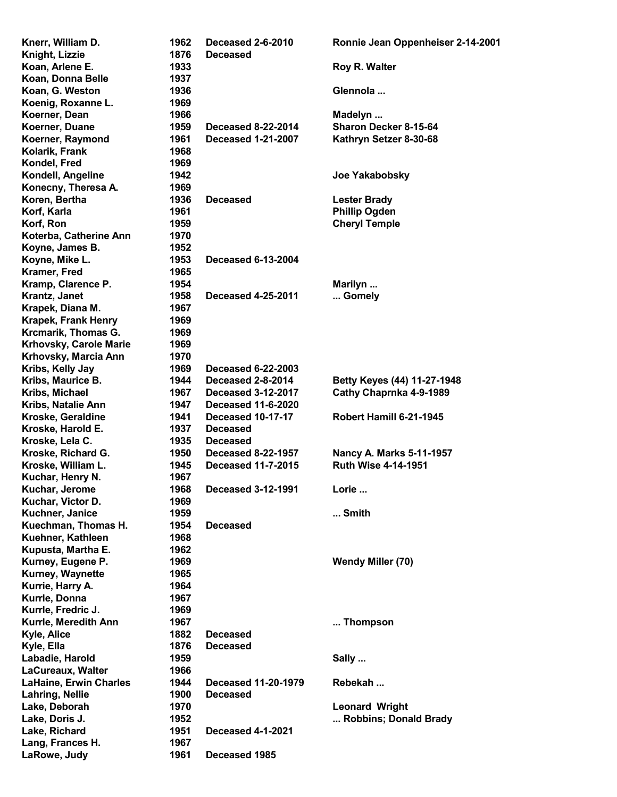| Knerr, William D.             | 1962 | Deceased 2-6-2010          | Ronnie Jean Oppenheiser 2-14-2001 |
|-------------------------------|------|----------------------------|-----------------------------------|
| Knight, Lizzie                | 1876 | <b>Deceased</b>            |                                   |
| Koan, Arlene E.               | 1933 |                            | <b>Roy R. Walter</b>              |
| Koan, Donna Belle             | 1937 |                            |                                   |
| Koan, G. Weston               | 1936 |                            | Glennola                          |
| Koenig, Roxanne L.            | 1969 |                            |                                   |
| Koerner, Dean                 | 1966 |                            | Madelyn                           |
| Koerner, Duane                | 1959 | <b>Deceased 8-22-2014</b>  | Sharon Decker 8-15-64             |
| Koerner, Raymond              | 1961 | <b>Deceased 1-21-2007</b>  | Kathryn Setzer 8-30-68            |
| Kolarik, Frank                | 1968 |                            |                                   |
| Kondel, Fred                  | 1969 |                            |                                   |
| Kondell, Angeline             | 1942 |                            | <b>Joe Yakabobsky</b>             |
| Konecny, Theresa A.           | 1969 |                            |                                   |
| Koren, Bertha                 | 1936 | <b>Deceased</b>            | <b>Lester Brady</b>               |
| Korf, Karla                   | 1961 |                            | <b>Phillip Ogden</b>              |
| Korf, Ron                     | 1959 |                            | <b>Cheryl Temple</b>              |
| Koterba, Catherine Ann        | 1970 |                            |                                   |
| Koyne, James B.               | 1952 |                            |                                   |
| Koyne, Mike L.                | 1953 | <b>Deceased 6-13-2004</b>  |                                   |
| Kramer, Fred                  | 1965 |                            |                                   |
| Kramp, Clarence P.            | 1954 |                            | Marilyn                           |
| Krantz, Janet                 | 1958 | <b>Deceased 4-25-2011</b>  | Gomely                            |
| Krapek, Diana M.              | 1967 |                            |                                   |
| <b>Krapek, Frank Henry</b>    | 1969 |                            |                                   |
| Krcmarik, Thomas G.           | 1969 |                            |                                   |
| Krhovsky, Carole Marie        | 1969 |                            |                                   |
| Krhovsky, Marcia Ann          | 1970 |                            |                                   |
| Kribs, Kelly Jay              | 1969 | <b>Deceased 6-22-2003</b>  |                                   |
| Kribs, Maurice B.             | 1944 | Deceased 2-8-2014          | Betty Keyes (44) 11-27-1948       |
| Kribs, Michael                | 1967 | <b>Deceased 3-12-2017</b>  | Cathy Chaprnka 4-9-1989           |
| Kribs, Natalie Ann            | 1947 | <b>Deceased 11-6-2020</b>  |                                   |
| Kroske, Geraldine             | 1941 | Deceased 10-17-17          | Robert Hamill 6-21-1945           |
| Kroske, Harold E.             | 1937 | <b>Deceased</b>            |                                   |
| Kroske, Lela C.               | 1935 | <b>Deceased</b>            |                                   |
| Kroske, Richard G.            | 1950 | <b>Deceased 8-22-1957</b>  | Nancy A. Marks 5-11-1957          |
| Kroske, William L.            | 1945 | <b>Deceased 11-7-2015</b>  | <b>Ruth Wise 4-14-1951</b>        |
| Kuchar, Henry N.              | 1967 |                            |                                   |
| Kuchar, Jerome                | 1968 | <b>Deceased 3-12-1991</b>  | Lorie                             |
| Kuchar, Victor D.             | 1969 |                            |                                   |
| Kuchner, Janice               | 1959 |                            | Smith                             |
| Kuechman, Thomas H.           | 1954 | <b>Deceased</b>            |                                   |
| Kuehner, Kathleen             | 1968 |                            |                                   |
| Kupusta, Martha E.            | 1962 |                            |                                   |
| Kurney, Eugene P.             | 1969 |                            | Wendy Miller (70)                 |
| <b>Kurney, Waynette</b>       | 1965 |                            |                                   |
| Kurrie, Harry A.              | 1964 |                            |                                   |
| Kurrle, Donna                 | 1967 |                            |                                   |
| Kurrle, Fredric J.            | 1969 |                            |                                   |
| Kurrle, Meredith Ann          | 1967 |                            | Thompson                          |
| Kyle, Alice                   | 1882 | <b>Deceased</b>            |                                   |
| Kyle, Ella                    | 1876 | <b>Deceased</b>            |                                   |
| Labadie, Harold               | 1959 |                            | Sally                             |
| <b>LaCureaux, Walter</b>      | 1966 |                            |                                   |
| <b>LaHaine, Erwin Charles</b> | 1944 | <b>Deceased 11-20-1979</b> | Rebekah                           |
| Lahring, Nellie               | 1900 | <b>Deceased</b>            |                                   |
| Lake, Deborah                 | 1970 |                            | <b>Leonard Wright</b>             |
| Lake, Doris J.                | 1952 |                            | Robbins; Donald Brady             |
| Lake, Richard                 | 1951 | <b>Deceased 4-1-2021</b>   |                                   |
| Lang, Frances H.              | 1967 |                            |                                   |
| LaRowe, Judy                  | 1961 | Deceased 1985              |                                   |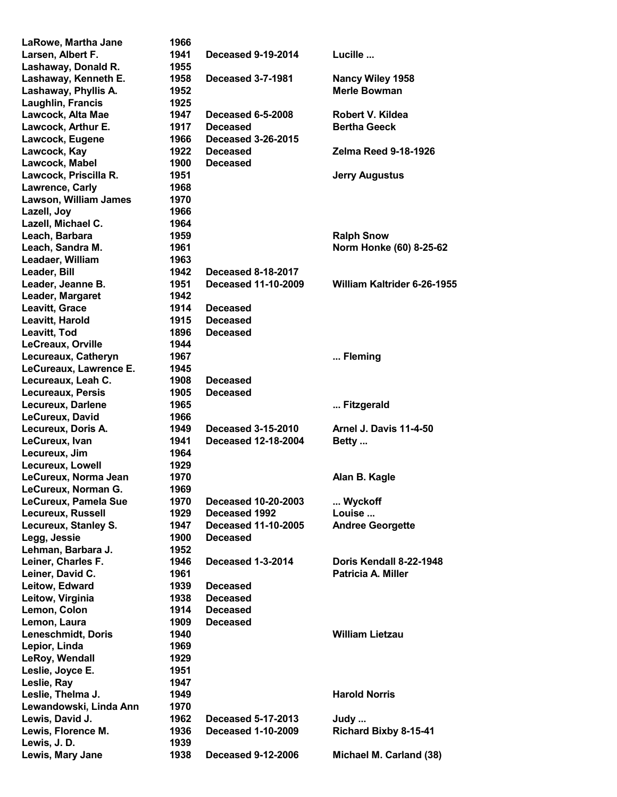| LaRowe, Martha Jane    | 1966 |                            |                               |
|------------------------|------|----------------------------|-------------------------------|
| Larsen, Albert F.      | 1941 | <b>Deceased 9-19-2014</b>  | Lucille                       |
| Lashaway, Donald R.    | 1955 |                            |                               |
| Lashaway, Kenneth E.   | 1958 | <b>Deceased 3-7-1981</b>   | Nancy Wiley 1958              |
| Lashaway, Phyllis A.   | 1952 |                            | <b>Merle Bowman</b>           |
| Laughlin, Francis      | 1925 |                            |                               |
| Lawcock, Alta Mae      | 1947 | <b>Deceased 6-5-2008</b>   | Robert V. Kildea              |
|                        | 1917 | <b>Deceased</b>            | <b>Bertha Geeck</b>           |
| Lawcock, Arthur E.     |      |                            |                               |
| Lawcock, Eugene        | 1966 | <b>Deceased 3-26-2015</b>  |                               |
| Lawcock, Kay           | 1922 | <b>Deceased</b>            | <b>Zelma Reed 9-18-1926</b>   |
| Lawcock, Mabel         | 1900 | <b>Deceased</b>            |                               |
| Lawcock, Priscilla R.  | 1951 |                            | <b>Jerry Augustus</b>         |
| Lawrence, Carly        | 1968 |                            |                               |
| Lawson, William James  | 1970 |                            |                               |
| Lazell, Joy            | 1966 |                            |                               |
| Lazell, Michael C.     | 1964 |                            |                               |
| Leach, Barbara         | 1959 |                            | <b>Ralph Snow</b>             |
| Leach, Sandra M.       | 1961 |                            | Norm Honke (60) 8-25-62       |
| Leadaer, William       | 1963 |                            |                               |
| Leader, Bill           | 1942 | <b>Deceased 8-18-2017</b>  |                               |
| Leader, Jeanne B.      | 1951 | <b>Deceased 11-10-2009</b> | William Kaltrider 6-26-1955   |
| Leader, Margaret       | 1942 |                            |                               |
|                        |      |                            |                               |
| Leavitt, Grace         | 1914 | <b>Deceased</b>            |                               |
| Leavitt, Harold        | 1915 | <b>Deceased</b>            |                               |
| Leavitt, Tod           | 1896 | <b>Deceased</b>            |                               |
| LeCreaux, Orville      | 1944 |                            |                               |
| Lecureaux, Catheryn    | 1967 |                            | Fleming                       |
| LeCureaux, Lawrence E. | 1945 |                            |                               |
| Lecureaux, Leah C.     | 1908 | <b>Deceased</b>            |                               |
| Lecureaux, Persis      | 1905 | <b>Deceased</b>            |                               |
| Lecureux, Darlene      | 1965 |                            | Fitzgerald                    |
| LeCureux, David        | 1966 |                            |                               |
| Lecureux, Doris A.     | 1949 | <b>Deceased 3-15-2010</b>  | <b>Arnel J. Davis 11-4-50</b> |
| LeCureux, Ivan         | 1941 | <b>Deceased 12-18-2004</b> | Betty                         |
| Lecureux, Jim          | 1964 |                            |                               |
| Lecureux, Lowell       | 1929 |                            |                               |
| LeCureux, Norma Jean   | 1970 |                            |                               |
|                        |      |                            | Alan B. Kagle                 |
| LeCureux, Norman G.    | 1969 |                            |                               |
| LeCureux, Pamela Sue   | 1970 | <b>Deceased 10-20-2003</b> | Wyckoff                       |
| Lecureux, Russell      | 1929 | Deceased 1992              | Louise                        |
| Lecureux, Stanley S.   | 1947 | <b>Deceased 11-10-2005</b> | <b>Andree Georgette</b>       |
| Legg, Jessie           | 1900 | <b>Deceased</b>            |                               |
| Lehman, Barbara J.     | 1952 |                            |                               |
| Leiner, Charles F.     | 1946 | <b>Deceased 1-3-2014</b>   | Doris Kendall 8-22-1948       |
| Leiner, David C.       | 1961 |                            | <b>Patricia A. Miller</b>     |
| Leitow, Edward         | 1939 | <b>Deceased</b>            |                               |
| Leitow, Virginia       | 1938 | <b>Deceased</b>            |                               |
| Lemon, Colon           | 1914 | <b>Deceased</b>            |                               |
| Lemon, Laura           | 1909 | <b>Deceased</b>            |                               |
| Leneschmidt, Doris     | 1940 |                            | <b>William Lietzau</b>        |
|                        |      |                            |                               |
| Lepior, Linda          | 1969 |                            |                               |
| LeRoy, Wendall         | 1929 |                            |                               |
| Leslie, Joyce E.       | 1951 |                            |                               |
| Leslie, Ray            | 1947 |                            |                               |
| Leslie, Thelma J.      | 1949 |                            | <b>Harold Norris</b>          |
| Lewandowski, Linda Ann | 1970 |                            |                               |
| Lewis, David J.        | 1962 | <b>Deceased 5-17-2013</b>  | Judy                          |
| Lewis, Florence M.     | 1936 | <b>Deceased 1-10-2009</b>  | <b>Richard Bixby 8-15-41</b>  |
| Lewis, J.D.            | 1939 |                            |                               |
| Lewis, Mary Jane       | 1938 | <b>Deceased 9-12-2006</b>  | Michael M. Carland (38)       |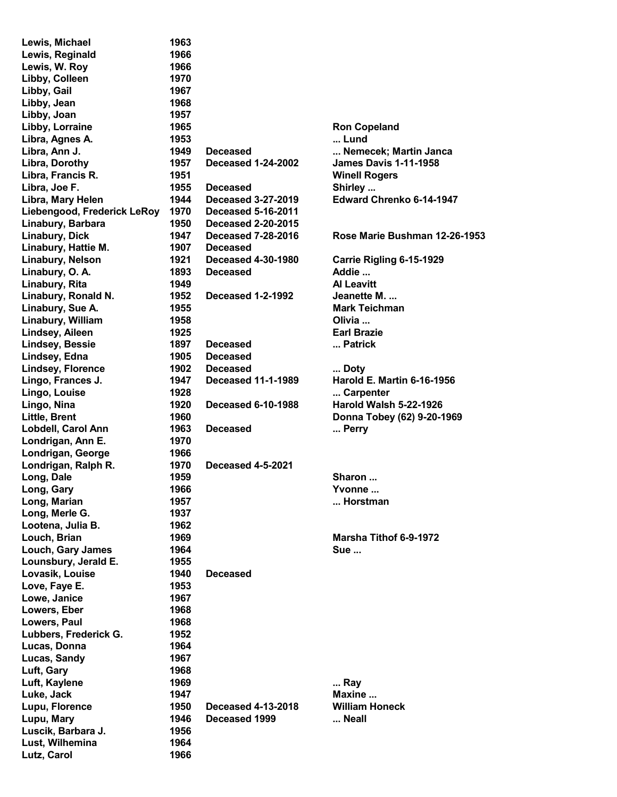| Lewis, Michael              | 1963 |                           |                               |
|-----------------------------|------|---------------------------|-------------------------------|
| Lewis, Reginald             | 1966 |                           |                               |
| Lewis, W. Roy               | 1966 |                           |                               |
| Libby, Colleen              | 1970 |                           |                               |
| Libby, Gail                 | 1967 |                           |                               |
| Libby, Jean                 | 1968 |                           |                               |
| Libby, Joan                 | 1957 |                           |                               |
| Libby, Lorraine             | 1965 |                           | <b>Ron Copeland</b>           |
| Libra, Agnes A.             | 1953 |                           | Lund                          |
| Libra, Ann J.               | 1949 | <b>Deceased</b>           | Nemecek; Martin Janca         |
| Libra, Dorothy              | 1957 | <b>Deceased 1-24-2002</b> | <b>James Davis 1-11-1958</b>  |
| Libra, Francis R.           | 1951 |                           | <b>Winell Rogers</b>          |
| Libra, Joe F.               | 1955 | <b>Deceased</b>           | Shirley                       |
| Libra, Mary Helen           | 1944 | <b>Deceased 3-27-2019</b> | Edward Chrenko 6-14-1947      |
| Liebengood, Frederick LeRoy | 1970 | <b>Deceased 5-16-2011</b> |                               |
| Linabury, Barbara           | 1950 | <b>Deceased 2-20-2015</b> |                               |
| <b>Linabury, Dick</b>       | 1947 | <b>Deceased 7-28-2016</b> | Rose Marie Bushman 12-26-1953 |
| Linabury, Hattie M.         | 1907 | <b>Deceased</b>           |                               |
| Linabury, Nelson            | 1921 | <b>Deceased 4-30-1980</b> | Carrie Rigling 6-15-1929      |
|                             | 1893 | <b>Deceased</b>           | Addie                         |
| Linabury, O. A.             |      |                           |                               |
| Linabury, Rita              | 1949 |                           | <b>Al Leavitt</b>             |
| Linabury, Ronald N.         | 1952 | <b>Deceased 1-2-1992</b>  | Jeanette M.                   |
| Linabury, Sue A.            | 1955 |                           | <b>Mark Teichman</b>          |
| Linabury, William           | 1958 |                           | Olivia                        |
| Lindsey, Aileen             | 1925 |                           | <b>Earl Brazie</b>            |
| <b>Lindsey, Bessie</b>      | 1897 | <b>Deceased</b>           | Patrick                       |
| Lindsey, Edna               | 1905 | <b>Deceased</b>           |                               |
| <b>Lindsey, Florence</b>    | 1902 | <b>Deceased</b>           | Doty                          |
| Lingo, Frances J.           | 1947 | <b>Deceased 11-1-1989</b> | Harold E. Martin 6-16-1956    |
| Lingo, Louise               | 1928 |                           | Carpenter                     |
| Lingo, Nina                 | 1920 | <b>Deceased 6-10-1988</b> | Harold Walsh 5-22-1926        |
| <b>Little, Brent</b>        | 1960 |                           | Donna Tobey (62) 9-20-1969    |
| Lobdell, Carol Ann          | 1963 | <b>Deceased</b>           | Perry                         |
| Londrigan, Ann E.           | 1970 |                           |                               |
| Londrigan, George           | 1966 |                           |                               |
| Londrigan, Ralph R.         | 1970 | <b>Deceased 4-5-2021</b>  |                               |
| Long, Dale                  | 1959 |                           | Sharon                        |
| Long, Gary                  | 1966 |                           | Yvonne                        |
| Long, Marian                | 1957 |                           | Horstman                      |
| Long, Merle G.              | 1937 |                           |                               |
| Lootena, Julia B.           | 1962 |                           |                               |
| Louch, Brian                | 1969 |                           | Marsha Tithof 6-9-1972        |
| Louch, Gary James           | 1964 |                           | <b>Sue</b>                    |
| Lounsbury, Jerald E.        | 1955 |                           |                               |
| Lovasik, Louise             | 1940 | <b>Deceased</b>           |                               |
| Love, Faye E.               | 1953 |                           |                               |
| Lowe, Janice                | 1967 |                           |                               |
| Lowers, Eber                | 1968 |                           |                               |
| Lowers, Paul                | 1968 |                           |                               |
| Lubbers, Frederick G.       | 1952 |                           |                               |
| Lucas, Donna                | 1964 |                           |                               |
| Lucas, Sandy                | 1967 |                           |                               |
| Luft, Gary                  | 1968 |                           |                               |
| Luft, Kaylene               | 1969 |                           | Ray                           |
| Luke, Jack                  | 1947 |                           | Maxine                        |
| Lupu, Florence              | 1950 | <b>Deceased 4-13-2018</b> | <b>William Honeck</b>         |
| Lupu, Mary                  | 1946 | Deceased 1999             | Neall                         |
| Luscik, Barbara J.          | 1956 |                           |                               |
| Lust, Wilhemina             | 1964 |                           |                               |
| Lutz, Carol                 | 1966 |                           |                               |
|                             |      |                           |                               |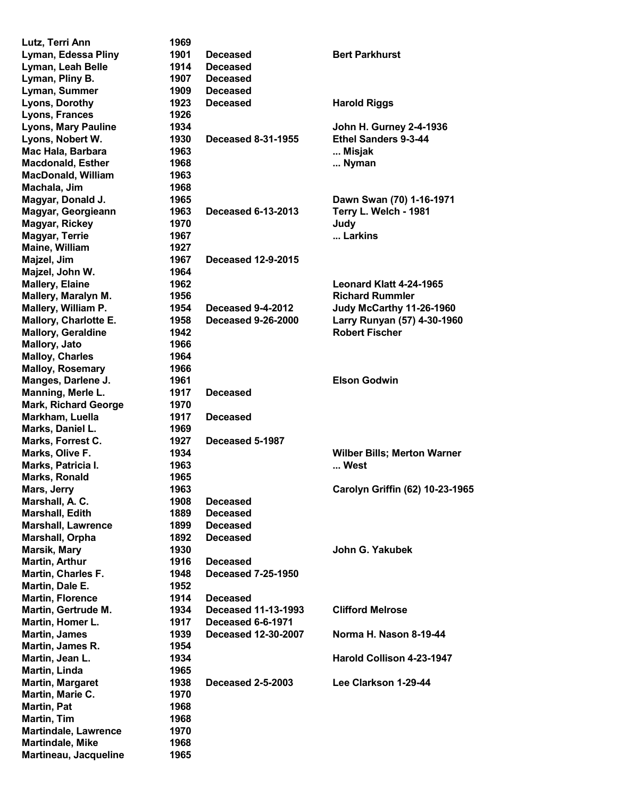| Lutz, Terri Ann                 | 1969         |                                              |                                            |
|---------------------------------|--------------|----------------------------------------------|--------------------------------------------|
| Lyman, Edessa Pliny             | 1901         | <b>Deceased</b>                              | <b>Bert Parkhurst</b>                      |
| Lyman, Leah Belle               | 1914         | <b>Deceased</b>                              |                                            |
| Lyman, Pliny B.                 | 1907         | <b>Deceased</b>                              |                                            |
| Lyman, Summer                   | 1909         | <b>Deceased</b>                              |                                            |
| Lyons, Dorothy                  | 1923         | <b>Deceased</b>                              | <b>Harold Riggs</b>                        |
| Lyons, Frances                  | 1926         |                                              |                                            |
| <b>Lyons, Mary Pauline</b>      | 1934         |                                              | <b>John H. Gurney 2-4-1936</b>             |
| Lyons, Nobert W.                | 1930         | <b>Deceased 8-31-1955</b>                    | Ethel Sanders 9-3-44                       |
| Mac Hala, Barbara               | 1963         |                                              | Misjak                                     |
| <b>Macdonald, Esther</b>        | 1968         |                                              | Nyman                                      |
| <b>MacDonald, William</b>       | 1963         |                                              |                                            |
| Machala, Jim                    | 1968         |                                              |                                            |
| Magyar, Donald J.               | 1965         |                                              | Dawn Swan (70) 1-16-1971                   |
| Magyar, Georgieann              | 1963         | <b>Deceased 6-13-2013</b>                    | Terry L. Welch - 1981                      |
| <b>Magyar, Rickey</b>           | 1970         |                                              | Judy                                       |
| <b>Magyar, Terrie</b>           | 1967         |                                              | Larkins                                    |
| Maine, William                  | 1927         |                                              |                                            |
| Majzel, Jim                     | 1967         | <b>Deceased 12-9-2015</b>                    |                                            |
| Majzel, John W.                 | 1964         |                                              |                                            |
| <b>Mallery, Elaine</b>          | 1962         |                                              | Leonard Klatt 4-24-1965                    |
| Mallery, Maralyn M.             | 1956         |                                              | <b>Richard Rummler</b>                     |
| Mallery, William P.             | 1954         | Deceased 9-4-2012                            | Judy McCarthy 11-26-1960                   |
| Mallory, Charlotte E.           | 1958         | <b>Deceased 9-26-2000</b>                    | Larry Runyan (57) 4-30-1960                |
| <b>Mallory, Geraldine</b>       | 1942         |                                              | <b>Robert Fischer</b>                      |
| <b>Mallory, Jato</b>            | 1966         |                                              |                                            |
| <b>Malloy, Charles</b>          | 1964         |                                              |                                            |
| <b>Malloy, Rosemary</b>         | 1966         |                                              |                                            |
| Manges, Darlene J.              | 1961         |                                              | <b>Elson Godwin</b>                        |
| Manning, Merle L.               | 1917         | <b>Deceased</b>                              |                                            |
| <b>Mark, Richard George</b>     | 1970         |                                              |                                            |
| Markham, Luella                 | 1917         | <b>Deceased</b>                              |                                            |
| Marks, Daniel L.                | 1969         |                                              |                                            |
| Marks, Forrest C.               | 1927         | Deceased 5-1987                              |                                            |
| Marks, Olive F.                 | 1934         |                                              |                                            |
| Marks, Patricia I.              | 1963         |                                              | <b>Wilber Bills; Merton Warner</b><br>West |
| <b>Marks, Ronald</b>            | 1965         |                                              |                                            |
| Mars, Jerry                     | 1963         |                                              | Carolyn Griffin (62) 10-23-1965            |
| Marshall, A. C.                 | 1908         | <b>Deceased</b>                              |                                            |
| Marshall, Edith                 | 1889         | <b>Deceased</b>                              |                                            |
|                                 | 1899         | <b>Deceased</b>                              |                                            |
| <b>Marshall, Lawrence</b>       | 1892         |                                              |                                            |
| Marshall, Orpha<br>Marsik, Mary | 1930         | <b>Deceased</b>                              |                                            |
| <b>Martin, Arthur</b>           |              |                                              | John G. Yakubek                            |
| Martin, Charles F.              | 1916         | <b>Deceased</b><br><b>Deceased 7-25-1950</b> |                                            |
|                                 | 1948<br>1952 |                                              |                                            |
| Martin, Dale E.                 |              |                                              |                                            |
| <b>Martin, Florence</b>         | 1914         | <b>Deceased</b>                              |                                            |
| Martin, Gertrude M.             | 1934         | <b>Deceased 11-13-1993</b>                   | <b>Clifford Melrose</b>                    |
| Martin, Homer L.                | 1917         | Deceased 6-6-1971                            |                                            |
| <b>Martin, James</b>            | 1939         | <b>Deceased 12-30-2007</b>                   | Norma H. Nason 8-19-44                     |
| Martin, James R.                | 1954         |                                              |                                            |
| Martin, Jean L.                 | 1934         |                                              | Harold Collison 4-23-1947                  |
| Martin, Linda                   | 1965         |                                              |                                            |
| <b>Martin, Margaret</b>         | 1938         | <b>Deceased 2-5-2003</b>                     | Lee Clarkson 1-29-44                       |
| Martin, Marie C.                | 1970         |                                              |                                            |
| Martin, Pat                     | 1968         |                                              |                                            |
| Martin, Tim                     | 1968         |                                              |                                            |
| <b>Martindale, Lawrence</b>     | 1970         |                                              |                                            |
| <b>Martindale, Mike</b>         | 1968         |                                              |                                            |
| Martineau, Jacqueline           | 1965         |                                              |                                            |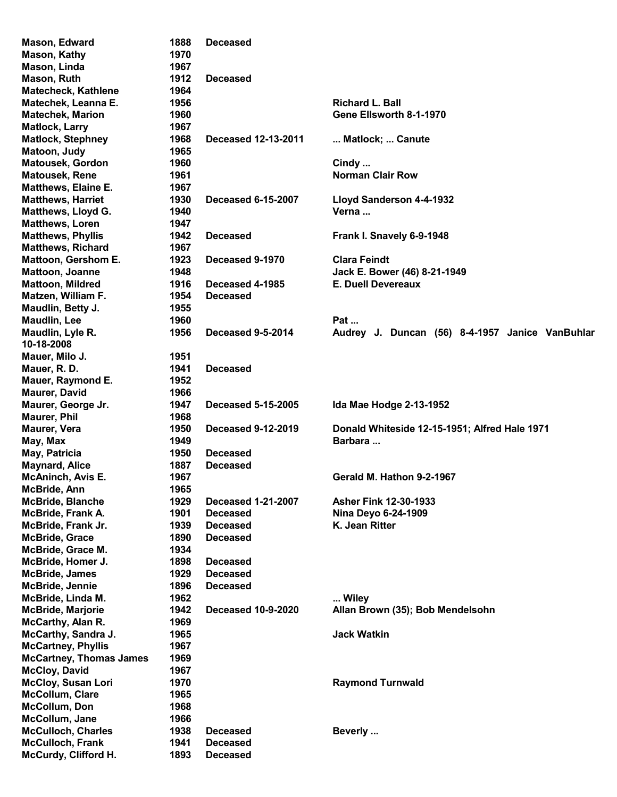| Mason, Edward                  | 1888 | <b>Deceased</b>            |                                                 |
|--------------------------------|------|----------------------------|-------------------------------------------------|
| <b>Mason, Kathy</b>            | 1970 |                            |                                                 |
| Mason, Linda                   | 1967 |                            |                                                 |
| Mason, Ruth                    | 1912 | <b>Deceased</b>            |                                                 |
| <b>Matecheck, Kathlene</b>     | 1964 |                            |                                                 |
| Matechek, Leanna E.            | 1956 |                            | <b>Richard L. Ball</b>                          |
| <b>Matechek, Marion</b>        | 1960 |                            | Gene Ellsworth 8-1-1970                         |
| <b>Matlock, Larry</b>          | 1967 |                            |                                                 |
| <b>Matlock, Stephney</b>       | 1968 | <b>Deceased 12-13-2011</b> | Matlock;  Canute                                |
| Matoon, Judy                   | 1965 |                            |                                                 |
| <b>Matousek, Gordon</b>        | 1960 |                            | Cindy                                           |
| <b>Matousek, Rene</b>          |      |                            | <b>Norman Clair Row</b>                         |
|                                | 1961 |                            |                                                 |
| Matthews, Elaine E.            | 1967 |                            |                                                 |
| <b>Matthews, Harriet</b>       | 1930 | <b>Deceased 6-15-2007</b>  | Lloyd Sanderson 4-4-1932                        |
| Matthews, Lloyd G.             | 1940 |                            | Verna                                           |
| <b>Matthews, Loren</b>         | 1947 |                            |                                                 |
| <b>Matthews, Phyllis</b>       | 1942 | <b>Deceased</b>            | Frank I. Snavely 6-9-1948                       |
| <b>Matthews, Richard</b>       | 1967 |                            |                                                 |
| Mattoon, Gershom E.            | 1923 | Deceased 9-1970            | <b>Clara Feindt</b>                             |
| Mattoon, Joanne                | 1948 |                            | Jack E. Bower (46) 8-21-1949                    |
| <b>Mattoon, Mildred</b>        | 1916 | Deceased 4-1985            | <b>E. Duell Devereaux</b>                       |
| Matzen, William F.             | 1954 | <b>Deceased</b>            |                                                 |
| Maudlin, Betty J.              | 1955 |                            |                                                 |
| <b>Maudlin, Lee</b>            | 1960 |                            | Pat                                             |
| Maudlin, Lyle R.               | 1956 | Deceased 9-5-2014          | Audrey J. Duncan (56) 8-4-1957 Janice VanBuhlar |
| 10-18-2008                     |      |                            |                                                 |
| Mauer, Milo J.                 | 1951 |                            |                                                 |
| Mauer, R. D.                   | 1941 | <b>Deceased</b>            |                                                 |
| Mauer, Raymond E.              | 1952 |                            |                                                 |
| <b>Maurer, David</b>           | 1966 |                            |                                                 |
| Maurer, George Jr.             | 1947 | <b>Deceased 5-15-2005</b>  | Ida Mae Hodge 2-13-1952                         |
| <b>Maurer, Phil</b>            | 1968 |                            |                                                 |
| <b>Maurer, Vera</b>            | 1950 | <b>Deceased 9-12-2019</b>  | Donald Whiteside 12-15-1951; Alfred Hale 1971   |
|                                | 1949 |                            | Barbara                                         |
| May, Max                       |      | <b>Deceased</b>            |                                                 |
| May, Patricia                  | 1950 |                            |                                                 |
| <b>Maynard, Alice</b>          | 1887 | <b>Deceased</b>            |                                                 |
| <b>McAninch, Avis E.</b>       | 1967 |                            | Gerald M. Hathon 9-2-1967                       |
| McBride, Ann                   | 1965 |                            |                                                 |
| <b>McBride, Blanche</b>        | 1929 | <b>Deceased 1-21-2007</b>  | <b>Asher Fink 12-30-1933</b>                    |
| <b>McBride, Frank A.</b>       | 1901 | <b>Deceased</b>            | Nina Deyo 6-24-1909                             |
| McBride, Frank Jr.             | 1939 | <b>Deceased</b>            | K. Jean Ritter                                  |
| <b>McBride, Grace</b>          | 1890 | <b>Deceased</b>            |                                                 |
| McBride, Grace M.              | 1934 |                            |                                                 |
| McBride, Homer J.              | 1898 | <b>Deceased</b>            |                                                 |
| <b>McBride, James</b>          | 1929 | <b>Deceased</b>            |                                                 |
| McBride, Jennie                | 1896 | <b>Deceased</b>            |                                                 |
| McBride, Linda M.              | 1962 |                            | Wiley                                           |
| <b>McBride, Marjorie</b>       | 1942 | <b>Deceased 10-9-2020</b>  | Allan Brown (35); Bob Mendelsohn                |
| <b>McCarthy, Alan R.</b>       | 1969 |                            |                                                 |
| McCarthy, Sandra J.            | 1965 |                            | <b>Jack Watkin</b>                              |
| <b>McCartney, Phyllis</b>      | 1967 |                            |                                                 |
| <b>McCartney, Thomas James</b> | 1969 |                            |                                                 |
| <b>McCloy, David</b>           | 1967 |                            |                                                 |
| <b>McCloy, Susan Lori</b>      | 1970 |                            | <b>Raymond Turnwald</b>                         |
| McCollum, Clare                | 1965 |                            |                                                 |
| McCollum, Don                  | 1968 |                            |                                                 |
| McCollum, Jane                 | 1966 |                            |                                                 |
| <b>McCulloch, Charles</b>      | 1938 | <b>Deceased</b>            | Beverly                                         |
| <b>McCulloch, Frank</b>        | 1941 | <b>Deceased</b>            |                                                 |
| McCurdy, Clifford H.           | 1893 | <b>Deceased</b>            |                                                 |
|                                |      |                            |                                                 |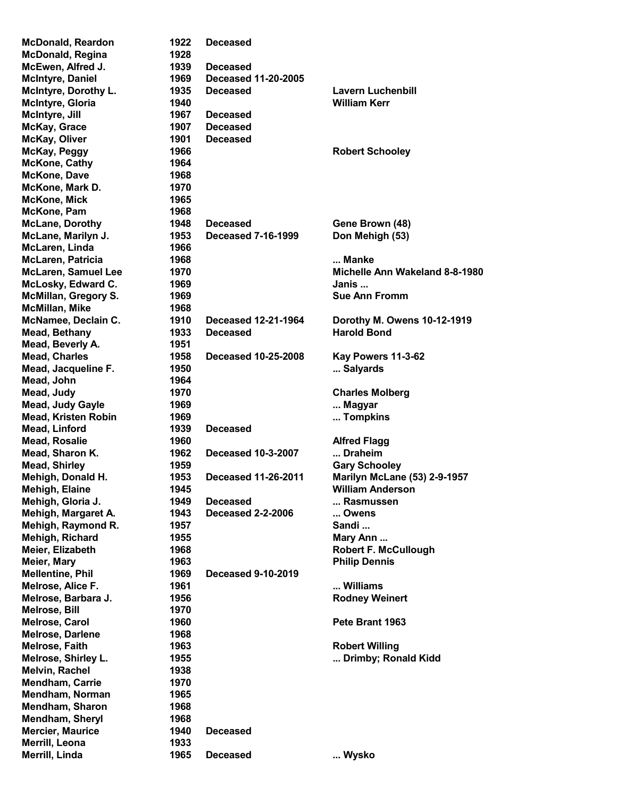McDonald, Regina 1928 McKone, Cathy 1964 McKone, Dave 1968 McKone, Mark D. 1970 McKone, Mick 1965 McKone, Pam 1968 McLaren, Linda 1966 McMillan, Mike 1968 Mead, Beverly A. Mead, John 1964 Melrose, Bill 1970 Melrose, Darlene 1968 Melvin, Rachel 1938 Mendham, Carrie 1970 Mendham, Norman 1965 Mendham, Sharon 1968 Mendham, Sheryl 1968 Merrill, Leona 1933

McDonald, Reardon 1922 Deceased McEwen, Alfred J. 1939 Deceased McIntyre, Daniel 1969 Deceased 11-20-2005 McIntyre, Dorothy L. 1935 Deceased Lavern Luchenbill McIntyre, Gloria 1940 William Kerr McIntyre, Jill 1967 Deceased McKay, Grace 1907 Deceased McKay, Oliver 1901 Deceased McKay, Peggy 1966 Robert Schooley McLane, Dorothy 1948 Deceased Gene Brown (48) McLane, Marilyn J. 1953 Deceased 7-16-1999 Don Mehigh (53) McLaren, Patricia 1968 ... Manke McLaren, Samuel Lee 1970 1970 Michelle Ann Wakeland 8-8-1980 McLosky, Edward C. 1969 **In the United States Control** Danis ... McMillan, Gregory S. 1969 Sue Ann Fromm McNamee, Declain C. 1910 Deceased 12-21-1964 Dorothy M. Owens 10-12-1919 Mead, Bethany 1933 Deceased Harold Bond Mead, Charles 1958 Deceased 10-25-2008 Kay Powers 11-3-62 Mead, Jacqueline F. 1950 ... Salyards ... Salyards Mead, Judy 1970 Charles Molberg Mead, Judy Gayle **1969** ... Magyar **... Magyar** Mead, Kristen Robin 1969 ... Tompkins Mead, Linford 1939 Deceased Mead, Rosalie 1960 and the 1960 Alfred Flagg Mead, Sharon K. **1962** Deceased 10-3-2007 ... Draheim Mead, Shirley **1959** Gary Schooley **Mead, Shirley** Mehigh, Donald H. 1953 Deceased 11-26-2011 Marilyn McLane (53) 2-9-1957 Mehigh, Elaine 1945 William Anderson Mehigh, Gloria J. 1949 Deceased ... Rasmussen Mehigh, Margaret A. 1943 Deceased 2-2-2006 ... Owens Mehigh, Raymond R. 1957 Sandi ... Mehigh, Richard **1955** Mehigh, Richard 1955 Mary Ann ... Meier, Elizabeth 1968 **Meier, Elizabeth 1968** Robert F. McCullough Meier, Mary 1963 Philip Dennis Mellentine, Phil 1969 Deceased 9-10-2019 Melrose, Alice F. **1961** ... 2006 ... Williams **Melrose, Alice F.** Melrose, Barbara J. 1956 **Roman American State Contract Contract Providence** Rodney Weinert Melrose, Carol 1960 Pete Brant 1963 Melrose, Faith 1963 Robert Willing Melrose, Shirley L. **1955** ... Drimby; Ronald Kidd Mercier, Maurice **1940** Deceased Merrill, Linda 1965 Deceased ... Wysko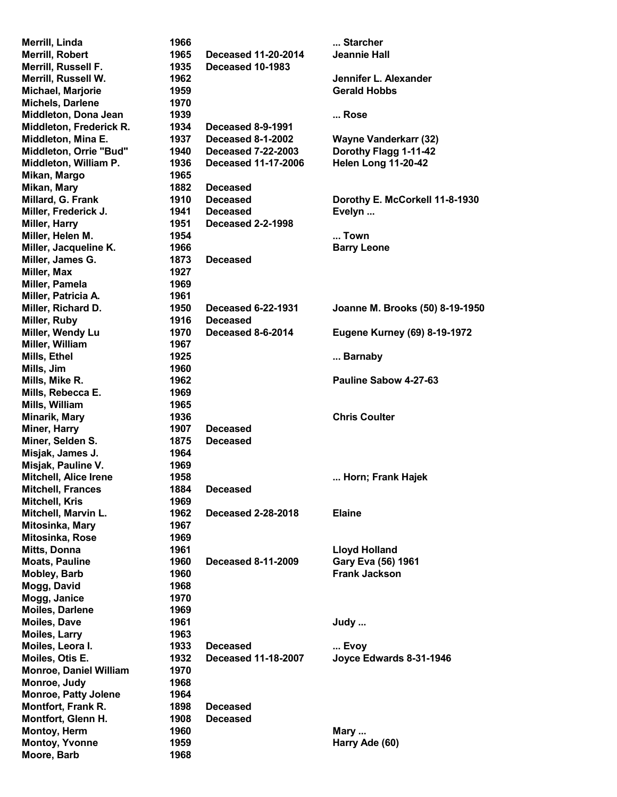| Merrill, Linda                | 1966 |                            | Starcher                        |
|-------------------------------|------|----------------------------|---------------------------------|
| Merrill, Robert               | 1965 | <b>Deceased 11-20-2014</b> | <b>Jeannie Hall</b>             |
| Merrill, Russell F.           | 1935 | Deceased 10-1983           |                                 |
| Merrill, Russell W.           | 1962 |                            | Jennifer L. Alexander           |
| Michael, Marjorie             | 1959 |                            | <b>Gerald Hobbs</b>             |
| <b>Michels, Darlene</b>       | 1970 |                            |                                 |
| Middleton, Dona Jean          | 1939 |                            | Rose                            |
| Middleton, Frederick R.       | 1934 | Deceased 8-9-1991          |                                 |
| Middleton, Mina E.            | 1937 | <b>Deceased 8-1-2002</b>   | <b>Wayne Vanderkarr (32)</b>    |
| Middleton, Orrie "Bud"        | 1940 | <b>Deceased 7-22-2003</b>  | Dorothy Flagg 1-11-42           |
| Middleton, William P.         | 1936 | <b>Deceased 11-17-2006</b> | <b>Helen Long 11-20-42</b>      |
| Mikan, Margo                  | 1965 |                            |                                 |
| Mikan, Mary                   | 1882 | <b>Deceased</b>            |                                 |
| Millard, G. Frank             | 1910 | <b>Deceased</b>            | Dorothy E. McCorkell 11-8-1930  |
| Miller, Frederick J.          | 1941 | <b>Deceased</b>            | Evelyn                          |
| Miller, Harry                 | 1951 | <b>Deceased 2-2-1998</b>   |                                 |
| Miller, Helen M.              | 1954 |                            | Town                            |
|                               |      |                            |                                 |
| Miller, Jacqueline K.         | 1966 |                            | <b>Barry Leone</b>              |
| Miller, James G.              | 1873 | <b>Deceased</b>            |                                 |
| Miller, Max                   | 1927 |                            |                                 |
| Miller, Pamela                | 1969 |                            |                                 |
| Miller, Patricia A.           | 1961 |                            |                                 |
| Miller, Richard D.            | 1950 | <b>Deceased 6-22-1931</b>  | Joanne M. Brooks (50) 8-19-1950 |
| Miller, Ruby                  | 1916 | <b>Deceased</b>            |                                 |
| Miller, Wendy Lu              | 1970 | Deceased 8-6-2014          | Eugene Kurney (69) 8-19-1972    |
| Miller, William               | 1967 |                            |                                 |
| Mills, Ethel                  | 1925 |                            | Barnaby                         |
| Mills, Jim                    | 1960 |                            |                                 |
| Mills, Mike R.                | 1962 |                            | Pauline Sabow 4-27-63           |
| Mills, Rebecca E.             | 1969 |                            |                                 |
| Mills, William                | 1965 |                            |                                 |
| Minarik, Mary                 | 1936 |                            | <b>Chris Coulter</b>            |
| Miner, Harry                  | 1907 | <b>Deceased</b>            |                                 |
| Miner, Selden S.              | 1875 | <b>Deceased</b>            |                                 |
| Misjak, James J.              | 1964 |                            |                                 |
| Misjak, Pauline V.            | 1969 |                            |                                 |
| <b>Mitchell, Alice Irene</b>  | 1958 |                            | Horn; Frank Hajek               |
| <b>Mitchell, Frances</b>      | 1884 | <b>Deceased</b>            |                                 |
| <b>Mitchell, Kris</b>         | 1969 |                            |                                 |
| Mitchell, Marvin L.           | 1962 | <b>Deceased 2-28-2018</b>  | <b>Elaine</b>                   |
| Mitosinka, Mary               | 1967 |                            |                                 |
| Mitosinka, Rose               | 1969 |                            |                                 |
| Mitts, Donna                  | 1961 |                            | <b>Lloyd Holland</b>            |
| <b>Moats, Pauline</b>         | 1960 | <b>Deceased 8-11-2009</b>  | Gary Eva (56) 1961              |
| <b>Mobley, Barb</b>           | 1960 |                            | <b>Frank Jackson</b>            |
| Mogg, David                   | 1968 |                            |                                 |
| Mogg, Janice                  | 1970 |                            |                                 |
| Moiles, Darlene               | 1969 |                            |                                 |
| <b>Moiles, Dave</b>           | 1961 |                            |                                 |
|                               |      |                            | Judy                            |
| <b>Moiles, Larry</b>          | 1963 |                            |                                 |
| Moiles, Leora I.              | 1933 | <b>Deceased</b>            | Evoy                            |
| Moiles, Otis E.               | 1932 | <b>Deceased 11-18-2007</b> | Joyce Edwards 8-31-1946         |
| <b>Monroe, Daniel William</b> | 1970 |                            |                                 |
| Monroe, Judy                  | 1968 |                            |                                 |
| <b>Monroe, Patty Jolene</b>   | 1964 |                            |                                 |
| <b>Montfort, Frank R.</b>     | 1898 | <b>Deceased</b>            |                                 |
| Montfort, Glenn H.            | 1908 | <b>Deceased</b>            |                                 |
| <b>Montoy, Herm</b>           | 1960 |                            | Mary                            |
| <b>Montoy, Yvonne</b>         | 1959 |                            | Harry Ade (60)                  |
| Moore, Barb                   | 1968 |                            |                                 |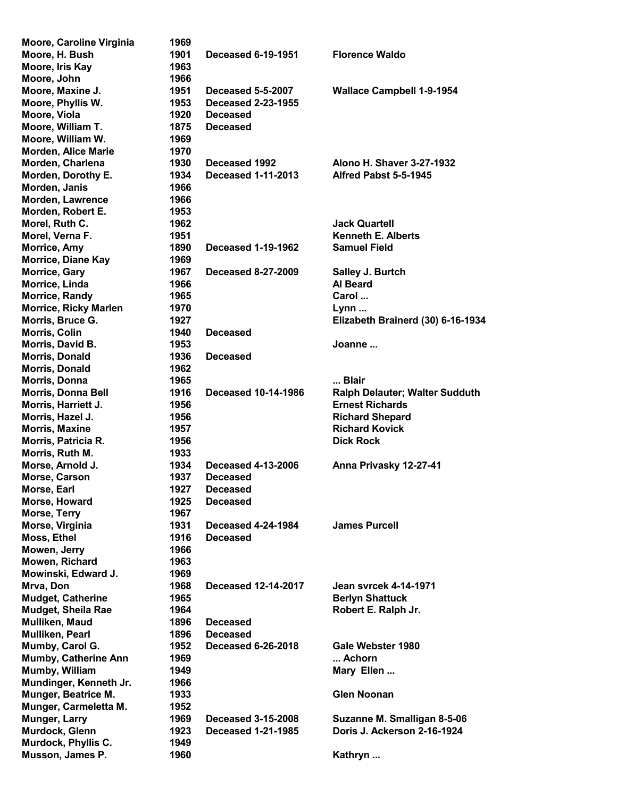| Moore, Caroline Virginia     | 1969 |                            |                                       |
|------------------------------|------|----------------------------|---------------------------------------|
| Moore, H. Bush               | 1901 | <b>Deceased 6-19-1951</b>  | <b>Florence Waldo</b>                 |
|                              |      |                            |                                       |
| Moore, Iris Kay              | 1963 |                            |                                       |
| Moore, John                  | 1966 |                            |                                       |
| Moore, Maxine J.             | 1951 | Deceased 5-5-2007          | <b>Wallace Campbell 1-9-1954</b>      |
| Moore, Phyllis W.            | 1953 | <b>Deceased 2-23-1955</b>  |                                       |
| Moore, Viola                 | 1920 | <b>Deceased</b>            |                                       |
| Moore, William T.            | 1875 | <b>Deceased</b>            |                                       |
| Moore, William W.            | 1969 |                            |                                       |
|                              |      |                            |                                       |
| <b>Morden, Alice Marie</b>   | 1970 |                            |                                       |
| Morden, Charlena             | 1930 | Deceased 1992              | <b>Alono H. Shaver 3-27-1932</b>      |
| Morden, Dorothy E.           | 1934 | <b>Deceased 1-11-2013</b>  | Alfred Pabst 5-5-1945                 |
| Morden, Janis                | 1966 |                            |                                       |
| Morden, Lawrence             | 1966 |                            |                                       |
| Morden, Robert E.            | 1953 |                            |                                       |
| Morel, Ruth C.               | 1962 |                            | <b>Jack Quartell</b>                  |
|                              |      |                            |                                       |
| Morel, Verna F.              | 1951 |                            | <b>Kenneth E. Alberts</b>             |
| Morrice, Amy                 | 1890 | <b>Deceased 1-19-1962</b>  | <b>Samuel Field</b>                   |
| <b>Morrice, Diane Kay</b>    | 1969 |                            |                                       |
| Morrice, Gary                | 1967 | <b>Deceased 8-27-2009</b>  | Salley J. Burtch                      |
| Morrice, Linda               | 1966 |                            | <b>Al Beard</b>                       |
| Morrice, Randy               | 1965 |                            | Carol                                 |
| <b>Morrice, Ricky Marlen</b> | 1970 |                            | Lynn                                  |
|                              |      |                            |                                       |
| Morris, Bruce G.             | 1927 |                            | Elizabeth Brainerd (30) 6-16-1934     |
| Morris, Colin                | 1940 | <b>Deceased</b>            |                                       |
| Morris, David B.             | 1953 |                            | Joanne                                |
| Morris, Donald               | 1936 | <b>Deceased</b>            |                                       |
| Morris, Donald               | 1962 |                            |                                       |
| Morris, Donna                | 1965 |                            | Blair                                 |
| <b>Morris, Donna Bell</b>    | 1916 | <b>Deceased 10-14-1986</b> | <b>Ralph Delauter; Walter Sudduth</b> |
| Morris, Harriett J.          | 1956 |                            | <b>Ernest Richards</b>                |
| Morris, Hazel J.             | 1956 |                            | <b>Richard Shepard</b>                |
| <b>Morris, Maxine</b>        | 1957 |                            | <b>Richard Kovick</b>                 |
|                              |      |                            |                                       |
| Morris, Patricia R.          | 1956 |                            | <b>Dick Rock</b>                      |
| Morris, Ruth M.              | 1933 |                            |                                       |
| Morse, Arnold J.             | 1934 | <b>Deceased 4-13-2006</b>  | Anna Privasky 12-27-41                |
| Morse, Carson                | 1937 | <b>Deceased</b>            |                                       |
| Morse, Earl                  | 1927 | <b>Deceased</b>            |                                       |
| Morse, Howard                | 1925 | <b>Deceased</b>            |                                       |
| Morse, Terry                 | 1967 |                            |                                       |
| Morse, Virginia              | 1931 | <b>Deceased 4-24-1984</b>  | <b>James Purcell</b>                  |
| Moss, Ethel                  | 1916 | <b>Deceased</b>            |                                       |
|                              |      |                            |                                       |
| Mowen, Jerry                 | 1966 |                            |                                       |
| Mowen, Richard               | 1963 |                            |                                       |
| Mowinski, Edward J.          | 1969 |                            |                                       |
| Mrva, Don                    | 1968 | <b>Deceased 12-14-2017</b> | Jean svrcek 4-14-1971                 |
| <b>Mudget, Catherine</b>     | 1965 |                            | <b>Berlyn Shattuck</b>                |
| Mudget, Sheila Rae           | 1964 |                            | Robert E. Ralph Jr.                   |
| Mulliken, Maud               | 1896 | <b>Deceased</b>            |                                       |
|                              |      |                            |                                       |
| Mulliken, Pearl              | 1896 | <b>Deceased</b>            |                                       |
| Mumby, Carol G.              | 1952 | <b>Deceased 6-26-2018</b>  | Gale Webster 1980                     |
| Mumby, Catherine Ann         | 1969 |                            | Achorn                                |
| Mumby, William               | 1949 |                            | Mary Ellen                            |
| Mundinger, Kenneth Jr.       | 1966 |                            |                                       |
| Munger, Beatrice M.          | 1933 |                            | <b>Glen Noonan</b>                    |
| Munger, Carmeletta M.        | 1952 |                            |                                       |
| Munger, Larry                | 1969 | <b>Deceased 3-15-2008</b>  | Suzanne M. Smalligan 8-5-06           |
| Murdock, Glenn               |      | <b>Deceased 1-21-1985</b>  | Doris J. Ackerson 2-16-1924           |
|                              | 1923 |                            |                                       |
| Murdock, Phyllis C.          | 1949 |                            |                                       |
| Musson, James P.             | 1960 |                            | Kathryn                               |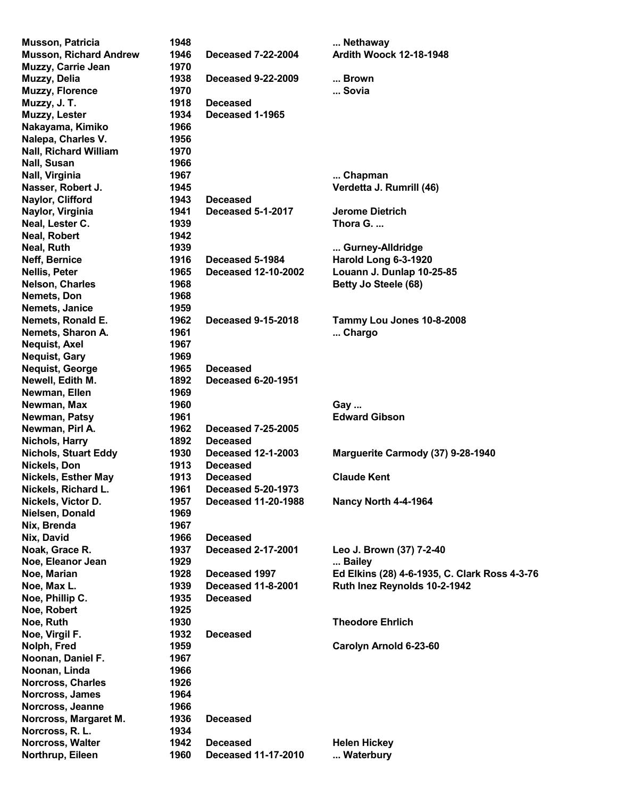| <b>Musson, Patricia</b>       | 1948 |                            | Nethaway                                      |
|-------------------------------|------|----------------------------|-----------------------------------------------|
| <b>Musson, Richard Andrew</b> | 1946 | <b>Deceased 7-22-2004</b>  | <b>Ardith Woock 12-18-1948</b>                |
| Muzzy, Carrie Jean            | 1970 |                            |                                               |
| Muzzy, Delia                  | 1938 | <b>Deceased 9-22-2009</b>  | Brown                                         |
| <b>Muzzy, Florence</b>        | 1970 |                            | Sovia                                         |
| Muzzy, J. T.                  | 1918 | <b>Deceased</b>            |                                               |
| Muzzy, Lester                 | 1934 | Deceased 1-1965            |                                               |
| Nakayama, Kimiko              | 1966 |                            |                                               |
| Nalepa, Charles V.            | 1956 |                            |                                               |
| <b>Nall, Richard William</b>  | 1970 |                            |                                               |
| Nall, Susan                   | 1966 |                            |                                               |
|                               |      |                            |                                               |
| Nall, Virginia                | 1967 |                            | Chapman                                       |
| Nasser, Robert J.             | 1945 |                            | Verdetta J. Rumrill (46)                      |
| Naylor, Clifford              | 1943 | <b>Deceased</b>            |                                               |
| Naylor, Virginia              | 1941 | <b>Deceased 5-1-2017</b>   | Jerome Dietrich                               |
| Neal, Lester C.               | 1939 |                            | Thora G.                                      |
| Neal, Robert                  | 1942 |                            |                                               |
| Neal, Ruth                    | 1939 |                            | Gurney-Alldridge                              |
| Neff, Bernice                 | 1916 | Deceased 5-1984            | Harold Long 6-3-1920                          |
| <b>Nellis, Peter</b>          | 1965 | <b>Deceased 12-10-2002</b> | Louann J. Dunlap 10-25-85                     |
| <b>Nelson, Charles</b>        | 1968 |                            | Betty Jo Steele (68)                          |
| Nemets, Don                   | 1968 |                            |                                               |
| Nemets, Janice                | 1959 |                            |                                               |
| Nemets, Ronald E.             | 1962 | <b>Deceased 9-15-2018</b>  | Tammy Lou Jones 10-8-2008                     |
| Nemets, Sharon A.             | 1961 |                            | Chargo                                        |
| <b>Nequist, Axel</b>          | 1967 |                            |                                               |
| <b>Nequist, Gary</b>          | 1969 |                            |                                               |
|                               |      |                            |                                               |
| <b>Nequist, George</b>        | 1965 | <b>Deceased</b>            |                                               |
| Newell, Edith M.              | 1892 | <b>Deceased 6-20-1951</b>  |                                               |
| Newman, Ellen                 | 1969 |                            |                                               |
| Newman, Max                   | 1960 |                            | Gay                                           |
| Newman, Patsy                 | 1961 |                            | <b>Edward Gibson</b>                          |
| Newman, Pirl A.               | 1962 | <b>Deceased 7-25-2005</b>  |                                               |
| <b>Nichols, Harry</b>         | 1892 | <b>Deceased</b>            |                                               |
| <b>Nichols, Stuart Eddy</b>   | 1930 | <b>Deceased 12-1-2003</b>  | Marguerite Carmody (37) 9-28-1940             |
| Nickels, Don                  | 1913 | <b>Deceased</b>            |                                               |
| <b>Nickels, Esther May</b>    | 1913 | <b>Deceased</b>            | <b>Claude Kent</b>                            |
| Nickels, Richard L.           | 1961 | <b>Deceased 5-20-1973</b>  |                                               |
| Nickels, Victor D.            | 1957 | <b>Deceased 11-20-1988</b> | Nancy North 4-4-1964                          |
| Nielsen, Donald               | 1969 |                            |                                               |
| Nix, Brenda                   | 1967 |                            |                                               |
| Nix, David                    | 1966 | <b>Deceased</b>            |                                               |
| Noak, Grace R.                | 1937 | <b>Deceased 2-17-2001</b>  | Leo J. Brown (37) 7-2-40                      |
|                               | 1929 |                            |                                               |
| Noe, Eleanor Jean             |      |                            | Bailey                                        |
| Noe, Marian                   | 1928 | Deceased 1997              | Ed Elkins (28) 4-6-1935, C. Clark Ross 4-3-76 |
| Noe, Max L.                   | 1939 | <b>Deceased 11-8-2001</b>  | Ruth Inez Reynolds 10-2-1942                  |
| Noe, Phillip C.               | 1935 | <b>Deceased</b>            |                                               |
| Noe, Robert                   | 1925 |                            |                                               |
| Noe, Ruth                     | 1930 |                            | <b>Theodore Ehrlich</b>                       |
| Noe, Virgil F.                | 1932 | <b>Deceased</b>            |                                               |
| Nolph, Fred                   | 1959 |                            | Carolyn Arnold 6-23-60                        |
| Noonan, Daniel F.             | 1967 |                            |                                               |
| Noonan, Linda                 | 1966 |                            |                                               |
| Norcross, Charles             | 1926 |                            |                                               |
| Norcross, James               | 1964 |                            |                                               |
| Norcross, Jeanne              | 1966 |                            |                                               |
| Norcross, Margaret M.         | 1936 | <b>Deceased</b>            |                                               |
| Norcross, R. L.               | 1934 |                            |                                               |
|                               | 1942 |                            |                                               |
| Norcross, Walter              |      | <b>Deceased</b>            | <b>Helen Hickey</b>                           |
| Northrup, Eileen              | 1960 | <b>Deceased 11-17-2010</b> | Waterbury                                     |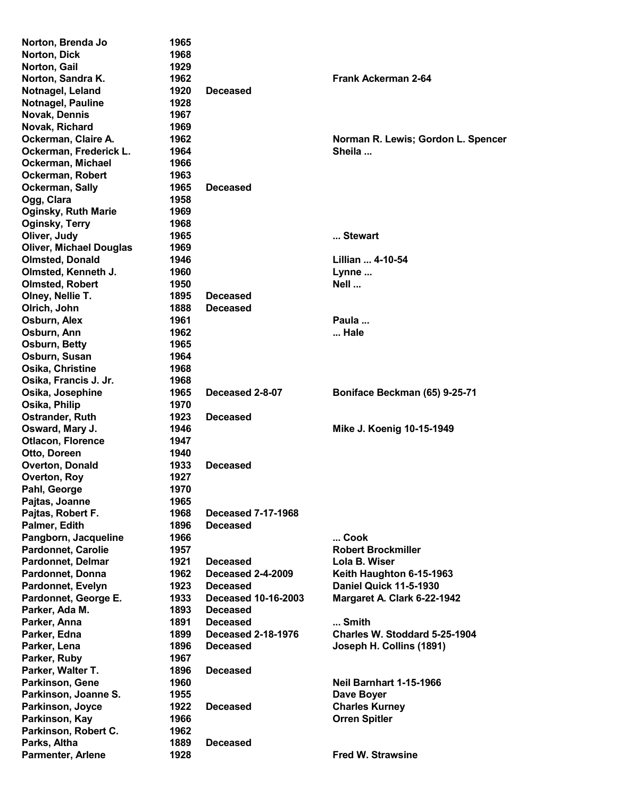| Norton, Brenda Jo              | 1965 |                            |                                    |
|--------------------------------|------|----------------------------|------------------------------------|
| Norton, Dick                   | 1968 |                            |                                    |
| Norton, Gail                   | 1929 |                            |                                    |
| Norton, Sandra K.              | 1962 |                            | <b>Frank Ackerman 2-64</b>         |
| Notnagel, Leland               | 1920 | <b>Deceased</b>            |                                    |
| <b>Notnagel, Pauline</b>       | 1928 |                            |                                    |
| Novak, Dennis                  | 1967 |                            |                                    |
| Novak, Richard                 | 1969 |                            |                                    |
| Ockerman, Claire A.            | 1962 |                            | Norman R. Lewis; Gordon L. Spencer |
| Ockerman, Frederick L.         | 1964 |                            | Sheila                             |
| Ockerman, Michael              | 1966 |                            |                                    |
| Ockerman, Robert               | 1963 |                            |                                    |
| Ockerman, Sally                | 1965 | <b>Deceased</b>            |                                    |
| Ogg, Clara                     | 1958 |                            |                                    |
|                                | 1969 |                            |                                    |
| <b>Oginsky, Ruth Marie</b>     |      |                            |                                    |
| Oginsky, Terry                 | 1968 |                            |                                    |
| Oliver, Judy                   | 1965 |                            | Stewart                            |
| <b>Oliver, Michael Douglas</b> | 1969 |                            |                                    |
| <b>Olmsted, Donald</b>         | 1946 |                            | Lillian  4-10-54                   |
| Olmsted, Kenneth J.            | 1960 |                            | Lynne                              |
| <b>Olmsted, Robert</b>         | 1950 |                            | Nell                               |
| Olney, Nellie T.               | 1895 | <b>Deceased</b>            |                                    |
| Olrich, John                   | 1888 | <b>Deceased</b>            |                                    |
| Osburn, Alex                   | 1961 |                            | Paula                              |
| Osburn, Ann                    | 1962 |                            | Hale                               |
| Osburn, Betty                  | 1965 |                            |                                    |
| Osburn, Susan                  | 1964 |                            |                                    |
| Osika, Christine               | 1968 |                            |                                    |
| Osika, Francis J. Jr.          | 1968 |                            |                                    |
| Osika, Josephine               | 1965 | Deceased 2-8-07            | Boniface Beckman (65) 9-25-71      |
| Osika, Philip                  | 1970 |                            |                                    |
| Ostrander, Ruth                | 1923 | <b>Deceased</b>            |                                    |
| Osward, Mary J.                | 1946 |                            | Mike J. Koenig 10-15-1949          |
| <b>Otlacon, Florence</b>       | 1947 |                            |                                    |
| Otto, Doreen                   | 1940 |                            |                                    |
| <b>Overton, Donald</b>         | 1933 | <b>Deceased</b>            |                                    |
|                                |      |                            |                                    |
| Overton, Roy                   | 1927 |                            |                                    |
| Pahl, George                   | 1970 |                            |                                    |
| Pajtas, Joanne                 | 1965 |                            |                                    |
| Pajtas, Robert F.              | 1968 | <b>Deceased 7-17-1968</b>  |                                    |
| Palmer, Edith                  | 1896 | <b>Deceased</b>            |                                    |
| Pangborn, Jacqueline           | 1966 |                            | Cook                               |
| <b>Pardonnet, Carolie</b>      | 1957 |                            | <b>Robert Brockmiller</b>          |
| <b>Pardonnet, Delmar</b>       | 1921 | <b>Deceased</b>            | Lola B. Wiser                      |
| Pardonnet, Donna               | 1962 | <b>Deceased 2-4-2009</b>   | Keith Haughton 6-15-1963           |
| Pardonnet, Evelyn              | 1923 | <b>Deceased</b>            | Daniel Quick 11-5-1930             |
| Pardonnet, George E.           | 1933 | <b>Deceased 10-16-2003</b> | Margaret A. Clark 6-22-1942        |
| Parker, Ada M.                 | 1893 | <b>Deceased</b>            |                                    |
| Parker, Anna                   | 1891 | <b>Deceased</b>            | Smith                              |
| Parker, Edna                   | 1899 | <b>Deceased 2-18-1976</b>  | Charles W. Stoddard 5-25-1904      |
| Parker, Lena                   | 1896 | <b>Deceased</b>            | Joseph H. Collins (1891)           |
| Parker, Ruby                   | 1967 |                            |                                    |
| Parker, Walter T.              | 1896 | <b>Deceased</b>            |                                    |
| Parkinson, Gene                | 1960 |                            | <b>Neil Barnhart 1-15-1966</b>     |
| Parkinson, Joanne S.           | 1955 |                            | Dave Boyer                         |
|                                |      |                            |                                    |
| Parkinson, Joyce               | 1922 | <b>Deceased</b>            | <b>Charles Kurney</b>              |
| Parkinson, Kay                 | 1966 |                            | <b>Orren Spitler</b>               |
| Parkinson, Robert C.           | 1962 |                            |                                    |
| Parks, Altha                   | 1889 | <b>Deceased</b>            |                                    |
| <b>Parmenter, Arlene</b>       | 1928 |                            | <b>Fred W. Strawsine</b>           |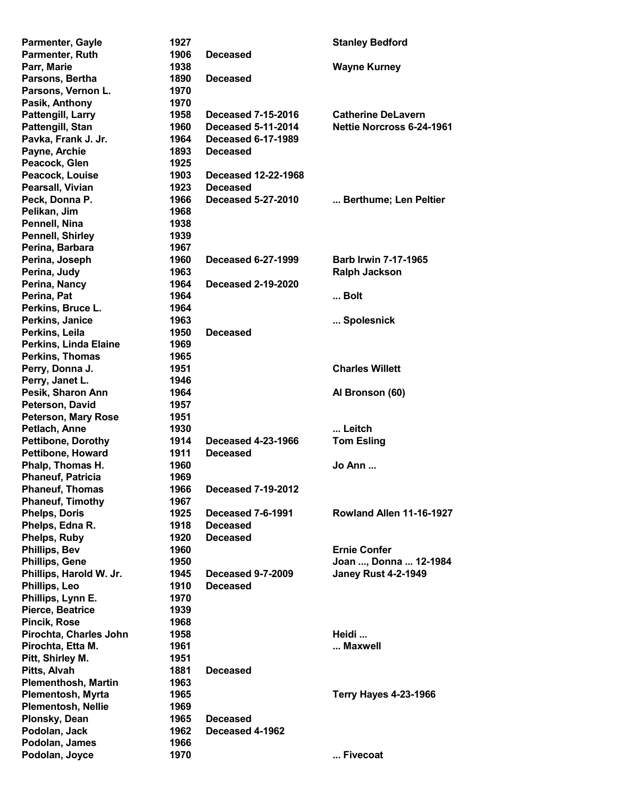| <b>Parmenter, Gayle</b>                        | 1927 |                           | <b>Stanley Bedford</b>       |
|------------------------------------------------|------|---------------------------|------------------------------|
| Parmenter, Ruth                                | 1906 | <b>Deceased</b>           |                              |
| Parr, Marie                                    | 1938 |                           | <b>Wayne Kurney</b>          |
| Parsons, Bertha                                | 1890 | <b>Deceased</b>           |                              |
| Parsons, Vernon L.                             | 1970 |                           |                              |
| Pasik, Anthony                                 | 1970 |                           |                              |
| Pattengill, Larry                              | 1958 | <b>Deceased 7-15-2016</b> | <b>Catherine DeLavern</b>    |
| Pattengill, Stan                               | 1960 | <b>Deceased 5-11-2014</b> | Nettie Norcross 6-24-1961    |
| Pavka, Frank J. Jr.                            | 1964 | <b>Deceased 6-17-1989</b> |                              |
| Payne, Archie                                  | 1893 | <b>Deceased</b>           |                              |
| Peacock, Glen                                  | 1925 |                           |                              |
| Peacock, Louise                                | 1903 | Deceased 12-22-1968       |                              |
| Pearsall, Vivian                               | 1923 | <b>Deceased</b>           |                              |
| Peck, Donna P.                                 | 1966 | <b>Deceased 5-27-2010</b> | Berthume; Len Peltier        |
| Pelikan, Jim                                   | 1968 |                           |                              |
| Pennell, Nina                                  | 1938 |                           |                              |
| <b>Pennell, Shirley</b>                        | 1939 |                           |                              |
| Perina, Barbara                                | 1967 |                           |                              |
| Perina, Joseph                                 | 1960 | <b>Deceased 6-27-1999</b> | <b>Barb Irwin 7-17-1965</b>  |
| Perina, Judy                                   | 1963 |                           | <b>Ralph Jackson</b>         |
| Perina, Nancy                                  | 1964 | <b>Deceased 2-19-2020</b> |                              |
| Perina, Pat                                    | 1964 |                           | Bolt                         |
| Perkins, Bruce L.                              | 1964 |                           |                              |
| Perkins, Janice                                | 1963 |                           | Spolesnick                   |
| Perkins, Leila                                 | 1950 | <b>Deceased</b>           |                              |
| Perkins, Linda Elaine                          | 1969 |                           |                              |
| Perkins, Thomas                                | 1965 |                           |                              |
| Perry, Donna J.                                | 1951 |                           | <b>Charles Willett</b>       |
| Perry, Janet L.                                | 1946 |                           |                              |
| Pesik, Sharon Ann                              | 1964 |                           | Al Bronson (60)              |
| Peterson, David                                | 1957 |                           |                              |
| <b>Peterson, Mary Rose</b>                     | 1951 |                           |                              |
| Petlach, Anne                                  | 1930 |                           | Leitch                       |
| <b>Pettibone, Dorothy</b>                      | 1914 | <b>Deceased 4-23-1966</b> | <b>Tom Esling</b>            |
| Pettibone, Howard                              | 1911 | <b>Deceased</b>           |                              |
| Phalp, Thomas H.                               | 1960 |                           | Jo Ann                       |
| <b>Phaneuf, Patricia</b>                       | 1969 |                           |                              |
| <b>Phaneuf, Thomas</b>                         | 1966 | <b>Deceased 7-19-2012</b> |                              |
| <b>Phaneuf, Timothy</b>                        | 1967 |                           |                              |
| <b>Phelps, Doris</b>                           | 1925 | <b>Deceased 7-6-1991</b>  | Rowland Allen 11-16-1927     |
| Phelps, Edna R.                                | 1918 | <b>Deceased</b>           |                              |
| Phelps, Ruby                                   | 1920 | <b>Deceased</b>           |                              |
| <b>Phillips, Bev</b>                           | 1960 |                           | <b>Ernie Confer</b>          |
| <b>Phillips, Gene</b>                          | 1950 |                           | Joan , Donna  12-1984        |
| Phillips, Harold W. Jr.                        | 1945 | <b>Deceased 9-7-2009</b>  | <b>Janey Rust 4-2-1949</b>   |
| Phillips, Leo                                  | 1910 | <b>Deceased</b>           |                              |
| Phillips, Lynn E.                              | 1970 |                           |                              |
| Pierce, Beatrice                               | 1939 |                           |                              |
| <b>Pincik, Rose</b>                            | 1968 |                           |                              |
| Pirochta, Charles John                         | 1958 |                           | Heidi<br>Maxwell             |
| Pirochta, Etta M.                              | 1961 |                           |                              |
| Pitt, Shirley M.                               | 1951 |                           |                              |
| Pitts, Alvah                                   | 1881 | <b>Deceased</b>           |                              |
| <b>Plementhosh, Martin</b>                     | 1963 |                           |                              |
| Plementosh, Myrta<br><b>Plementosh, Nellie</b> | 1965 |                           | <b>Terry Hayes 4-23-1966</b> |
|                                                | 1969 |                           |                              |
| Plonsky, Dean                                  | 1965 | <b>Deceased</b>           |                              |
| Podolan, Jack                                  | 1962 | Deceased 4-1962           |                              |
| Podolan, James                                 | 1966 |                           | Fivecoat                     |
| Podolan, Joyce                                 | 1970 |                           |                              |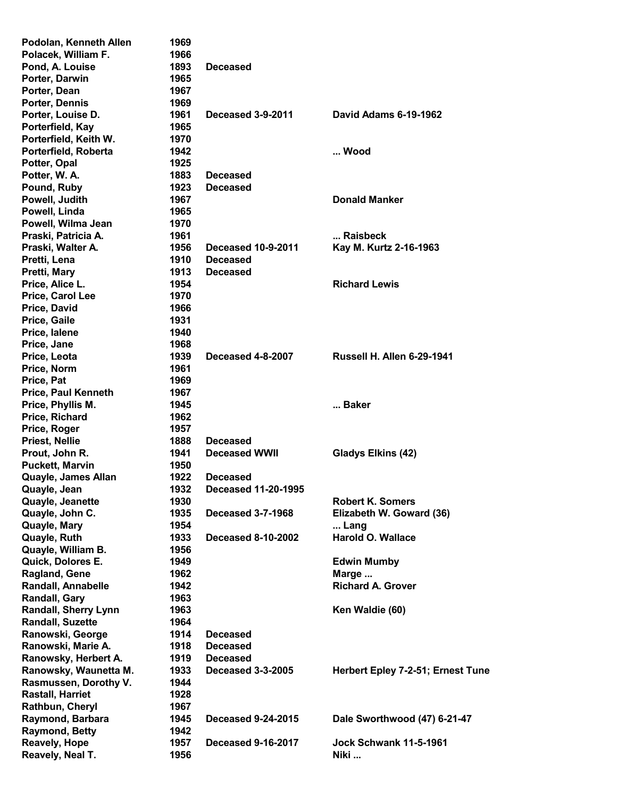| Podolan, Kenneth Allen      | 1969 |                            |                                   |
|-----------------------------|------|----------------------------|-----------------------------------|
| Polacek, William F.         | 1966 |                            |                                   |
| Pond, A. Louise             | 1893 | <b>Deceased</b>            |                                   |
| Porter, Darwin              | 1965 |                            |                                   |
| Porter, Dean                | 1967 |                            |                                   |
| Porter, Dennis              | 1969 |                            |                                   |
|                             |      |                            | David Adams 6-19-1962             |
| Porter, Louise D.           | 1961 | Deceased 3-9-2011          |                                   |
| Porterfield, Kay            | 1965 |                            |                                   |
| Porterfield, Keith W.       | 1970 |                            |                                   |
| Porterfield, Roberta        | 1942 |                            | Wood                              |
| Potter, Opal                | 1925 |                            |                                   |
| Potter, W. A.               | 1883 | <b>Deceased</b>            |                                   |
| Pound, Ruby                 | 1923 | <b>Deceased</b>            |                                   |
| Powell, Judith              | 1967 |                            | <b>Donald Manker</b>              |
| Powell, Linda               | 1965 |                            |                                   |
|                             |      |                            |                                   |
| Powell, Wilma Jean          | 1970 |                            |                                   |
| Praski, Patricia A.         | 1961 |                            | Raisbeck                          |
| Praski, Walter A.           | 1956 | <b>Deceased 10-9-2011</b>  | Kay M. Kurtz 2-16-1963            |
| Pretti, Lena                | 1910 | <b>Deceased</b>            |                                   |
| Pretti, Mary                | 1913 | <b>Deceased</b>            |                                   |
| Price, Alice L.             | 1954 |                            | <b>Richard Lewis</b>              |
| Price, Carol Lee            | 1970 |                            |                                   |
| Price, David                | 1966 |                            |                                   |
|                             | 1931 |                            |                                   |
| Price, Gaile                |      |                            |                                   |
| Price, lalene               | 1940 |                            |                                   |
| Price, Jane                 | 1968 |                            |                                   |
| Price, Leota                | 1939 | Deceased 4-8-2007          | <b>Russell H. Allen 6-29-1941</b> |
| Price, Norm                 | 1961 |                            |                                   |
| Price, Pat                  | 1969 |                            |                                   |
| <b>Price, Paul Kenneth</b>  | 1967 |                            |                                   |
| Price, Phyllis M.           | 1945 |                            | Baker                             |
| Price, Richard              | 1962 |                            |                                   |
| Price, Roger                | 1957 |                            |                                   |
|                             | 1888 | <b>Deceased</b>            |                                   |
| <b>Priest, Nellie</b>       |      |                            |                                   |
| Prout, John R.              | 1941 | <b>Deceased WWII</b>       | Gladys Elkins (42)                |
| <b>Puckett, Marvin</b>      | 1950 |                            |                                   |
| Quayle, James Allan         | 1922 | <b>Deceased</b>            |                                   |
| Quayle, Jean                | 1932 | <b>Deceased 11-20-1995</b> |                                   |
| Quayle, Jeanette            | 1930 |                            | <b>Robert K. Somers</b>           |
| Quayle, John C.             | 1935 | <b>Deceased 3-7-1968</b>   | Elizabeth W. Goward (36)          |
| Quayle, Mary                | 1954 |                            | Lang                              |
| Quayle, Ruth                | 1933 | <b>Deceased 8-10-2002</b>  | <b>Harold O. Wallace</b>          |
|                             | 1956 |                            |                                   |
| Quayle, William B.          |      |                            |                                   |
| Quick, Dolores E.           | 1949 |                            | <b>Edwin Mumby</b>                |
| Ragland, Gene               | 1962 |                            | Marge                             |
| Randall, Annabelle          | 1942 |                            | <b>Richard A. Grover</b>          |
| Randall, Gary               | 1963 |                            |                                   |
| <b>Randall, Sherry Lynn</b> | 1963 |                            | Ken Waldie (60)                   |
| <b>Randall, Suzette</b>     | 1964 |                            |                                   |
| Ranowski, George            | 1914 | <b>Deceased</b>            |                                   |
| Ranowski, Marie A.          | 1918 | <b>Deceased</b>            |                                   |
| Ranowsky, Herbert A.        | 1919 | <b>Deceased</b>            |                                   |
|                             |      |                            |                                   |
| Ranowsky, Waunetta M.       | 1933 | <b>Deceased 3-3-2005</b>   | Herbert Epley 7-2-51; Ernest Tune |
| Rasmussen, Dorothy V.       |      |                            |                                   |
|                             | 1944 |                            |                                   |
| Rastall, Harriet            | 1928 |                            |                                   |
| Rathbun, Cheryl             | 1967 |                            |                                   |
| Raymond, Barbara            | 1945 | <b>Deceased 9-24-2015</b>  | Dale Sworthwood (47) 6-21-47      |
| <b>Raymond, Betty</b>       | 1942 |                            |                                   |
| <b>Reavely, Hope</b>        | 1957 | <b>Deceased 9-16-2017</b>  | <b>Jock Schwank 11-5-1961</b>     |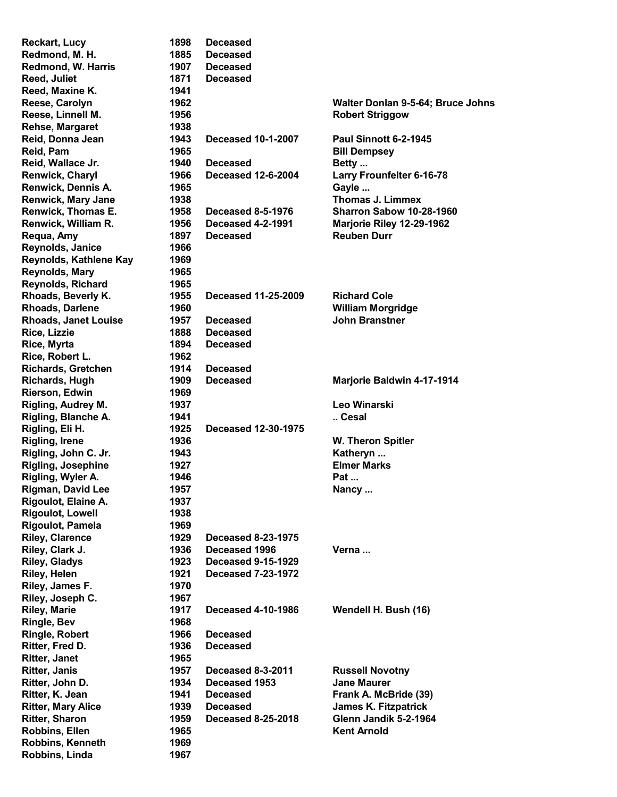| <b>Reckart, Lucy</b>        | 1898 | <b>Deceased</b>            |                                   |
|-----------------------------|------|----------------------------|-----------------------------------|
| Redmond, M. H.              | 1885 | <b>Deceased</b>            |                                   |
| Redmond, W. Harris          | 1907 | <b>Deceased</b>            |                                   |
| Reed, Juliet                | 1871 | <b>Deceased</b>            |                                   |
| Reed, Maxine K.             | 1941 |                            |                                   |
| Reese, Carolyn              | 1962 |                            | Walter Donlan 9-5-64; Bruce Johns |
| Reese, Linnell M.           | 1956 |                            | <b>Robert Striggow</b>            |
| Rehse, Margaret             | 1938 |                            |                                   |
| Reid, Donna Jean            | 1943 | <b>Deceased 10-1-2007</b>  | <b>Paul Sinnott 6-2-1945</b>      |
| Reid, Pam                   | 1965 |                            | <b>Bill Dempsey</b>               |
| Reid, Wallace Jr.           | 1940 | <b>Deceased</b>            | Betty                             |
| Renwick, Charyl             | 1966 | <b>Deceased 12-6-2004</b>  | <b>Larry Frounfelter 6-16-78</b>  |
| Renwick, Dennis A.          | 1965 |                            | Gayle                             |
|                             | 1938 |                            | <b>Thomas J. Limmex</b>           |
| Renwick, Mary Jane          |      |                            |                                   |
| Renwick, Thomas E.          | 1958 | <b>Deceased 8-5-1976</b>   | <b>Sharron Sabow 10-28-1960</b>   |
| Renwick, William R.         | 1956 | <b>Deceased 4-2-1991</b>   | Marjorie Riley 12-29-1962         |
| Requa, Amy                  | 1897 | <b>Deceased</b>            | <b>Reuben Durr</b>                |
| Reynolds, Janice            | 1966 |                            |                                   |
| Reynolds, Kathlene Kay      | 1969 |                            |                                   |
| Reynolds, Mary              | 1965 |                            |                                   |
| Reynolds, Richard           | 1965 |                            |                                   |
| Rhoads, Beverly K.          | 1955 | <b>Deceased 11-25-2009</b> | <b>Richard Cole</b>               |
| <b>Rhoads, Darlene</b>      | 1960 |                            | <b>William Morgridge</b>          |
| <b>Rhoads, Janet Louise</b> | 1957 | <b>Deceased</b>            | <b>John Branstner</b>             |
| Rice, Lizzie                | 1888 | <b>Deceased</b>            |                                   |
| Rice, Myrta                 | 1894 | <b>Deceased</b>            |                                   |
| Rice, Robert L.             | 1962 |                            |                                   |
| <b>Richards, Gretchen</b>   | 1914 | <b>Deceased</b>            |                                   |
| <b>Richards, Hugh</b>       | 1909 | <b>Deceased</b>            | <b>Marjorie Baldwin 4-17-1914</b> |
| Rierson, Edwin              | 1969 |                            |                                   |
| Rigling, Audrey M.          | 1937 |                            | Leo Winarski                      |
| Rigling, Blanche A.         | 1941 |                            | Cesal                             |
| Rigling, Eli H.             | 1925 | <b>Deceased 12-30-1975</b> |                                   |
| <b>Rigling, Irene</b>       | 1936 |                            | W. Theron Spitler                 |
| Rigling, John C. Jr.        | 1943 |                            | Katheryn                          |
| <b>Rigling, Josephine</b>   | 1927 |                            | <b>Elmer Marks</b>                |
| Rigling, Wyler A.           | 1946 |                            | Pat                               |
| <b>Rigman, David Lee</b>    | 1957 |                            |                                   |
| Rigoulot, Elaine A.         |      |                            | Nancy                             |
|                             | 1937 |                            |                                   |
| <b>Rigoulot, Lowell</b>     | 1938 |                            |                                   |
| Rigoulot, Pamela            | 1969 |                            |                                   |
| <b>Riley, Clarence</b>      | 1929 | <b>Deceased 8-23-1975</b>  |                                   |
| Riley, Clark J.             | 1936 | Deceased 1996              | Verna                             |
| <b>Riley, Gladys</b>        | 1923 | <b>Deceased 9-15-1929</b>  |                                   |
| Riley, Helen                | 1921 | <b>Deceased 7-23-1972</b>  |                                   |
| Riley, James F.             | 1970 |                            |                                   |
| Riley, Joseph C.            | 1967 |                            |                                   |
| <b>Riley, Marie</b>         | 1917 | <b>Deceased 4-10-1986</b>  | Wendell H. Bush (16)              |
| <b>Ringle, Bev</b>          | 1968 |                            |                                   |
| <b>Ringle, Robert</b>       | 1966 | <b>Deceased</b>            |                                   |
| Ritter, Fred D.             | 1936 | <b>Deceased</b>            |                                   |
| <b>Ritter, Janet</b>        | 1965 |                            |                                   |
| <b>Ritter, Janis</b>        | 1957 | Deceased 8-3-2011          | <b>Russell Novotny</b>            |
| Ritter, John D.             | 1934 | Deceased 1953              | <b>Jane Maurer</b>                |
| Ritter, K. Jean             | 1941 | <b>Deceased</b>            | Frank A. McBride (39)             |
| <b>Ritter, Mary Alice</b>   | 1939 | <b>Deceased</b>            | <b>James K. Fitzpatrick</b>       |
| <b>Ritter, Sharon</b>       | 1959 | <b>Deceased 8-25-2018</b>  | Glenn Jandik 5-2-1964             |
| Robbins, Ellen              | 1965 |                            | <b>Kent Arnold</b>                |
| Robbins, Kenneth            | 1969 |                            |                                   |
| Robbins, Linda              | 1967 |                            |                                   |
|                             |      |                            |                                   |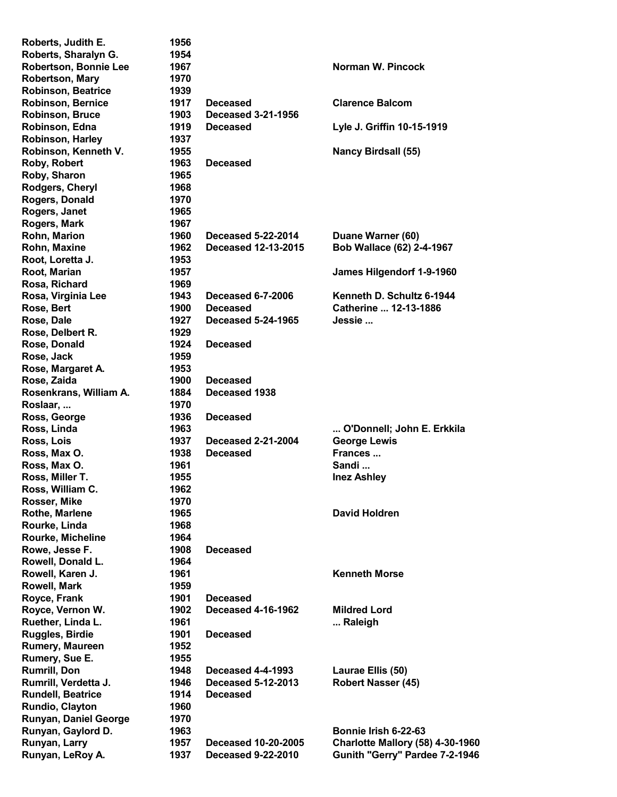| Roberts, Judith E.        | 1956 |                            |                                         |
|---------------------------|------|----------------------------|-----------------------------------------|
| Roberts, Sharalyn G.      | 1954 |                            |                                         |
| Robertson, Bonnie Lee     | 1967 |                            | Norman W. Pincock                       |
| <b>Robertson, Mary</b>    | 1970 |                            |                                         |
| <b>Robinson, Beatrice</b> | 1939 |                            |                                         |
| <b>Robinson, Bernice</b>  | 1917 | <b>Deceased</b>            | <b>Clarence Balcom</b>                  |
| <b>Robinson, Bruce</b>    | 1903 | <b>Deceased 3-21-1956</b>  |                                         |
| Robinson, Edna            | 1919 | <b>Deceased</b>            | Lyle J. Griffin 10-15-1919              |
| Robinson, Harley          | 1937 |                            |                                         |
| Robinson, Kenneth V.      | 1955 |                            | <b>Nancy Birdsall (55)</b>              |
| Roby, Robert              | 1963 | <b>Deceased</b>            |                                         |
|                           | 1965 |                            |                                         |
| Roby, Sharon              |      |                            |                                         |
| Rodgers, Cheryl           | 1968 |                            |                                         |
| Rogers, Donald            | 1970 |                            |                                         |
| Rogers, Janet             | 1965 |                            |                                         |
| Rogers, Mark              | 1967 |                            |                                         |
| Rohn, Marion              | 1960 | <b>Deceased 5-22-2014</b>  | Duane Warner (60)                       |
| Rohn, Maxine              | 1962 | Deceased 12-13-2015        | Bob Wallace (62) 2-4-1967               |
| Root, Loretta J.          | 1953 |                            |                                         |
| Root, Marian              | 1957 |                            | James Hilgendorf 1-9-1960               |
| Rosa, Richard             | 1969 |                            |                                         |
| Rosa, Virginia Lee        | 1943 | <b>Deceased 6-7-2006</b>   | Kenneth D. Schultz 6-1944               |
| Rose, Bert                | 1900 | <b>Deceased</b>            | Catherine  12-13-1886                   |
| Rose, Dale                | 1927 | <b>Deceased 5-24-1965</b>  | Jessie                                  |
| Rose, Delbert R.          | 1929 |                            |                                         |
| Rose, Donald              | 1924 | <b>Deceased</b>            |                                         |
| Rose, Jack                | 1959 |                            |                                         |
| Rose, Margaret A.         | 1953 |                            |                                         |
| Rose, Zaida               | 1900 | <b>Deceased</b>            |                                         |
| Rosenkrans, William A.    | 1884 | Deceased 1938              |                                         |
| Roslaar,                  | 1970 |                            |                                         |
| Ross, George              | 1936 | <b>Deceased</b>            |                                         |
| Ross, Linda               | 1963 |                            | O'Donnell; John E. Erkkila              |
| Ross, Lois                | 1937 | <b>Deceased 2-21-2004</b>  | <b>George Lewis</b>                     |
| Ross, Max O.              | 1938 | <b>Deceased</b>            | Frances                                 |
| Ross, Max O.              | 1961 |                            | Sandi                                   |
|                           | 1955 |                            |                                         |
| Ross, Miller T.           |      |                            | <b>Inez Ashley</b>                      |
| Ross, William C.          | 1962 |                            |                                         |
| Rosser, Mike              | 1970 |                            |                                         |
| <b>Rothe, Marlene</b>     | 1965 |                            | <b>David Holdren</b>                    |
| Rourke, Linda             | 1968 |                            |                                         |
| Rourke, Micheline         | 1964 |                            |                                         |
| Rowe, Jesse F.            | 1908 | <b>Deceased</b>            |                                         |
| Rowell, Donald L.         | 1964 |                            |                                         |
| Rowell, Karen J.          | 1961 |                            | <b>Kenneth Morse</b>                    |
| <b>Rowell, Mark</b>       | 1959 |                            |                                         |
| Royce, Frank              | 1901 | <b>Deceased</b>            |                                         |
| Royce, Vernon W.          | 1902 | <b>Deceased 4-16-1962</b>  | <b>Mildred Lord</b>                     |
| Ruether, Linda L.         | 1961 |                            | Raleigh                                 |
| Ruggles, Birdie           | 1901 | <b>Deceased</b>            |                                         |
| Rumery, Maureen           | 1952 |                            |                                         |
| Rumery, Sue E.            | 1955 |                            |                                         |
| <b>Rumrill, Don</b>       | 1948 | <b>Deceased 4-4-1993</b>   | Laurae Ellis (50)                       |
| Rumrill, Verdetta J.      | 1946 | <b>Deceased 5-12-2013</b>  | <b>Robert Nasser (45)</b>               |
| <b>Rundell, Beatrice</b>  | 1914 | <b>Deceased</b>            |                                         |
| Rundio, Clayton           | 1960 |                            |                                         |
| Runyan, Daniel George     | 1970 |                            |                                         |
| Runyan, Gaylord D.        | 1963 |                            | Bonnie Irish 6-22-63                    |
| Runyan, Larry             | 1957 | <b>Deceased 10-20-2005</b> | <b>Charlotte Mallory (58) 4-30-1960</b> |
| Runyan, LeRoy A.          | 1937 | <b>Deceased 9-22-2010</b>  | Gunith "Gerry" Pardee 7-2-1946          |
|                           |      |                            |                                         |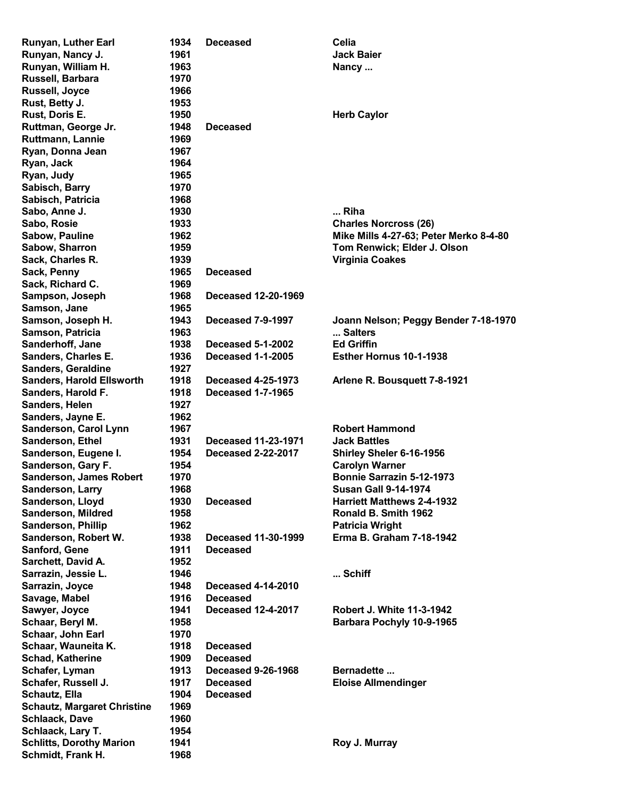| Runyan, Luther Earl                | 1934 | <b>Deceased</b>            | Celia                                  |
|------------------------------------|------|----------------------------|----------------------------------------|
| Runyan, Nancy J.                   | 1961 |                            | <b>Jack Baier</b>                      |
| Runyan, William H.                 | 1963 |                            | Nancy                                  |
| Russell, Barbara                   | 1970 |                            |                                        |
| <b>Russell, Joyce</b>              | 1966 |                            |                                        |
| Rust, Betty J.                     | 1953 |                            |                                        |
| Rust, Doris E.                     | 1950 |                            | <b>Herb Caylor</b>                     |
| Ruttman, George Jr.                | 1948 | <b>Deceased</b>            |                                        |
| Ruttmann, Lannie                   | 1969 |                            |                                        |
| Ryan, Donna Jean                   | 1967 |                            |                                        |
| Ryan, Jack                         | 1964 |                            |                                        |
| Ryan, Judy                         | 1965 |                            |                                        |
| Sabisch, Barry                     | 1970 |                            |                                        |
| Sabisch, Patricia                  | 1968 |                            |                                        |
| Sabo, Anne J.                      | 1930 |                            | Riha                                   |
| Sabo, Rosie                        | 1933 |                            | <b>Charles Norcross (26)</b>           |
| Sabow, Pauline                     | 1962 |                            | Mike Mills 4-27-63; Peter Merko 8-4-80 |
| Sabow, Sharron                     | 1959 |                            | Tom Renwick; Elder J. Olson            |
| Sack, Charles R.                   | 1939 |                            | <b>Virginia Coakes</b>                 |
| Sack, Penny                        | 1965 | <b>Deceased</b>            |                                        |
| Sack, Richard C.                   | 1969 |                            |                                        |
|                                    | 1968 | Deceased 12-20-1969        |                                        |
| Sampson, Joseph                    | 1965 |                            |                                        |
| Samson, Jane                       | 1943 |                            |                                        |
| Samson, Joseph H.                  |      | Deceased 7-9-1997          | Joann Nelson; Peggy Bender 7-18-1970   |
| Samson, Patricia                   | 1963 |                            | Salters                                |
| Sanderhoff, Jane                   | 1938 | <b>Deceased 5-1-2002</b>   | <b>Ed Griffin</b>                      |
| Sanders, Charles E.                | 1936 | <b>Deceased 1-1-2005</b>   | Esther Hornus 10-1-1938                |
| <b>Sanders, Geraldine</b>          | 1927 |                            |                                        |
| <b>Sanders, Harold Ellsworth</b>   | 1918 | <b>Deceased 4-25-1973</b>  | Arlene R. Bousquett 7-8-1921           |
| Sanders, Harold F.                 | 1918 | <b>Deceased 1-7-1965</b>   |                                        |
| Sanders, Helen                     | 1927 |                            |                                        |
| Sanders, Jayne E.                  | 1962 |                            |                                        |
| Sanderson, Carol Lynn              | 1967 |                            | <b>Robert Hammond</b>                  |
| Sanderson, Ethel                   | 1931 | <b>Deceased 11-23-1971</b> | <b>Jack Battles</b>                    |
| Sanderson, Eugene I.               | 1954 | <b>Deceased 2-22-2017</b>  | Shirley Sheler 6-16-1956               |
| Sanderson, Gary F.                 | 1954 |                            | <b>Carolyn Warner</b>                  |
| Sanderson, James Robert            | 1970 |                            | <b>Bonnie Sarrazin 5-12-1973</b>       |
| Sanderson, Larry                   | 1968 |                            | <b>Susan Gall 9-14-1974</b>            |
| Sanderson, Lloyd                   | 1930 | <b>Deceased</b>            | <b>Harriett Matthews 2-4-1932</b>      |
| <b>Sanderson, Mildred</b>          | 1958 |                            | Ronald B. Smith 1962                   |
| <b>Sanderson, Phillip</b>          | 1962 |                            | <b>Patricia Wright</b>                 |
| Sanderson, Robert W.               | 1938 | Deceased 11-30-1999        | Erma B. Graham 7-18-1942               |
| Sanford, Gene                      | 1911 | <b>Deceased</b>            |                                        |
| Sarchett, David A.                 | 1952 |                            |                                        |
| Sarrazin, Jessie L.                | 1946 |                            | Schiff                                 |
| Sarrazin, Joyce                    | 1948 | <b>Deceased 4-14-2010</b>  |                                        |
| Savage, Mabel                      | 1916 | <b>Deceased</b>            |                                        |
| Sawyer, Joyce                      | 1941 | <b>Deceased 12-4-2017</b>  | <b>Robert J. White 11-3-1942</b>       |
| Schaar, Beryl M.                   | 1958 |                            | Barbara Pochyly 10-9-1965              |
| Schaar, John Earl                  | 1970 |                            |                                        |
| Schaar, Wauneita K.                | 1918 | <b>Deceased</b>            |                                        |
| <b>Schad, Katherine</b>            | 1909 | <b>Deceased</b>            |                                        |
| Schafer, Lyman                     | 1913 | <b>Deceased 9-26-1968</b>  | Bernadette                             |
| Schafer, Russell J.                | 1917 | <b>Deceased</b>            | <b>Eloise Allmendinger</b>             |
| Schautz, Ella                      | 1904 | <b>Deceased</b>            |                                        |
| <b>Schautz, Margaret Christine</b> | 1969 |                            |                                        |
| <b>Schlaack, Dave</b>              | 1960 |                            |                                        |
| Schlaack, Lary T.                  | 1954 |                            |                                        |
| <b>Schlitts, Dorothy Marion</b>    | 1941 |                            | Roy J. Murray                          |
| Schmidt, Frank H.                  | 1968 |                            |                                        |
|                                    |      |                            |                                        |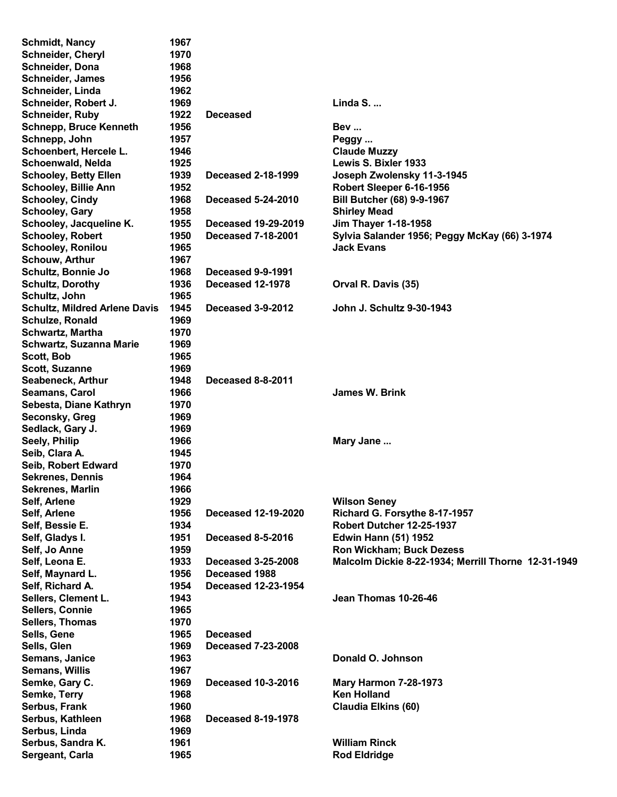| <b>Schmidt, Nancy</b>                | 1967 |                            |                                                     |
|--------------------------------------|------|----------------------------|-----------------------------------------------------|
| Schneider, Cheryl                    | 1970 |                            |                                                     |
| Schneider, Dona                      | 1968 |                            |                                                     |
| <b>Schneider, James</b>              | 1956 |                            |                                                     |
| Schneider, Linda                     | 1962 |                            |                                                     |
| Schneider, Robert J.                 | 1969 |                            | Linda $S_{\cdot \ldots}$                            |
| <b>Schneider, Ruby</b>               | 1922 | <b>Deceased</b>            |                                                     |
| <b>Schnepp, Bruce Kenneth</b>        | 1956 |                            | Bev                                                 |
| Schnepp, John                        | 1957 |                            |                                                     |
|                                      |      |                            | Peggy                                               |
| Schoenbert, Hercele L.               | 1946 |                            | <b>Claude Muzzy</b>                                 |
| Schoenwald, Nelda                    | 1925 |                            | Lewis S. Bixler 1933                                |
| <b>Schooley, Betty Ellen</b>         | 1939 | <b>Deceased 2-18-1999</b>  | Joseph Zwolensky 11-3-1945                          |
| <b>Schooley, Billie Ann</b>          | 1952 |                            | Robert Sleeper 6-16-1956                            |
| <b>Schooley, Cindy</b>               | 1968 | <b>Deceased 5-24-2010</b>  | <b>Bill Butcher (68) 9-9-1967</b>                   |
| <b>Schooley, Gary</b>                | 1958 |                            | <b>Shirley Mead</b>                                 |
| Schooley, Jacqueline K.              | 1955 | <b>Deceased 19-29-2019</b> | <b>Jim Thayer 1-18-1958</b>                         |
| <b>Schooley, Robert</b>              | 1950 | <b>Deceased 7-18-2001</b>  | Sylvia Salander 1956; Peggy McKay (66) 3-1974       |
| <b>Schooley, Ronilou</b>             | 1965 |                            | <b>Jack Evans</b>                                   |
| <b>Schouw, Arthur</b>                | 1967 |                            |                                                     |
| Schultz, Bonnie Jo                   | 1968 | Deceased 9-9-1991          |                                                     |
| <b>Schultz, Dorothy</b>              | 1936 | Deceased 12-1978           | Orval R. Davis (35)                                 |
| Schultz, John                        | 1965 |                            |                                                     |
| <b>Schultz, Mildred Arlene Davis</b> | 1945 | Deceased 3-9-2012          | John J. Schultz 9-30-1943                           |
| Schulze, Ronald                      | 1969 |                            |                                                     |
| <b>Schwartz, Martha</b>              | 1970 |                            |                                                     |
| <b>Schwartz, Suzanna Marie</b>       | 1969 |                            |                                                     |
| Scott, Bob                           | 1965 |                            |                                                     |
| <b>Scott, Suzanne</b>                | 1969 |                            |                                                     |
| Seabeneck, Arthur                    | 1948 | Deceased 8-8-2011          |                                                     |
| Seamans, Carol                       | 1966 |                            | James W. Brink                                      |
| Sebesta, Diane Kathryn               | 1970 |                            |                                                     |
| Seconsky, Greg                       | 1969 |                            |                                                     |
| Sedlack, Gary J.                     | 1969 |                            |                                                     |
| Seely, Philip                        | 1966 |                            | Mary Jane                                           |
|                                      |      |                            |                                                     |
| Seib, Clara A.                       | 1945 |                            |                                                     |
| Seib, Robert Edward                  | 1970 |                            |                                                     |
| <b>Sekrenes, Dennis</b>              | 1964 |                            |                                                     |
| Sekrenes, Marlin                     | 1966 |                            |                                                     |
| Self, Arlene                         | 1929 |                            | <b>Wilson Seney</b>                                 |
| Self, Arlene                         | 1956 | <b>Deceased 12-19-2020</b> | Richard G. Forsythe 8-17-1957                       |
| Self, Bessie E.                      | 1934 |                            | Robert Dutcher 12-25-1937                           |
| Self, Gladys I.                      | 1951 | <b>Deceased 8-5-2016</b>   | <b>Edwin Hann (51) 1952</b>                         |
| Self, Jo Anne                        | 1959 |                            | <b>Ron Wickham; Buck Dezess</b>                     |
| Self, Leona E.                       | 1933 | <b>Deceased 3-25-2008</b>  | Malcolm Dickie 8-22-1934; Merrill Thorne 12-31-1949 |
| Self, Maynard L.                     | 1956 | Deceased 1988              |                                                     |
| Self, Richard A.                     | 1954 | <b>Deceased 12-23-1954</b> |                                                     |
| Sellers, Clement L.                  | 1943 |                            | Jean Thomas 10-26-46                                |
| Sellers, Connie                      | 1965 |                            |                                                     |
| Sellers, Thomas                      | 1970 |                            |                                                     |
| Sells, Gene                          | 1965 | <b>Deceased</b>            |                                                     |
| Sells, Glen                          | 1969 | <b>Deceased 7-23-2008</b>  |                                                     |
| Semans, Janice                       | 1963 |                            | Donald O. Johnson                                   |
| <b>Semans, Willis</b>                | 1967 |                            |                                                     |
| Semke, Gary C.                       | 1969 | <b>Deceased 10-3-2016</b>  | <b>Mary Harmon 7-28-1973</b>                        |
| Semke, Terry                         | 1968 |                            | <b>Ken Holland</b>                                  |
| Serbus, Frank                        | 1960 |                            | <b>Claudia Elkins (60)</b>                          |
| Serbus, Kathleen                     | 1968 | <b>Deceased 8-19-1978</b>  |                                                     |
| Serbus, Linda                        | 1969 |                            |                                                     |
| Serbus, Sandra K.                    | 1961 |                            | <b>William Rinck</b>                                |
| Sergeant, Carla                      | 1965 |                            | <b>Rod Eldridge</b>                                 |
|                                      |      |                            |                                                     |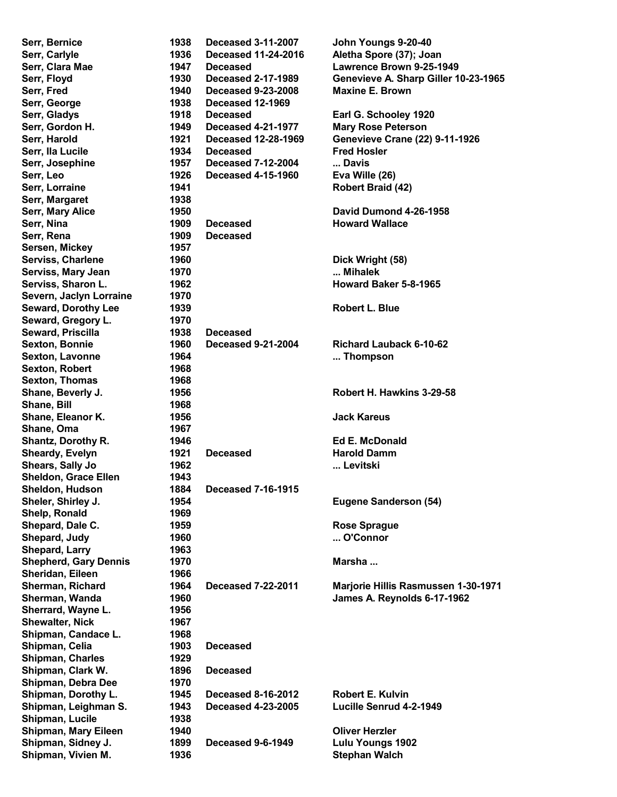| Serr, Bernice                         | 1938         | <b>Deceased 3-11-2007</b>                               | John Youngs 9-20-40                                |
|---------------------------------------|--------------|---------------------------------------------------------|----------------------------------------------------|
| Serr, Carlyle                         | 1936         | <b>Deceased 11-24-2016</b>                              | Aletha Spore (37); Joan                            |
| Serr, Clara Mae                       | 1947         | <b>Deceased</b>                                         | Lawrence Brown 9-25-1949                           |
| Serr, Floyd                           | 1930         | <b>Deceased 2-17-1989</b>                               | Genevieve A. Sharp Giller 10-23-1965               |
| Serr, Fred                            | 1940         | <b>Deceased 9-23-2008</b>                               | <b>Maxine E. Brown</b>                             |
| Serr, George                          | 1938         | Deceased 12-1969                                        |                                                    |
| Serr, Gladys<br>Serr, Gordon H.       | 1918<br>1949 | <b>Deceased</b>                                         | Earl G. Schooley 1920<br><b>Mary Rose Peterson</b> |
| Serr, Harold                          | 1921         | <b>Deceased 4-21-1977</b><br><b>Deceased 12-28-1969</b> | <b>Genevieve Crane (22) 9-11-1926</b>              |
| Serr, Ila Lucile                      | 1934         | <b>Deceased</b>                                         | <b>Fred Hosler</b>                                 |
| Serr, Josephine                       | 1957         | <b>Deceased 7-12-2004</b>                               | Davis                                              |
| Serr, Leo                             | 1926         | <b>Deceased 4-15-1960</b>                               | Eva Wille (26)                                     |
| Serr, Lorraine                        | 1941         |                                                         | Robert Braid (42)                                  |
| Serr, Margaret                        | 1938         |                                                         |                                                    |
| Serr, Mary Alice                      | 1950         |                                                         | David Dumond 4-26-1958                             |
| Serr, Nina                            | 1909         | <b>Deceased</b>                                         | <b>Howard Wallace</b>                              |
| Serr, Rena                            | 1909         | <b>Deceased</b>                                         |                                                    |
| Sersen, Mickey                        | 1957         |                                                         |                                                    |
| Serviss, Charlene                     | 1960         |                                                         | Dick Wright (58)                                   |
| Serviss, Mary Jean                    | 1970         |                                                         | Mihalek                                            |
| Serviss, Sharon L.                    | 1962         |                                                         | Howard Baker 5-8-1965                              |
| Severn, Jaclyn Lorraine               | 1970         |                                                         |                                                    |
| <b>Seward, Dorothy Lee</b>            | 1939         |                                                         | <b>Robert L. Blue</b>                              |
| Seward, Gregory L.                    | 1970         |                                                         |                                                    |
| Seward, Priscilla                     | 1938         | <b>Deceased</b>                                         |                                                    |
| <b>Sexton, Bonnie</b>                 | 1960         | <b>Deceased 9-21-2004</b>                               | <b>Richard Lauback 6-10-62</b>                     |
| <b>Sexton, Lavonne</b>                | 1964         |                                                         | Thompson                                           |
| <b>Sexton, Robert</b>                 | 1968         |                                                         |                                                    |
| <b>Sexton, Thomas</b>                 | 1968         |                                                         |                                                    |
| Shane, Beverly J.                     | 1956         |                                                         | Robert H. Hawkins 3-29-58                          |
| Shane, Bill                           | 1968         |                                                         |                                                    |
| Shane, Eleanor K.                     | 1956         |                                                         | <b>Jack Kareus</b>                                 |
| Shane, Oma                            | 1967         |                                                         |                                                    |
| Shantz, Dorothy R.                    | 1946         |                                                         | <b>Ed E. McDonald</b>                              |
| Sheardy, Evelyn                       | 1921         | <b>Deceased</b>                                         | <b>Harold Damm</b>                                 |
| Shears, Sally Jo                      | 1962         |                                                         | Levitski                                           |
| <b>Sheldon, Grace Ellen</b>           | 1943         |                                                         |                                                    |
| Sheldon, Hudson                       | 1884         | <b>Deceased 7-16-1915</b>                               |                                                    |
| Sheler, Shirley J.                    | 1954         |                                                         | <b>Eugene Sanderson (54)</b>                       |
| Shelp, Ronald                         | 1969         |                                                         |                                                    |
| Shepard, Dale C.                      | 1959         |                                                         | <b>Rose Sprague</b>                                |
| Shepard, Judy                         | 1960         |                                                         | O'Connor                                           |
| Shepard, Larry                        | 1963         |                                                         |                                                    |
| <b>Shepherd, Gary Dennis</b>          | 1970         |                                                         | Marsha                                             |
| Sheridan, Eileen                      | 1966         |                                                         |                                                    |
| Sherman, Richard                      | 1964         | <b>Deceased 7-22-2011</b>                               | Marjorie Hillis Rasmussen 1-30-1971                |
| Sherman, Wanda                        | 1960         |                                                         | James A. Reynolds 6-17-1962                        |
| Sherrard, Wayne L.                    | 1956         |                                                         |                                                    |
| <b>Shewalter, Nick</b>                | 1967         |                                                         |                                                    |
| Shipman, Candace L.<br>Shipman, Celia | 1968<br>1903 | <b>Deceased</b>                                         |                                                    |
| <b>Shipman, Charles</b>               | 1929         |                                                         |                                                    |
| Shipman, Clark W.                     | 1896         | <b>Deceased</b>                                         |                                                    |
| Shipman, Debra Dee                    | 1970         |                                                         |                                                    |
| Shipman, Dorothy L.                   | 1945         | <b>Deceased 8-16-2012</b>                               | <b>Robert E. Kulvin</b>                            |
| Shipman, Leighman S.                  | 1943         | <b>Deceased 4-23-2005</b>                               | Lucille Senrud 4-2-1949                            |
| Shipman, Lucile                       | 1938         |                                                         |                                                    |
| Shipman, Mary Eileen                  | 1940         |                                                         | <b>Oliver Herzler</b>                              |
| Shipman, Sidney J.                    | 1899         | Deceased 9-6-1949                                       | Lulu Youngs 1902                                   |
| Shipman, Vivien M.                    | 1936         |                                                         | <b>Stephan Walch</b>                               |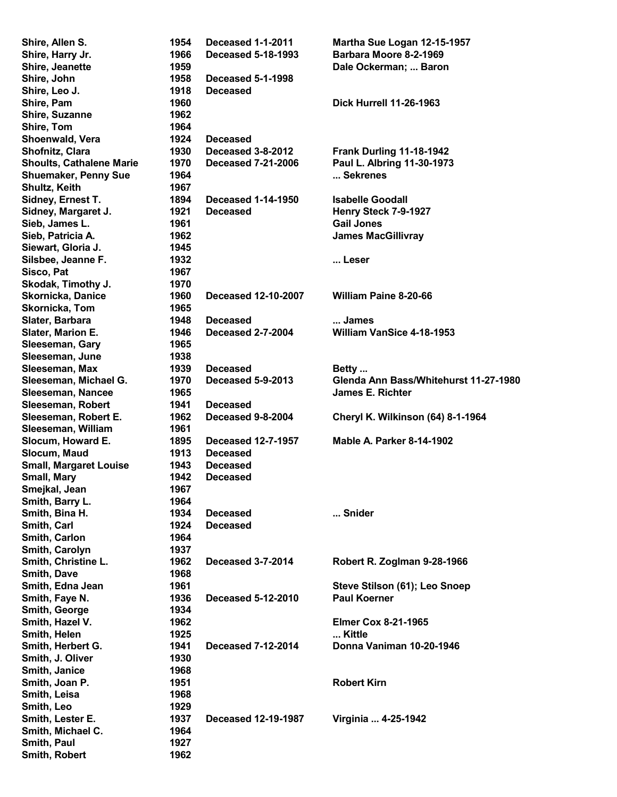| Shire, Allen S.                 | 1954         | <b>Deceased 1-1-2011</b>   | Martha Sue Logan 12-15-1957              |
|---------------------------------|--------------|----------------------------|------------------------------------------|
| Shire, Harry Jr.                | 1966         | <b>Deceased 5-18-1993</b>  | Barbara Moore 8-2-1969                   |
| Shire, Jeanette                 | 1959         |                            | Dale Ockerman;  Baron                    |
| Shire, John                     | 1958         | <b>Deceased 5-1-1998</b>   |                                          |
| Shire, Leo J.                   | 1918         | <b>Deceased</b>            |                                          |
| Shire, Pam                      | 1960         |                            | <b>Dick Hurrell 11-26-1963</b>           |
| Shire, Suzanne                  | 1962         |                            |                                          |
| Shire, Tom                      | 1964         |                            |                                          |
| Shoenwald, Vera                 | 1924         | <b>Deceased</b>            |                                          |
| Shofnitz, Clara                 | 1930         | Deceased 3-8-2012          | Frank Durling 11-18-1942                 |
| <b>Shoults, Cathalene Marie</b> | 1970         | <b>Deceased 7-21-2006</b>  | Paul L. Albring 11-30-1973               |
| <b>Shuemaker, Penny Sue</b>     | 1964         |                            | Sekrenes                                 |
| Shultz, Keith                   | 1967         |                            |                                          |
| Sidney, Ernest T.               | 1894         | <b>Deceased 1-14-1950</b>  | <b>Isabelle Goodall</b>                  |
| Sidney, Margaret J.             | 1921         | <b>Deceased</b>            | Henry Steck 7-9-1927                     |
| Sieb, James L.                  | 1961         |                            | <b>Gail Jones</b>                        |
| Sieb, Patricia A.               | 1962         |                            | <b>James MacGillivray</b>                |
| Siewart, Gloria J.              | 1945         |                            |                                          |
| Silsbee, Jeanne F.              | 1932         |                            | Leser                                    |
| Sisco, Pat                      | 1967         |                            |                                          |
|                                 | 1970         |                            |                                          |
| Skodak, Timothy J.              | 1960         |                            | <b>William Paine 8-20-66</b>             |
| Skornicka, Danice               |              | <b>Deceased 12-10-2007</b> |                                          |
| Skornicka, Tom                  | 1965<br>1948 |                            |                                          |
| Slater, Barbara                 |              | <b>Deceased</b>            | James                                    |
| Slater, Marion E.               | 1946         | <b>Deceased 2-7-2004</b>   | <b>William VanSice 4-18-1953</b>         |
| Sleeseman, Gary                 | 1965         |                            |                                          |
| Sleeseman, June                 | 1938         |                            |                                          |
| Sleeseman, Max                  | 1939         | <b>Deceased</b>            | Betty                                    |
| Sleeseman, Michael G.           | 1970         | Deceased 5-9-2013          | Glenda Ann Bass/Whitehurst 11-27-1980    |
| Sleeseman, Nancee               | 1965         |                            | <b>James E. Richter</b>                  |
| Sleeseman, Robert               | 1941         | <b>Deceased</b>            |                                          |
| Sleeseman, Robert E.            | 1962         | Deceased 9-8-2004          | <b>Cheryl K. Wilkinson (64) 8-1-1964</b> |
| Sleeseman, William              | 1961         |                            |                                          |
| Slocum, Howard E.               | 1895         | <b>Deceased 12-7-1957</b>  | <b>Mable A. Parker 8-14-1902</b>         |
| Slocum, Maud                    | 1913         | <b>Deceased</b>            |                                          |
| <b>Small, Margaret Louise</b>   | 1943         | <b>Deceased</b>            |                                          |
| Small, Mary                     | 1942         | <b>Deceased</b>            |                                          |
| Smejkal, Jean                   | 1967         |                            |                                          |
| Smith, Barry L.                 | 1964         |                            |                                          |
| Smith, Bina H.                  | 1934         | <b>Deceased</b>            | Snider                                   |
| Smith, Carl                     | 1924         | <b>Deceased</b>            |                                          |
| Smith, Carlon                   | 1964         |                            |                                          |
| Smith, Carolyn                  | 1937         |                            |                                          |
| Smith, Christine L.             | 1962         | <b>Deceased 3-7-2014</b>   | Robert R. Zoglman 9-28-1966              |
| Smith, Dave                     | 1968         |                            |                                          |
| Smith, Edna Jean                | 1961         |                            | Steve Stilson (61); Leo Snoep            |
| Smith, Faye N.                  | 1936         | <b>Deceased 5-12-2010</b>  | <b>Paul Koerner</b>                      |
| Smith, George                   | 1934         |                            |                                          |
| Smith, Hazel V.                 | 1962         |                            | <b>Elmer Cox 8-21-1965</b>               |
| Smith, Helen                    | 1925         |                            | Kittle                                   |
| Smith, Herbert G.               | 1941         | <b>Deceased 7-12-2014</b>  | Donna Vaniman 10-20-1946                 |
| Smith, J. Oliver                | 1930         |                            |                                          |
| Smith, Janice                   | 1968         |                            |                                          |
| Smith, Joan P.                  | 1951         |                            | <b>Robert Kirn</b>                       |
| Smith, Leisa                    | 1968         |                            |                                          |
| Smith, Leo                      | 1929         |                            |                                          |
| Smith, Lester E.                | 1937         | <b>Deceased 12-19-1987</b> | Virginia  4-25-1942                      |
| Smith, Michael C.               | 1964         |                            |                                          |
| Smith, Paul                     | 1927         |                            |                                          |
| Smith, Robert                   | 1962         |                            |                                          |
|                                 |              |                            |                                          |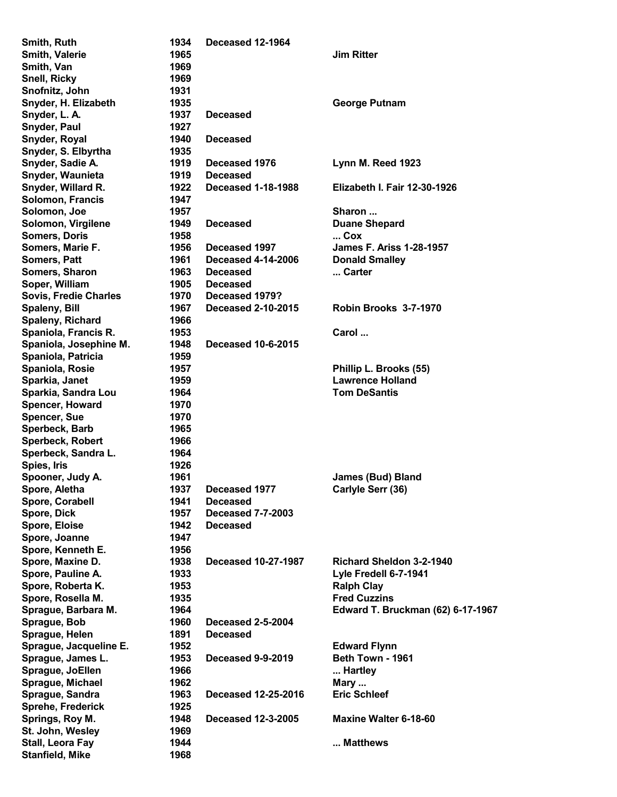| Smith, Ruth                  | 1934 | Deceased 12-1964           |                                     |
|------------------------------|------|----------------------------|-------------------------------------|
| Smith, Valerie               | 1965 |                            | <b>Jim Ritter</b>                   |
| Smith, Van                   | 1969 |                            |                                     |
| <b>Snell, Ricky</b>          | 1969 |                            |                                     |
| Snofnitz, John               | 1931 |                            |                                     |
| Snyder, H. Elizabeth         | 1935 |                            | <b>George Putnam</b>                |
| Snyder, L. A.                | 1937 | <b>Deceased</b>            |                                     |
| Snyder, Paul                 | 1927 |                            |                                     |
| Snyder, Royal                | 1940 | <b>Deceased</b>            |                                     |
| Snyder, S. Elbyrtha          | 1935 |                            |                                     |
| Snyder, Sadie A.             | 1919 | Deceased 1976              | Lynn M. Reed 1923                   |
| Snyder, Waunieta             | 1919 | <b>Deceased</b>            |                                     |
| Snyder, Willard R.           | 1922 | <b>Deceased 1-18-1988</b>  | <b>Elizabeth I. Fair 12-30-1926</b> |
|                              |      |                            |                                     |
| Solomon, Francis             | 1947 |                            |                                     |
| Solomon, Joe                 | 1957 |                            | Sharon                              |
| Solomon, Virgilene           | 1949 | <b>Deceased</b>            | <b>Duane Shepard</b>                |
| <b>Somers, Doris</b>         | 1958 |                            | $$ Cox                              |
| Somers, Marie F.             | 1956 | Deceased 1997              | <b>James F. Ariss 1-28-1957</b>     |
| Somers, Patt                 | 1961 | <b>Deceased 4-14-2006</b>  | <b>Donald Smalley</b>               |
| Somers, Sharon               | 1963 | <b>Deceased</b>            | Carter                              |
| Soper, William               | 1905 | <b>Deceased</b>            |                                     |
| <b>Sovis, Fredie Charles</b> | 1970 | Deceased 1979?             |                                     |
| <b>Spaleny, Bill</b>         | 1967 | <b>Deceased 2-10-2015</b>  | Robin Brooks 3-7-1970               |
| Spaleny, Richard             | 1966 |                            |                                     |
| Spaniola, Francis R.         | 1953 |                            | Carol                               |
| Spaniola, Josephine M.       | 1948 | <b>Deceased 10-6-2015</b>  |                                     |
| Spaniola, Patricia           | 1959 |                            |                                     |
| Spaniola, Rosie              | 1957 |                            | Phillip L. Brooks (55)              |
| Sparkia, Janet               | 1959 |                            | <b>Lawrence Holland</b>             |
| Sparkia, Sandra Lou          | 1964 |                            | <b>Tom DeSantis</b>                 |
| Spencer, Howard              | 1970 |                            |                                     |
| <b>Spencer, Sue</b>          | 1970 |                            |                                     |
| Sperbeck, Barb               | 1965 |                            |                                     |
|                              |      |                            |                                     |
| Sperbeck, Robert             | 1966 |                            |                                     |
| Sperbeck, Sandra L.          | 1964 |                            |                                     |
| Spies, Iris                  | 1926 |                            |                                     |
| Spooner, Judy A.             | 1961 |                            | <b>James (Bud) Bland</b>            |
| Spore, Aletha                | 1937 | Deceased 1977              | Carlyle Serr (36)                   |
| Spore, Corabell              | 1941 | <b>Deceased</b>            |                                     |
| Spore, Dick                  | 1957 | <b>Deceased 7-7-2003</b>   |                                     |
| Spore, Eloise                | 1942 | <b>Deceased</b>            |                                     |
| Spore, Joanne                | 1947 |                            |                                     |
| Spore, Kenneth E.            | 1956 |                            |                                     |
| Spore, Maxine D.             | 1938 | <b>Deceased 10-27-1987</b> | <b>Richard Sheldon 3-2-1940</b>     |
| Spore, Pauline A.            | 1933 |                            | Lyle Fredell 6-7-1941               |
| Spore, Roberta K.            | 1953 |                            | <b>Ralph Clay</b>                   |
| Spore, Rosella M.            | 1935 |                            | <b>Fred Cuzzins</b>                 |
| Sprague, Barbara M.          | 1964 |                            | Edward T. Bruckman (62) 6-17-1967   |
| Sprague, Bob                 | 1960 | <b>Deceased 2-5-2004</b>   |                                     |
| Sprague, Helen               | 1891 | <b>Deceased</b>            |                                     |
| Sprague, Jacqueline E.       | 1952 |                            | <b>Edward Flynn</b>                 |
| Sprague, James L.            | 1953 | <b>Deceased 9-9-2019</b>   | Beth Town - 1961                    |
| Sprague, JoEllen             | 1966 |                            | Hartley                             |
| Sprague, Michael             | 1962 |                            |                                     |
|                              |      |                            | Mary                                |
| Sprague, Sandra              | 1963 | <b>Deceased 12-25-2016</b> | <b>Eric Schleef</b>                 |
| Sprehe, Frederick            | 1925 |                            |                                     |
| Springs, Roy M.              | 1948 | <b>Deceased 12-3-2005</b>  | <b>Maxine Walter 6-18-60</b>        |
| St. John, Wesley             | 1969 |                            |                                     |
| Stall, Leora Fay             | 1944 |                            | Matthews                            |
| <b>Stanfield, Mike</b>       | 1968 |                            |                                     |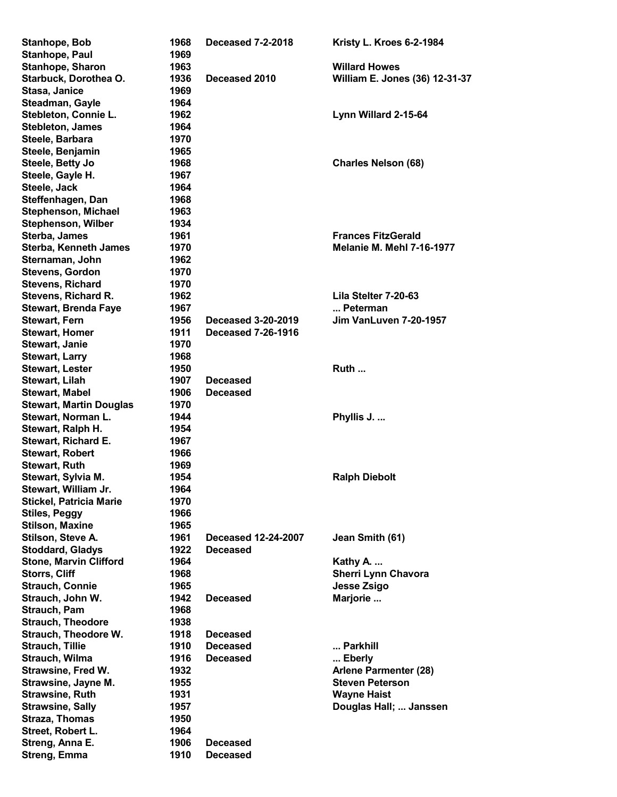| Stanhope, Bob                  | 1968 | <b>Deceased 7-2-2018</b>  | Kristy L. Kroes 6-2-1984         |
|--------------------------------|------|---------------------------|----------------------------------|
| Stanhope, Paul                 | 1969 |                           |                                  |
| Stanhope, Sharon               | 1963 |                           | <b>Willard Howes</b>             |
| Starbuck, Dorothea O.          | 1936 | Deceased 2010             | William E. Jones (36) 12-31-37   |
| Stasa, Janice                  | 1969 |                           |                                  |
| Steadman, Gayle                | 1964 |                           |                                  |
| Stebleton, Connie L.           | 1962 |                           | Lynn Willard 2-15-64             |
| <b>Stebleton, James</b>        | 1964 |                           |                                  |
| Steele, Barbara                | 1970 |                           |                                  |
| Steele, Benjamin               | 1965 |                           |                                  |
| Steele, Betty Jo               | 1968 |                           | <b>Charles Nelson (68)</b>       |
| Steele, Gayle H.               | 1967 |                           |                                  |
| Steele, Jack                   | 1964 |                           |                                  |
| Steffenhagen, Dan              | 1968 |                           |                                  |
| <b>Stephenson, Michael</b>     | 1963 |                           |                                  |
| <b>Stephenson, Wilber</b>      | 1934 |                           |                                  |
| Sterba, James                  | 1961 |                           | <b>Frances FitzGerald</b>        |
| <b>Sterba, Kenneth James</b>   | 1970 |                           | <b>Melanie M. Mehl 7-16-1977</b> |
| Sternaman, John                | 1962 |                           |                                  |
| <b>Stevens, Gordon</b>         | 1970 |                           |                                  |
| <b>Stevens, Richard</b>        | 1970 |                           |                                  |
| <b>Stevens, Richard R.</b>     | 1962 |                           | Lila Stelter 7-20-63             |
| <b>Stewart, Brenda Faye</b>    | 1967 |                           | Peterman                         |
| <b>Stewart, Fern</b>           | 1956 | <b>Deceased 3-20-2019</b> | Jim VanLuven 7-20-1957           |
| <b>Stewart, Homer</b>          | 1911 | <b>Deceased 7-26-1916</b> |                                  |
| <b>Stewart, Janie</b>          | 1970 |                           |                                  |
| <b>Stewart, Larry</b>          | 1968 |                           |                                  |
| <b>Stewart, Lester</b>         | 1950 |                           | Ruth                             |
| Stewart, Lilah                 | 1907 | <b>Deceased</b>           |                                  |
| <b>Stewart, Mabel</b>          | 1906 | <b>Deceased</b>           |                                  |
| <b>Stewart, Martin Douglas</b> | 1970 |                           |                                  |
| Stewart, Norman L.             | 1944 |                           | Phyllis J.                       |
| Stewart, Ralph H.              | 1954 |                           |                                  |
| Stewart, Richard E.            | 1967 |                           |                                  |
| <b>Stewart, Robert</b>         | 1966 |                           |                                  |
| <b>Stewart, Ruth</b>           | 1969 |                           |                                  |
| Stewart, Sylvia M.             | 1954 |                           | <b>Ralph Diebolt</b>             |
| Stewart, William Jr.           | 1964 |                           |                                  |
| <b>Stickel, Patricia Marie</b> | 1970 |                           |                                  |
| <b>Stiles, Peggy</b>           | 1966 |                           |                                  |
| <b>Stilson, Maxine</b>         | 1965 |                           |                                  |
| Stilson, Steve A.              | 1961 | Deceased 12-24-2007       | Jean Smith (61)                  |
| <b>Stoddard, Gladys</b>        | 1922 | <b>Deceased</b>           |                                  |
| <b>Stone, Marvin Clifford</b>  | 1964 |                           | Kathy A.                         |
| <b>Storrs, Cliff</b>           | 1968 |                           | <b>Sherri Lynn Chavora</b>       |
| <b>Strauch, Connie</b>         | 1965 |                           | <b>Jesse Zsigo</b>               |
| Strauch, John W.               | 1942 | <b>Deceased</b>           | Marjorie                         |
| Strauch, Pam                   | 1968 |                           |                                  |
| <b>Strauch, Theodore</b>       | 1938 |                           |                                  |
| <b>Strauch, Theodore W.</b>    | 1918 | <b>Deceased</b>           |                                  |
| <b>Strauch, Tillie</b>         | 1910 | <b>Deceased</b>           | Parkhill                         |
| Strauch, Wilma                 | 1916 | <b>Deceased</b>           | Eberly                           |
| <b>Strawsine, Fred W.</b>      | 1932 |                           | <b>Arlene Parmenter (28)</b>     |
| Strawsine, Jayne M.            | 1955 |                           | <b>Steven Peterson</b>           |
| <b>Strawsine, Ruth</b>         | 1931 |                           | <b>Wayne Haist</b>               |
| <b>Strawsine, Sally</b>        | 1957 |                           | Douglas Hall;  Janssen           |
| <b>Straza, Thomas</b>          | 1950 |                           |                                  |
| Street, Robert L.              | 1964 |                           |                                  |
| Streng, Anna E.                | 1906 | <b>Deceased</b>           |                                  |
| Streng, Emma                   | 1910 | <b>Deceased</b>           |                                  |
|                                |      |                           |                                  |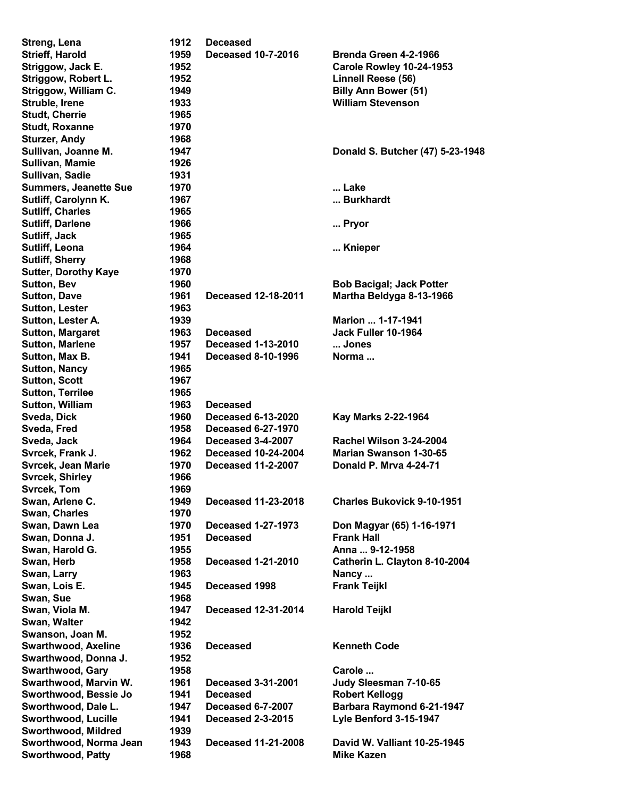| Streng, Lena                 | 1912 | <b>Deceased</b>            |                                   |
|------------------------------|------|----------------------------|-----------------------------------|
| <b>Strieff, Harold</b>       | 1959 | <b>Deceased 10-7-2016</b>  | Brenda Green 4-2-1966             |
| Striggow, Jack E.            | 1952 |                            | Carole Rowley 10-24-1953          |
| Striggow, Robert L.          | 1952 |                            | Linnell Reese (56)                |
| Striggow, William C.         | 1949 |                            | <b>Billy Ann Bower (51)</b>       |
| Struble, Irene               | 1933 |                            | <b>William Stevenson</b>          |
| <b>Studt, Cherrie</b>        | 1965 |                            |                                   |
| <b>Studt, Roxanne</b>        | 1970 |                            |                                   |
| <b>Sturzer, Andy</b>         | 1968 |                            |                                   |
| Sullivan, Joanne M.          | 1947 |                            |                                   |
|                              |      |                            | Donald S. Butcher (47) 5-23-1948  |
| Sullivan, Mamie              | 1926 |                            |                                   |
| Sullivan, Sadie              | 1931 |                            |                                   |
| <b>Summers, Jeanette Sue</b> | 1970 |                            | Lake                              |
| Sutliff, Carolynn K.         | 1967 |                            | Burkhardt                         |
| <b>Sutliff, Charles</b>      | 1965 |                            |                                   |
| <b>Sutliff, Darlene</b>      | 1966 |                            | Pryor                             |
| Sutliff, Jack                | 1965 |                            |                                   |
| Sutliff, Leona               | 1964 |                            | Knieper                           |
| <b>Sutliff, Sherry</b>       | 1968 |                            |                                   |
| <b>Sutter, Dorothy Kaye</b>  | 1970 |                            |                                   |
| <b>Sutton, Bev</b>           | 1960 |                            | <b>Bob Bacigal; Jack Potter</b>   |
| <b>Sutton, Dave</b>          | 1961 | <b>Deceased 12-18-2011</b> | Martha Beldyga 8-13-1966          |
| <b>Sutton, Lester</b>        | 1963 |                            |                                   |
|                              |      |                            | Marion  1-17-1941                 |
| Sutton, Lester A.            | 1939 |                            |                                   |
| <b>Sutton, Margaret</b>      | 1963 | <b>Deceased</b>            | Jack Fuller 10-1964               |
| <b>Sutton, Marlene</b>       | 1957 | <b>Deceased 1-13-2010</b>  | Jones                             |
| Sutton, Max B.               | 1941 | <b>Deceased 8-10-1996</b>  | Norma                             |
| <b>Sutton, Nancy</b>         | 1965 |                            |                                   |
| <b>Sutton, Scott</b>         | 1967 |                            |                                   |
| <b>Sutton, Terrilee</b>      | 1965 |                            |                                   |
| <b>Sutton, William</b>       | 1963 | <b>Deceased</b>            |                                   |
| Sveda, Dick                  | 1960 | <b>Deceased 6-13-2020</b>  | Kay Marks 2-22-1964               |
| Sveda, Fred                  | 1958 | <b>Deceased 6-27-1970</b>  |                                   |
| Sveda, Jack                  | 1964 | Deceased 3-4-2007          | Rachel Wilson 3-24-2004           |
| Svrcek, Frank J.             | 1962 | <b>Deceased 10-24-2004</b> | <b>Marian Swanson 1-30-65</b>     |
| <b>Svrcek, Jean Marie</b>    | 1970 | <b>Deceased 11-2-2007</b>  | Donald P. Mrva 4-24-71            |
| <b>Svrcek, Shirley</b>       | 1966 |                            |                                   |
| Svrcek, Tom                  | 1969 |                            |                                   |
| Swan, Arlene C.              | 1949 | <b>Deceased 11-23-2018</b> | <b>Charles Bukovick 9-10-1951</b> |
| Swan, Charles                | 1970 |                            |                                   |
| Swan, Dawn Lea               |      |                            |                                   |
|                              | 1970 | <b>Deceased 1-27-1973</b>  | Don Magyar (65) 1-16-1971         |
| Swan, Donna J.               | 1951 | <b>Deceased</b>            | <b>Frank Hall</b>                 |
| Swan, Harold G.              | 1955 |                            | Anna  9-12-1958                   |
| Swan, Herb                   | 1958 | <b>Deceased 1-21-2010</b>  | Catherin L. Clayton 8-10-2004     |
| Swan, Larry                  | 1963 |                            | Nancy                             |
| Swan, Lois E.                | 1945 | Deceased 1998              | <b>Frank Teijkl</b>               |
| Swan, Sue                    | 1968 |                            |                                   |
| Swan, Viola M.               | 1947 | <b>Deceased 12-31-2014</b> | <b>Harold Teijkl</b>              |
| Swan, Walter                 | 1942 |                            |                                   |
| Swanson, Joan M.             | 1952 |                            |                                   |
| <b>Swarthwood, Axeline</b>   | 1936 | <b>Deceased</b>            | <b>Kenneth Code</b>               |
| Swarthwood, Donna J.         | 1952 |                            |                                   |
| <b>Swarthwood, Gary</b>      | 1958 |                            | Carole                            |
| Swarthwood, Marvin W.        | 1961 | <b>Deceased 3-31-2001</b>  | Judy Sleesman 7-10-65             |
| Sworthwood, Bessie Jo        |      | <b>Deceased</b>            |                                   |
|                              | 1941 |                            | <b>Robert Kellogg</b>             |
| Sworthwood, Dale L.          | 1947 | <b>Deceased 6-7-2007</b>   | Barbara Raymond 6-21-1947         |
| Sworthwood, Lucille          | 1941 | <b>Deceased 2-3-2015</b>   | Lyle Benford 3-15-1947            |
| Sworthwood, Mildred          | 1939 |                            |                                   |
| Sworthwood, Norma Jean       | 1943 | <b>Deceased 11-21-2008</b> | David W. Valliant 10-25-1945      |
| <b>Sworthwood, Patty</b>     | 1968 |                            | <b>Mike Kazen</b>                 |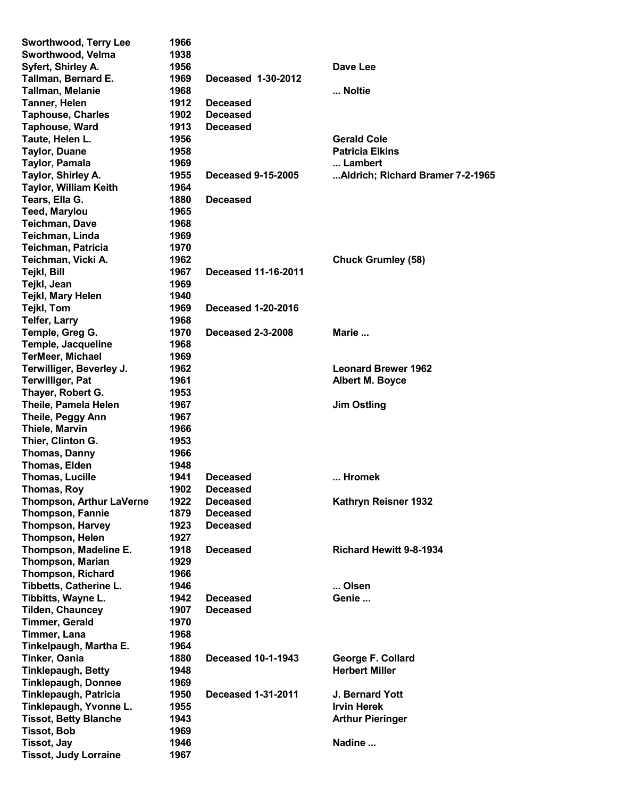| <b>Sworthwood, Terry Lee</b>    | 1966 |                            |                                  |
|---------------------------------|------|----------------------------|----------------------------------|
| Sworthwood, Velma               | 1938 |                            |                                  |
| Syfert, Shirley A.              | 1956 |                            | Dave Lee                         |
| Tallman, Bernard E.             | 1969 | Deceased 1-30-2012         |                                  |
| <b>Tallman, Melanie</b>         | 1968 |                            | Noltie                           |
| Tanner, Helen                   | 1912 | <b>Deceased</b>            |                                  |
| <b>Taphouse, Charles</b>        | 1902 | <b>Deceased</b>            |                                  |
| Taphouse, Ward                  | 1913 | <b>Deceased</b>            |                                  |
|                                 | 1956 |                            | <b>Gerald Cole</b>               |
| Taute, Helen L.                 |      |                            | <b>Patricia Elkins</b>           |
| <b>Taylor, Duane</b>            | 1958 |                            |                                  |
| <b>Taylor, Pamala</b>           | 1969 |                            | Lambert                          |
| Taylor, Shirley A.              | 1955 | <b>Deceased 9-15-2005</b>  | Aldrich; Richard Bramer 7-2-1965 |
| <b>Taylor, William Keith</b>    | 1964 |                            |                                  |
| Tears, Ella G.                  | 1880 | <b>Deceased</b>            |                                  |
| <b>Teed, Marylou</b>            | 1965 |                            |                                  |
| <b>Teichman, Dave</b>           | 1968 |                            |                                  |
| Teichman, Linda                 | 1969 |                            |                                  |
| Teichman, Patricia              | 1970 |                            |                                  |
| Teichman, Vicki A.              | 1962 |                            | <b>Chuck Grumley (58)</b>        |
| Tejkl, Bill                     | 1967 | <b>Deceased 11-16-2011</b> |                                  |
| Tejkl, Jean                     | 1969 |                            |                                  |
| Tejkl, Mary Helen               | 1940 |                            |                                  |
| Tejkl, Tom                      | 1969 | <b>Deceased 1-20-2016</b>  |                                  |
|                                 |      |                            |                                  |
| <b>Telfer, Larry</b>            | 1968 |                            |                                  |
| Temple, Greg G.                 | 1970 | <b>Deceased 2-3-2008</b>   | Marie                            |
| Temple, Jacqueline              | 1968 |                            |                                  |
| <b>TerMeer, Michael</b>         | 1969 |                            |                                  |
| Terwilliger, Beverley J.        | 1962 |                            | <b>Leonard Brewer 1962</b>       |
| <b>Terwilliger, Pat</b>         | 1961 |                            | <b>Albert M. Boyce</b>           |
| Thayer, Robert G.               | 1953 |                            |                                  |
| Theile, Pamela Helen            | 1967 |                            | <b>Jim Ostling</b>               |
| Theile, Peggy Ann               | 1967 |                            |                                  |
| <b>Thiele, Marvin</b>           | 1966 |                            |                                  |
| Thier, Clinton G.               | 1953 |                            |                                  |
| Thomas, Danny                   | 1966 |                            |                                  |
| Thomas, Elden                   | 1948 |                            |                                  |
| <b>Thomas, Lucille</b>          | 1941 | <b>Deceased</b>            | Hromek                           |
| Thomas, Roy                     | 1902 | <b>Deceased</b>            |                                  |
| <b>Thompson, Arthur LaVerne</b> | 1922 | <b>Deceased</b>            | Kathryn Reisner 1932             |
| <b>Thompson, Fannie</b>         | 1879 | <b>Deceased</b>            |                                  |
|                                 |      |                            |                                  |
| <b>Thompson, Harvey</b>         | 1923 | <b>Deceased</b>            |                                  |
| <b>Thompson, Helen</b>          | 1927 |                            |                                  |
| Thompson, Madeline E.           | 1918 | <b>Deceased</b>            | <b>Richard Hewitt 9-8-1934</b>   |
| <b>Thompson, Marian</b>         | 1929 |                            |                                  |
| <b>Thompson, Richard</b>        | 1966 |                            |                                  |
| Tibbetts, Catherine L.          | 1946 |                            | Olsen                            |
| Tibbitts, Wayne L.              | 1942 | <b>Deceased</b>            | Genie                            |
| <b>Tilden, Chauncey</b>         | 1907 | <b>Deceased</b>            |                                  |
| <b>Timmer, Gerald</b>           | 1970 |                            |                                  |
| Timmer, Lana                    | 1968 |                            |                                  |
| Tinkelpaugh, Martha E.          | 1964 |                            |                                  |
| Tinker, Oania                   | 1880 | <b>Deceased 10-1-1943</b>  | George F. Collard                |
| <b>Tinklepaugh, Betty</b>       | 1948 |                            | <b>Herbert Miller</b>            |
|                                 | 1969 |                            |                                  |
| <b>Tinklepaugh, Donnee</b>      |      |                            |                                  |
| Tinklepaugh, Patricia           | 1950 | <b>Deceased 1-31-2011</b>  | J. Bernard Yott                  |
| Tinklepaugh, Yvonne L.          | 1955 |                            | <b>Irvin Herek</b>               |
| <b>Tissot, Betty Blanche</b>    | 1943 |                            | <b>Arthur Pieringer</b>          |
| <b>Tissot, Bob</b>              | 1969 |                            |                                  |
| <b>Tissot, Jay</b>              | 1946 |                            | Nadine                           |
| <b>Tissot, Judy Lorraine</b>    | 1967 |                            |                                  |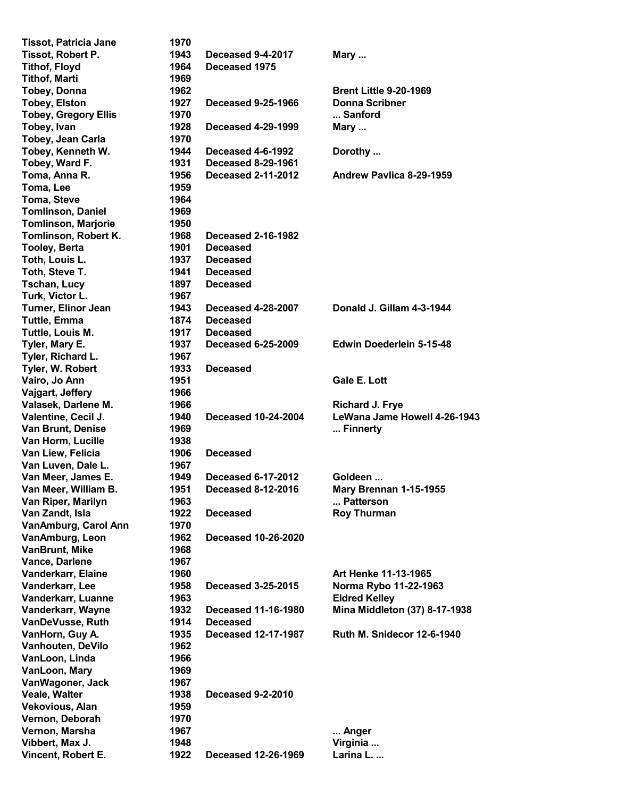| <b>Tissot, Patricia Jane</b> | 1970 |                            |                                   |
|------------------------------|------|----------------------------|-----------------------------------|
| Tissot, Robert P.            | 1943 | Deceased 9-4-2017          | Mary                              |
|                              |      |                            |                                   |
| <b>Tithof, Floyd</b>         | 1964 | Deceased 1975              |                                   |
| <b>Tithof, Marti</b>         | 1969 |                            |                                   |
| <b>Tobey, Donna</b>          | 1962 |                            | <b>Brent Little 9-20-1969</b>     |
| <b>Tobey, Elston</b>         | 1927 | <b>Deceased 9-25-1966</b>  | <b>Donna Scribner</b>             |
| <b>Tobey, Gregory Ellis</b>  | 1970 |                            | Sanford                           |
| Tobey, Ivan                  | 1928 | <b>Deceased 4-29-1999</b>  | Mary                              |
| Tobey, Jean Carla            | 1970 |                            |                                   |
| Tobey, Kenneth W.            | 1944 | Deceased 4-6-1992          | Dorothy                           |
| Tobey, Ward F.               | 1931 | <b>Deceased 8-29-1961</b>  |                                   |
|                              |      |                            |                                   |
| Toma, Anna R.                | 1956 | <b>Deceased 2-11-2012</b>  | Andrew Pavlica 8-29-1959          |
| Toma, Lee                    | 1959 |                            |                                   |
| Toma, Steve                  | 1964 |                            |                                   |
| <b>Tomlinson, Daniel</b>     | 1969 |                            |                                   |
| <b>Tomlinson, Marjorie</b>   | 1950 |                            |                                   |
| Tomlinson, Robert K.         | 1968 | <b>Deceased 2-16-1982</b>  |                                   |
| <b>Tooley, Berta</b>         | 1901 | <b>Deceased</b>            |                                   |
| Toth, Louis L.               | 1937 | <b>Deceased</b>            |                                   |
| Toth, Steve T.               | 1941 | <b>Deceased</b>            |                                   |
|                              |      |                            |                                   |
| <b>Tschan, Lucy</b>          | 1897 | <b>Deceased</b>            |                                   |
| Turk, Victor L.              | 1967 |                            |                                   |
| Turner, Elinor Jean          | 1943 | <b>Deceased 4-28-2007</b>  | Donald J. Gillam 4-3-1944         |
| <b>Tuttle, Emma</b>          | 1874 | <b>Deceased</b>            |                                   |
| Tuttle, Louis M.             | 1917 | <b>Deceased</b>            |                                   |
| Tyler, Mary E.               | 1937 | <b>Deceased 6-25-2009</b>  | <b>Edwin Doederlein 5-15-48</b>   |
| Tyler, Richard L.            | 1967 |                            |                                   |
| Tyler, W. Robert             | 1933 | <b>Deceased</b>            |                                   |
| Vairo, Jo Ann                | 1951 |                            | Gale E. Lott                      |
| Vajgart, Jeffery             | 1966 |                            |                                   |
|                              |      |                            |                                   |
| Valasek, Darlene M.          | 1966 |                            | <b>Richard J. Frye</b>            |
| Valentine, Cecil J.          | 1940 | <b>Deceased 10-24-2004</b> | LeWana Jame Howell 4-26-1943      |
| <b>Van Brunt, Denise</b>     | 1969 |                            | Finnerty                          |
| Van Horm, Lucille            | 1938 |                            |                                   |
| Van Liew, Felicia            | 1906 | <b>Deceased</b>            |                                   |
| Van Luven, Dale L.           | 1967 |                            |                                   |
| Van Meer, James E.           | 1949 | <b>Deceased 6-17-2012</b>  | Goldeen                           |
| Van Meer, William B.         | 1951 | <b>Deceased 8-12-2016</b>  | Mary Brennan 1-15-1955            |
| Van Riper, Marilyn           | 1963 |                            | Patterson                         |
| Van Zandt, Isla              | 1922 | <b>Deceased</b>            | <b>Roy Thurman</b>                |
| VanAmburg, Carol Ann         | 1970 |                            |                                   |
|                              |      |                            |                                   |
| VanAmburg, Leon              | 1962 | <b>Deceased 10-26-2020</b> |                                   |
| <b>VanBrunt, Mike</b>        | 1968 |                            |                                   |
| Vance, Darlene               | 1967 |                            |                                   |
| Vanderkarr, Elaine           | 1960 |                            | <b>Art Henke 11-13-1965</b>       |
| Vanderkarr, Lee              | 1958 | <b>Deceased 3-25-2015</b>  | Norma Rybo 11-22-1963             |
| Vanderkarr, Luanne           | 1963 |                            | <b>Eldred Kelley</b>              |
| Vanderkarr, Wayne            | 1932 | <b>Deceased 11-16-1980</b> | Mina Middleton (37) 8-17-1938     |
| VanDeVusse, Ruth             | 1914 | <b>Deceased</b>            |                                   |
| VanHorn, Guy A.              | 1935 | <b>Deceased 12-17-1987</b> | <b>Ruth M. Snidecor 12-6-1940</b> |
| Vanhouten, DeVilo            | 1962 |                            |                                   |
|                              |      |                            |                                   |
| VanLoon, Linda               | 1966 |                            |                                   |
| VanLoon, Mary                | 1969 |                            |                                   |
| VanWagoner, Jack             | 1967 |                            |                                   |
| Veale, Walter                | 1938 | <b>Deceased 9-2-2010</b>   |                                   |
| Vekovious, Alan              | 1959 |                            |                                   |
| Vernon, Deborah              | 1970 |                            |                                   |
| Vernon, Marsha               | 1967 |                            | Anger                             |
| Vibbert, Max J.              | 1948 |                            | Virginia                          |
| Vincent, Robert E.           | 1922 | <b>Deceased 12-26-1969</b> | Larina L.                         |
|                              |      |                            |                                   |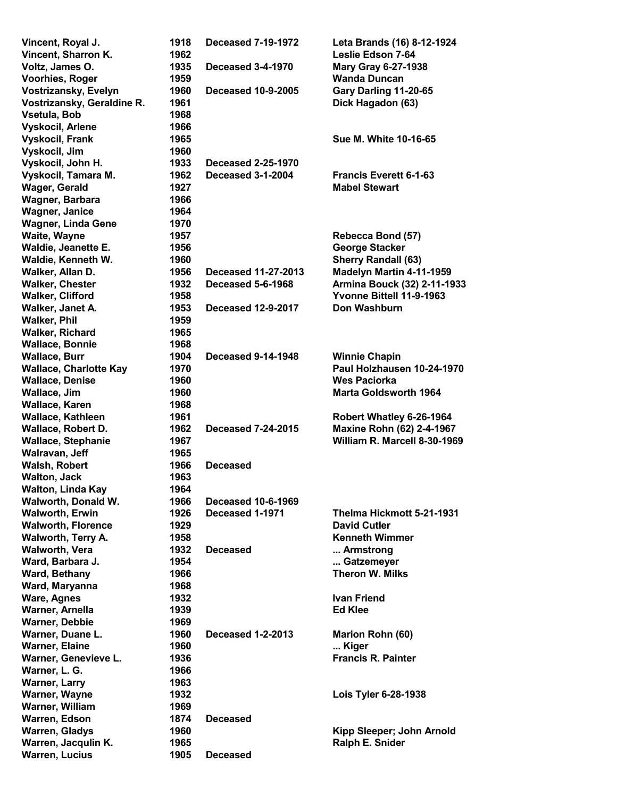| Vincent, Royal J.             | 1918 | <b>Deceased 7-19-1972</b> | Leta Brands (16) 8-12-1924    |
|-------------------------------|------|---------------------------|-------------------------------|
| Vincent, Sharron K.           | 1962 |                           | <b>Leslie Edson 7-64</b>      |
| Voltz, James O.               | 1935 | <b>Deceased 3-4-1970</b>  | <b>Mary Gray 6-27-1938</b>    |
| Voorhies, Roger               | 1959 |                           | <b>Wanda Duncan</b>           |
| Vostrizansky, Evelyn          | 1960 | <b>Deceased 10-9-2005</b> | Gary Darling 11-20-65         |
| Vostrizansky, Geraldine R.    | 1961 |                           | Dick Hagadon (63)             |
| Vsetula, Bob                  | 1968 |                           |                               |
| Vyskocil, Arlene              | 1966 |                           |                               |
| <b>Vyskocil, Frank</b>        | 1965 |                           | Sue M. White 10-16-65         |
| Vyskocil, Jim                 | 1960 |                           |                               |
| Vyskocil, John H.             | 1933 | <b>Deceased 2-25-1970</b> |                               |
| Vyskocil, Tamara M.           | 1962 | Deceased 3-1-2004         | <b>Francis Everett 6-1-63</b> |
| <b>Wager, Gerald</b>          | 1927 |                           | <b>Mabel Stewart</b>          |
| Wagner, Barbara               | 1966 |                           |                               |
| <b>Wagner, Janice</b>         | 1964 |                           |                               |
| <b>Wagner, Linda Gene</b>     | 1970 |                           |                               |
| Waite, Wayne                  | 1957 |                           | Rebecca Bond (57)             |
| Waldie, Jeanette E.           | 1956 |                           | <b>George Stacker</b>         |
| Waldie, Kenneth W.            | 1960 |                           | <b>Sherry Randall (63)</b>    |
| Walker, Allan D.              | 1956 | Deceased 11-27-2013       | Madelyn Martin 4-11-1959      |
| <b>Walker, Chester</b>        | 1932 | Deceased 5-6-1968         | Armina Bouck (32) 2-11-1933   |
| <b>Walker, Clifford</b>       | 1958 |                           | Yvonne Bittell 11-9-1963      |
| Walker, Janet A.              | 1953 | <b>Deceased 12-9-2017</b> | Don Washburn                  |
| <b>Walker, Phil</b>           | 1959 |                           |                               |
| <b>Walker, Richard</b>        | 1965 |                           |                               |
| <b>Wallace, Bonnie</b>        | 1968 |                           |                               |
| <b>Wallace, Burr</b>          | 1904 | <b>Deceased 9-14-1948</b> | <b>Winnie Chapin</b>          |
| <b>Wallace, Charlotte Kay</b> | 1970 |                           | Paul Holzhausen 10-24-1970    |
| <b>Wallace, Denise</b>        | 1960 |                           | <b>Wes Paciorka</b>           |
| Wallace, Jim                  | 1960 |                           | <b>Marta Goldsworth 1964</b>  |
| Wallace, Karen                | 1968 |                           |                               |
| Wallace, Kathleen             | 1961 |                           | Robert Whatley 6-26-1964      |
| Wallace, Robert D.            | 1962 | <b>Deceased 7-24-2015</b> | Maxine Rohn (62) 2-4-1967     |
| <b>Wallace, Stephanie</b>     | 1967 |                           | William R. Marcell 8-30-1969  |
| Walravan, Jeff                | 1965 |                           |                               |
| <b>Walsh, Robert</b>          | 1966 | <b>Deceased</b>           |                               |
| <b>Walton, Jack</b>           | 1963 |                           |                               |
| Walton, Linda Kay             | 1964 |                           |                               |
| Walworth, Donald W.           | 1966 | <b>Deceased 10-6-1969</b> |                               |
| <b>Walworth, Erwin</b>        | 1926 | Deceased 1-1971           | Thelma Hickmott 5-21-1931     |
| <b>Walworth, Florence</b>     | 1929 |                           | <b>David Cutler</b>           |
| <b>Walworth, Terry A.</b>     | 1958 |                           | <b>Kenneth Wimmer</b>         |
| <b>Walworth, Vera</b>         | 1932 | <b>Deceased</b>           | Armstrong                     |
| Ward, Barbara J.              | 1954 |                           | Gatzemeyer                    |
| Ward, Bethany                 | 1966 |                           | Theron W. Milks               |
| Ward, Maryanna                | 1968 |                           |                               |
| <b>Ware, Agnes</b>            | 1932 |                           | <b>Ivan Friend</b>            |
| Warner, Arnella               | 1939 |                           | <b>Ed Klee</b>                |
| <b>Warner, Debbie</b>         | 1969 |                           |                               |
| Warner, Duane L.              | 1960 | <b>Deceased 1-2-2013</b>  | Marion Rohn (60)              |
| <b>Warner, Elaine</b>         | 1960 |                           | Kiger                         |
| Warner, Genevieve L.          | 1936 |                           | <b>Francis R. Painter</b>     |
| Warner, L. G.                 | 1966 |                           |                               |
| <b>Warner, Larry</b>          | 1963 |                           |                               |
| Warner, Wayne                 | 1932 |                           | Lois Tyler 6-28-1938          |
| Warner, William               | 1969 |                           |                               |
| Warren, Edson                 | 1874 | <b>Deceased</b>           |                               |
| <b>Warren, Gladys</b>         | 1960 |                           | Kipp Sleeper; John Arnold     |
| Warren, Jacqulin K.           | 1965 |                           | Ralph E. Snider               |
| <b>Warren, Lucius</b>         | 1905 | <b>Deceased</b>           |                               |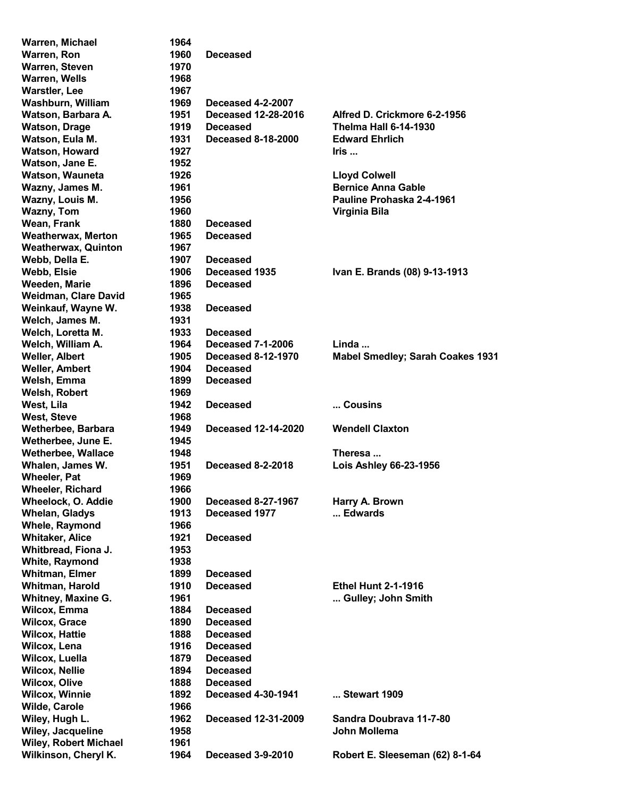| Warren, Michael              | 1964 |                            |                                         |
|------------------------------|------|----------------------------|-----------------------------------------|
| Warren, Ron                  | 1960 | <b>Deceased</b>            |                                         |
| Warren, Steven               | 1970 |                            |                                         |
| <b>Warren, Wells</b>         | 1968 |                            |                                         |
| <b>Warstler, Lee</b>         | 1967 |                            |                                         |
| Washburn, William            | 1969 | <b>Deceased 4-2-2007</b>   |                                         |
| Watson, Barbara A.           | 1951 | <b>Deceased 12-28-2016</b> | Alfred D. Crickmore 6-2-1956            |
| <b>Watson, Drage</b>         | 1919 | <b>Deceased</b>            | <b>Thelma Hall 6-14-1930</b>            |
| Watson, Eula M.              | 1931 | <b>Deceased 8-18-2000</b>  | <b>Edward Ehrlich</b>                   |
| <b>Watson, Howard</b>        | 1927 |                            | Iris                                    |
|                              |      |                            |                                         |
| Watson, Jane E.              | 1952 |                            |                                         |
| Watson, Wauneta              | 1926 |                            | <b>Lloyd Colwell</b>                    |
| Wazny, James M.              | 1961 |                            | <b>Bernice Anna Gable</b>               |
| Wazny, Louis M.              | 1956 |                            | Pauline Prohaska 2-4-1961               |
| <b>Wazny, Tom</b>            | 1960 |                            | Virginia Bila                           |
| Wean, Frank                  | 1880 | <b>Deceased</b>            |                                         |
| <b>Weatherwax, Merton</b>    | 1965 | <b>Deceased</b>            |                                         |
| <b>Weatherwax, Quinton</b>   | 1967 |                            |                                         |
| Webb, Della E.               | 1907 | <b>Deceased</b>            |                                         |
| Webb, Elsie                  | 1906 | Deceased 1935              | Ivan E. Brands (08) 9-13-1913           |
| Weeden, Marie                | 1896 | <b>Deceased</b>            |                                         |
| Weidman, Clare David         | 1965 |                            |                                         |
| Weinkauf, Wayne W.           | 1938 | <b>Deceased</b>            |                                         |
| Welch, James M.              | 1931 |                            |                                         |
| Welch, Loretta M.            | 1933 | <b>Deceased</b>            |                                         |
| Welch, William A.            | 1964 | <b>Deceased 7-1-2006</b>   | Linda                                   |
| <b>Weller, Albert</b>        | 1905 | <b>Deceased 8-12-1970</b>  | <b>Mabel Smedley; Sarah Coakes 1931</b> |
|                              | 1904 | <b>Deceased</b>            |                                         |
| <b>Weller, Ambert</b>        |      |                            |                                         |
| Welsh, Emma                  | 1899 | <b>Deceased</b>            |                                         |
| Welsh, Robert                | 1969 |                            |                                         |
| West, Lila                   | 1942 | <b>Deceased</b>            | Cousins                                 |
| <b>West, Steve</b>           | 1968 |                            |                                         |
| Wetherbee, Barbara           | 1949 | <b>Deceased 12-14-2020</b> | <b>Wendell Claxton</b>                  |
| Wetherbee, June E.           | 1945 |                            |                                         |
| <b>Wetherbee, Wallace</b>    | 1948 |                            | Theresa                                 |
| Whalen, James W.             | 1951 | <b>Deceased 8-2-2018</b>   | <b>Lois Ashley 66-23-1956</b>           |
| <b>Wheeler, Pat</b>          | 1969 |                            |                                         |
| <b>Wheeler, Richard</b>      | 1966 |                            |                                         |
| Wheelock, O. Addie           | 1900 | <b>Deceased 8-27-1967</b>  | Harry A. Brown                          |
| <b>Whelan, Gladys</b>        | 1913 | Deceased 1977              | Edwards                                 |
| Whele, Raymond               | 1966 |                            |                                         |
| <b>Whitaker, Alice</b>       | 1921 | <b>Deceased</b>            |                                         |
| Whitbread, Fiona J.          | 1953 |                            |                                         |
| <b>White, Raymond</b>        | 1938 |                            |                                         |
| <b>Whitman, Elmer</b>        | 1899 | <b>Deceased</b>            |                                         |
| Whitman, Harold              |      |                            |                                         |
|                              | 1910 | <b>Deceased</b>            | <b>Ethel Hunt 2-1-1916</b>              |
| <b>Whitney, Maxine G.</b>    | 1961 |                            | Gulley; John Smith                      |
| <b>Wilcox, Emma</b>          | 1884 | <b>Deceased</b>            |                                         |
| <b>Wilcox, Grace</b>         | 1890 | <b>Deceased</b>            |                                         |
| <b>Wilcox, Hattie</b>        | 1888 | <b>Deceased</b>            |                                         |
| Wilcox, Lena                 | 1916 | <b>Deceased</b>            |                                         |
| Wilcox, Luella               | 1879 | <b>Deceased</b>            |                                         |
| <b>Wilcox, Nellie</b>        | 1894 | <b>Deceased</b>            |                                         |
| <b>Wilcox, Olive</b>         | 1888 | <b>Deceased</b>            |                                         |
| <b>Wilcox, Winnie</b>        | 1892 | <b>Deceased 4-30-1941</b>  | Stewart 1909                            |
| Wilde, Carole                | 1966 |                            |                                         |
| Wiley, Hugh L.               | 1962 | Deceased 12-31-2009        | Sandra Doubrava 11-7-80                 |
| Wiley, Jacqueline            | 1958 |                            | John Mollema                            |
| <b>Wiley, Robert Michael</b> | 1961 |                            |                                         |
| Wilkinson, Cheryl K.         | 1964 | <b>Deceased 3-9-2010</b>   | Robert E. Sleeseman (62) 8-1-64         |
|                              |      |                            |                                         |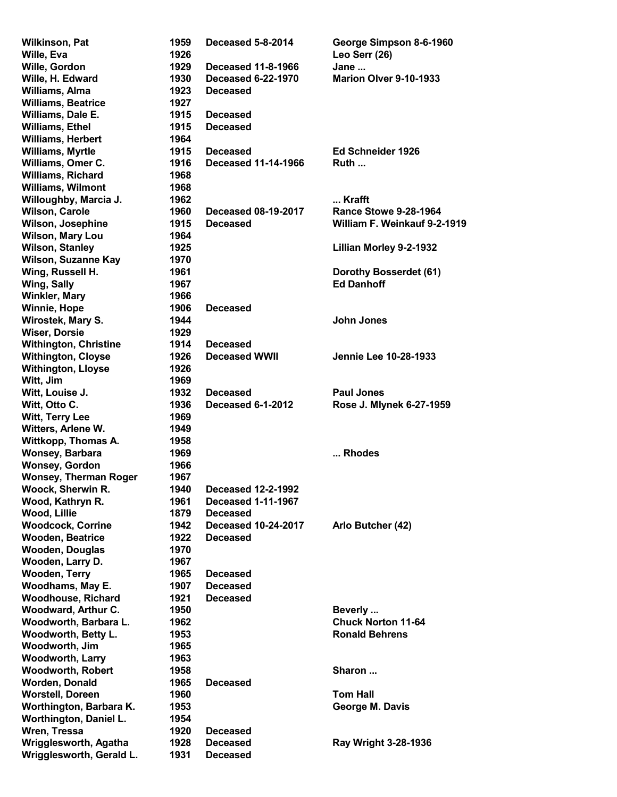Wilkinson, Pat 1959 Deceased 5-8-2014 George Simpson 8-6-1960 Wille, Eva 2008 2009 1926 2009 2009 2009 2009 2010 2020 2030 2040 2050 2061 2072 2080 2010 2010 2010 2010 2010 Wille, Gordon **1929** Deceased 11-8-1966 Jane ... Wille, H. Edward 1930 Deceased 6-22-1970 Marion Olver 9-10-1933 Williams, Alma 1923 Deceased Williams, Beatrice 1927 Williams, Dale E. 1915 Deceased Williams, Ethel 1915 Deceased Williams, Herbert 1964 Williams, Myrtle **1915** Deceased **Ed Schneider 1926** Williams, Omer C. 1916 Deceased 11-14-1966 Ruth ... Williams, Richard 1968 Williams, Wilmont 1968 Willoughby, Marcia J. 1962 .... Krafft Wilson, Carole 1960 Deceased 08-19-2017 Rance Stowe 9-28-1964 Wilson, Josephine 1915 Deceased William F. Weinkauf 9-2-1919 Wilson, Mary Lou 1964 Wilson, Stanley 1925 **Millian Morley 9-2-1932** Wilson, Suzanne Kay 1970 Wing, Russell H. 1961 **Dorothy Bosserdet (61)** Wing, Sally **1967 Ed Danhoff** Winkler, Mary 1966 Winnie, Hope 1906 Deceased Wirostek, Mary S. **1944 Victor** John Jones Wiser, Dorsie 1929 Withington, Christine 1914 Deceased Withington, Cloyse **1926** Deceased WWII Jennie Lee 10-28-1933 Withington, Lloyse 1926 Witt, Jim 1969 Witt, Louise J. 1932 Deceased Paul Jones Witt, Otto C. **1936** Deceased 6-1-2012 Rose J. Mlynek 6-27-1959 Witt, Terry Lee 1969 Witters, Arlene W. 1949 Wittkopp, Thomas A. 1958 Wonsey, Barbara **1969** ... Rhodes Wonsey, Gordon 1966 Wonsey, Therman Roger 1967 Woock, Sherwin R. 1940 Deceased 12-2-1992 Wood, Kathryn R. 1961 Deceased 1-11-1967 Wood, Lillie 1879 Deceased Woodcock, Corrine 1942 Deceased 10-24-2017 Arlo Butcher (42) Wooden, Beatrice **1922** Deceased Wooden, Douglas 1970 Wooden, Larry D. 1967 Wooden, Terry 1965 Deceased Woodhams, May E. 1907 Deceased Woodhouse, Richard 1921 Deceased Woodward, Arthur C. 1950 Beverly ... Woodworth, Barbara L. 1962 Chuck Norton 11-64 Woodworth, Betty L. **1953 Ronald Behrens** Ronald Behrens Woodworth, Jim 1965 Woodworth, Larry 1963 Woodworth, Robert 1958 **Sharon ...** Sharon ... Worden, Donald 1965 Deceased Worstell, Doreen 1960 1960 Tom Hall Worthington, Barbara K. (1953 March 2015) George M. Davis Worthington, Daniel L. 1954 Wren, Tressa 1920 Deceased Wrigglesworth, Agatha 1928 Deceased Ray Wright 3-28-1936 Wrigglesworth, Gerald L. 1931 Deceased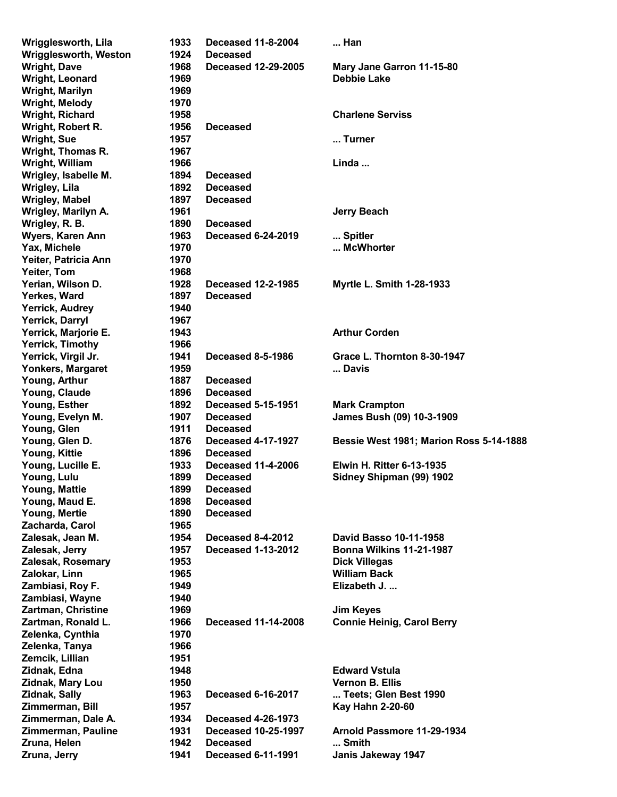| Wrigglesworth, Lila       | 1933 | <b>Deceased 11-8-2004</b>  | Han                                            |
|---------------------------|------|----------------------------|------------------------------------------------|
| Wrigglesworth, Weston     | 1924 | <b>Deceased</b>            |                                                |
| <b>Wright, Dave</b>       | 1968 | <b>Deceased 12-29-2005</b> | Mary Jane Garron 11-15-80                      |
| Wright, Leonard           | 1969 |                            | <b>Debbie Lake</b>                             |
| <b>Wright, Marilyn</b>    | 1969 |                            |                                                |
| <b>Wright, Melody</b>     | 1970 |                            |                                                |
| Wright, Richard           | 1958 |                            | <b>Charlene Serviss</b>                        |
| Wright, Robert R.         | 1956 | <b>Deceased</b>            |                                                |
| <b>Wright, Sue</b>        | 1957 |                            | Turner                                         |
| Wright, Thomas R.         | 1967 |                            |                                                |
| Wright, William           | 1966 |                            | Linda                                          |
| Wrigley, Isabelle M.      | 1894 | <b>Deceased</b>            |                                                |
| <b>Wrigley, Lila</b>      | 1892 | <b>Deceased</b>            |                                                |
| <b>Wrigley, Mabel</b>     | 1897 | <b>Deceased</b>            |                                                |
| Wrigley, Marilyn A.       | 1961 |                            | <b>Jerry Beach</b>                             |
| Wrigley, R. B.            | 1890 | <b>Deceased</b>            |                                                |
| Wyers, Karen Ann          | 1963 | <b>Deceased 6-24-2019</b>  | Spitler                                        |
| Yax, Michele              | 1970 |                            | McWhorter                                      |
| Yeiter, Patricia Ann      | 1970 |                            |                                                |
| Yeiter, Tom               | 1968 |                            |                                                |
|                           |      |                            |                                                |
| Yerian, Wilson D.         | 1928 | <b>Deceased 12-2-1985</b>  | Myrtle L. Smith 1-28-1933                      |
| Yerkes, Ward              | 1897 | <b>Deceased</b>            |                                                |
| Yerrick, Audrey           | 1940 |                            |                                                |
| Yerrick, Darryl           | 1967 |                            |                                                |
| Yerrick, Marjorie E.      | 1943 |                            | <b>Arthur Corden</b>                           |
| <b>Yerrick, Timothy</b>   | 1966 |                            |                                                |
| Yerrick, Virgil Jr.       | 1941 | <b>Deceased 8-5-1986</b>   | Grace L. Thornton 8-30-1947                    |
| <b>Yonkers, Margaret</b>  | 1959 |                            | Davis                                          |
| Young, Arthur             | 1887 | <b>Deceased</b>            |                                                |
| Young, Claude             | 1896 | <b>Deceased</b>            |                                                |
| Young, Esther             | 1892 | <b>Deceased 5-15-1951</b>  | <b>Mark Crampton</b>                           |
| Young, Evelyn M.          | 1907 | <b>Deceased</b>            | James Bush (09) 10-3-1909                      |
| Young, Glen               | 1911 | <b>Deceased</b>            |                                                |
| Young, Glen D.            | 1876 | <b>Deceased 4-17-1927</b>  | <b>Bessie West 1981; Marion Ross 5-14-1888</b> |
| Young, Kittie             | 1896 | <b>Deceased</b>            |                                                |
| Young, Lucille E.         | 1933 | <b>Deceased 11-4-2006</b>  | <b>Elwin H. Ritter 6-13-1935</b>               |
| Young, Lulu               | 1899 | <b>Deceased</b>            | Sidney Shipman (99) 1902                       |
| Young, Mattie             | 1899 | <b>Deceased</b>            |                                                |
| Young, Maud E.            | 1898 | <b>Deceased</b>            |                                                |
| Young, Mertie             | 1890 | <b>Deceased</b>            |                                                |
| Zacharda, Carol           | 1965 |                            |                                                |
| Zalesak, Jean M.          | 1954 | Deceased 8-4-2012          | <b>David Basso 10-11-1958</b>                  |
| Zalesak, Jerry            | 1957 | <b>Deceased 1-13-2012</b>  | <b>Bonna Wilkins 11-21-1987</b>                |
| Zalesak, Rosemary         | 1953 |                            | <b>Dick Villegas</b>                           |
| Zalokar, Linn             | 1965 |                            | <b>William Back</b>                            |
| Zambiasi, Roy F.          | 1949 |                            | Elizabeth J.                                   |
| Zambiasi, Wayne           | 1940 |                            |                                                |
| <b>Zartman, Christine</b> | 1969 |                            | <b>Jim Keyes</b>                               |
| Zartman, Ronald L.        | 1966 | <b>Deceased 11-14-2008</b> | <b>Connie Heinig, Carol Berry</b>              |
| Zelenka, Cynthia          | 1970 |                            |                                                |
| Zelenka, Tanya            | 1966 |                            |                                                |
| Zemcik, Lillian           | 1951 |                            |                                                |
| Zidnak, Edna              | 1948 |                            | <b>Edward Vstula</b>                           |
| Zidnak, Mary Lou          | 1950 |                            | <b>Vernon B. Ellis</b>                         |
| <b>Zidnak, Sally</b>      | 1963 | <b>Deceased 6-16-2017</b>  | Teets; Glen Best 1990                          |
| Zimmerman, Bill           | 1957 |                            | <b>Kay Hahn 2-20-60</b>                        |
| Zimmerman, Dale A.        | 1934 | <b>Deceased 4-26-1973</b>  |                                                |
| Zimmerman, Pauline        | 1931 | <b>Deceased 10-25-1997</b> | Arnold Passmore 11-29-1934                     |
| Zruna, Helen              | 1942 | <b>Deceased</b>            | Smith                                          |
|                           |      |                            |                                                |
| Zruna, Jerry              | 1941 | <b>Deceased 6-11-1991</b>  | Janis Jakeway 1947                             |